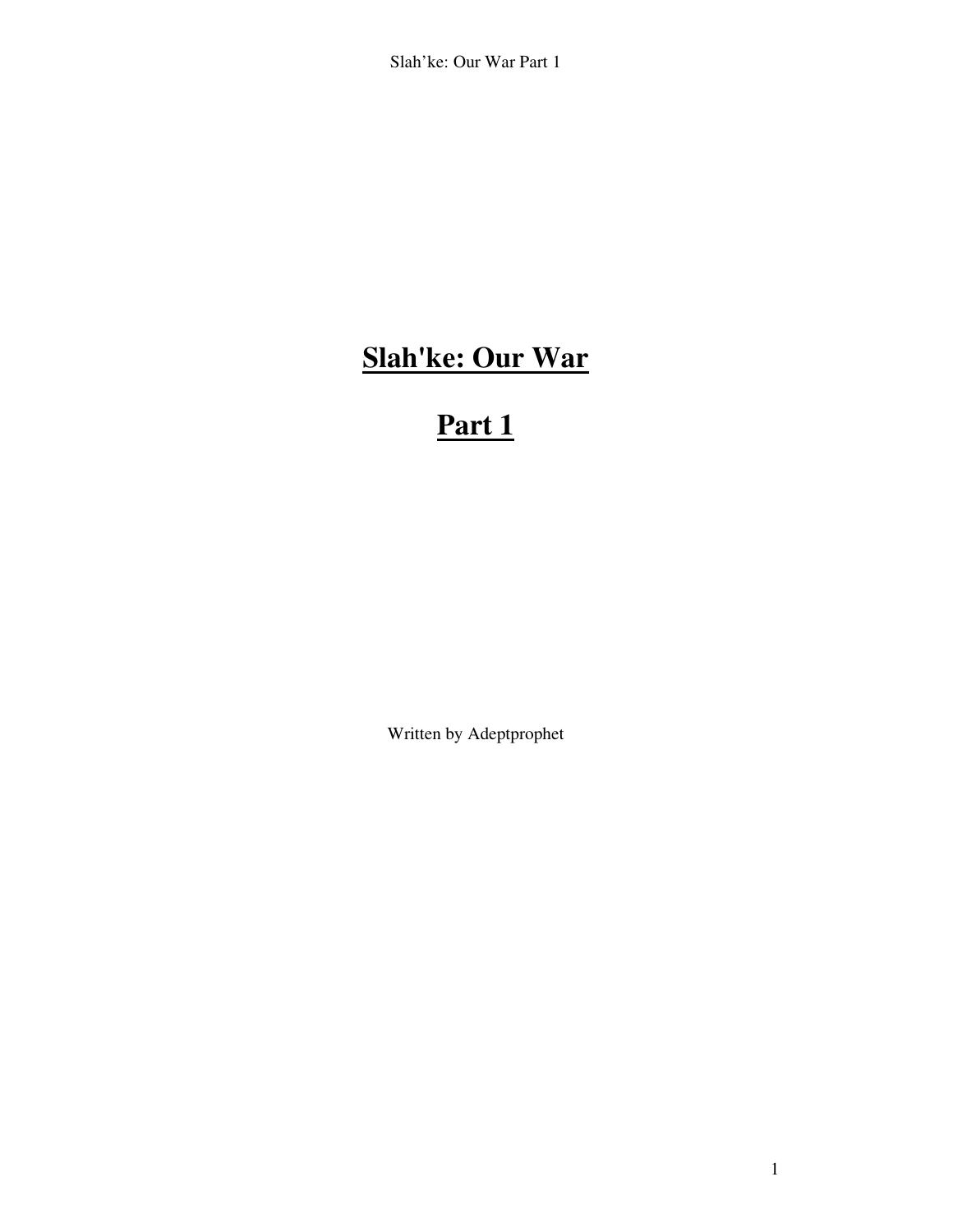# **Slah'ke: Our War**

# **Part 1**

Written by Adeptprophet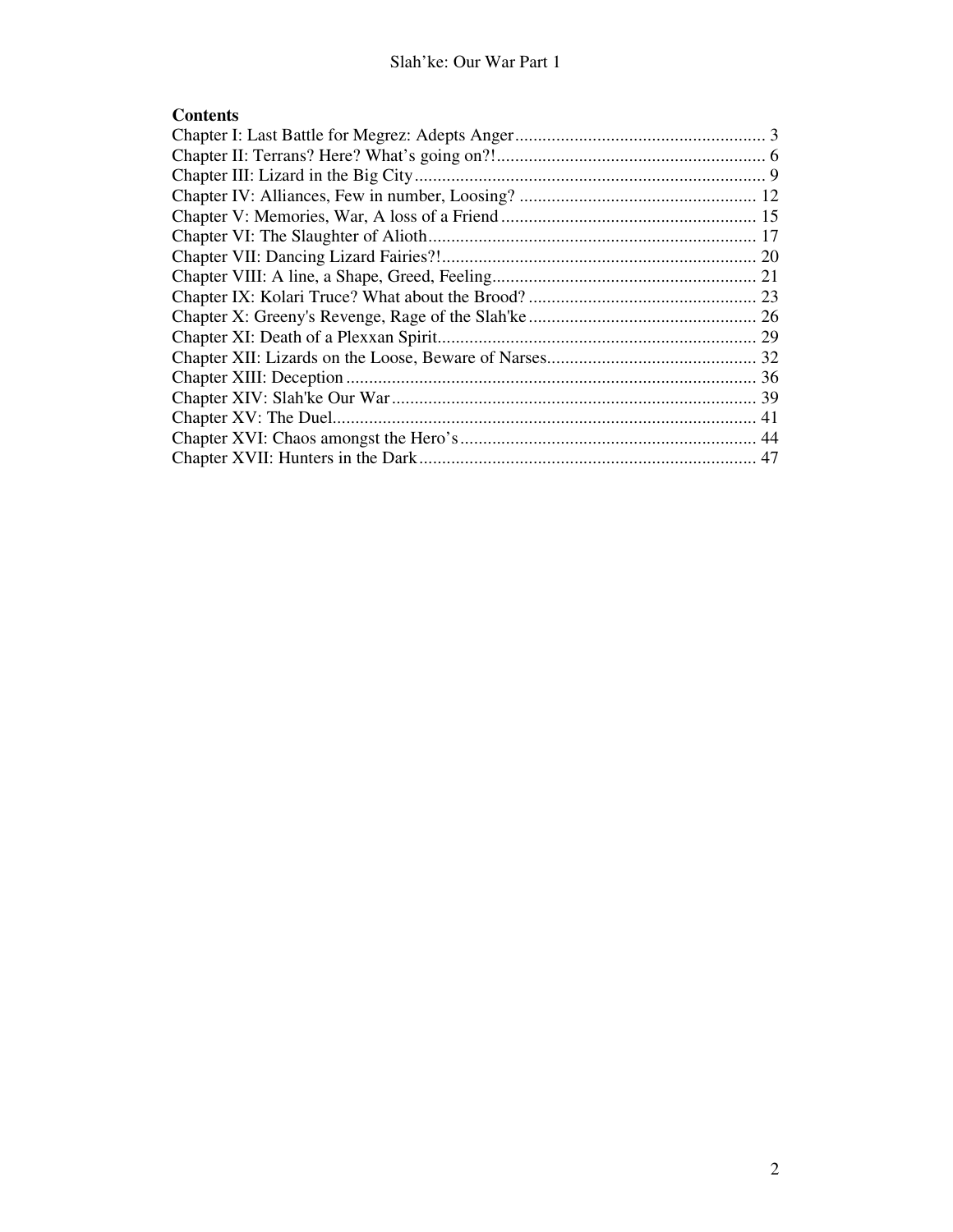# **Contents**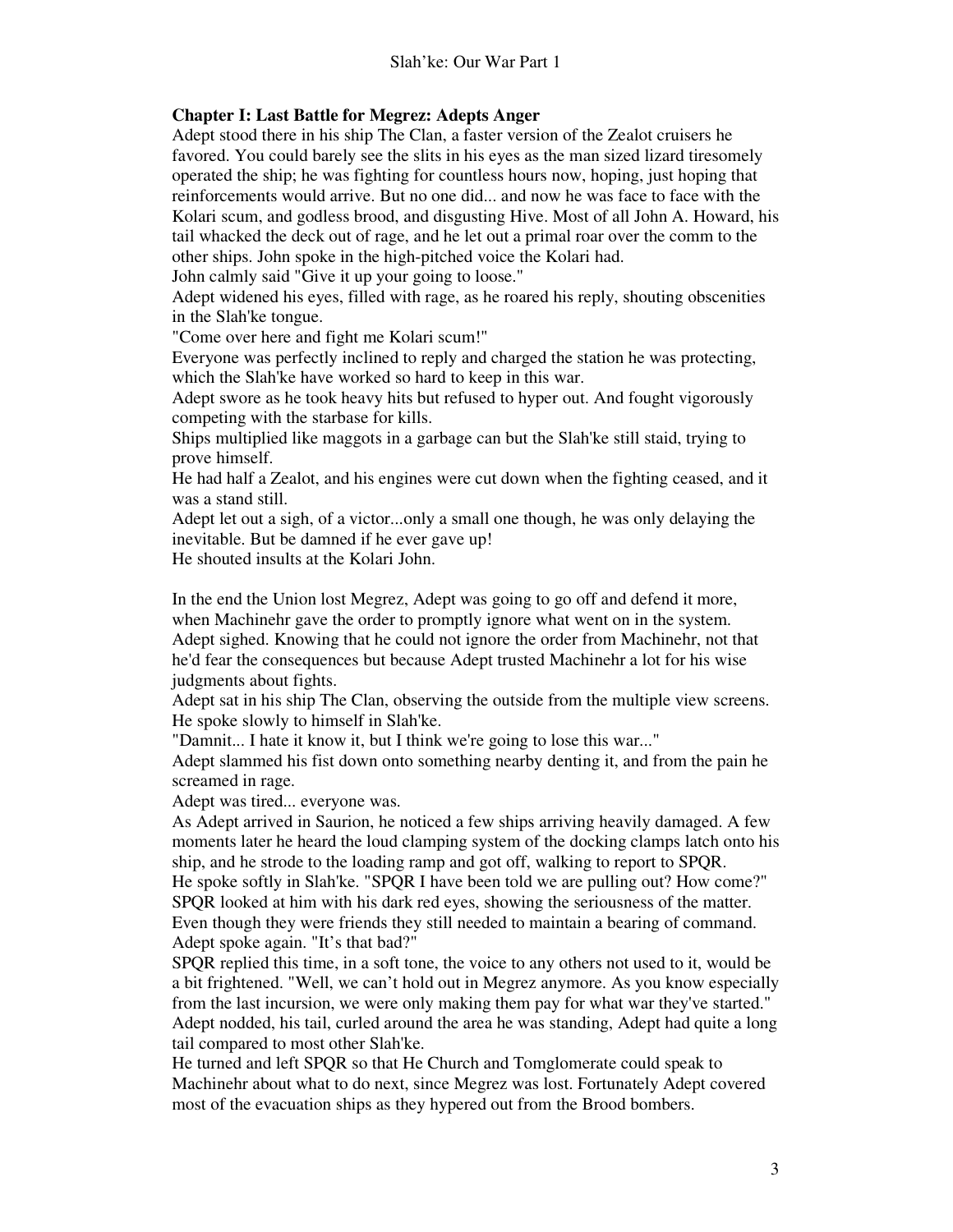# **Chapter I: Last Battle for Megrez: Adepts Anger**

Adept stood there in his ship The Clan, a faster version of the Zealot cruisers he favored. You could barely see the slits in his eyes as the man sized lizard tiresomely operated the ship; he was fighting for countless hours now, hoping, just hoping that reinforcements would arrive. But no one did... and now he was face to face with the Kolari scum, and godless brood, and disgusting Hive. Most of all John A. Howard, his tail whacked the deck out of rage, and he let out a primal roar over the comm to the other ships. John spoke in the high-pitched voice the Kolari had.

John calmly said "Give it up your going to loose."

Adept widened his eyes, filled with rage, as he roared his reply, shouting obscenities in the Slah'ke tongue.

"Come over here and fight me Kolari scum!"

Everyone was perfectly inclined to reply and charged the station he was protecting, which the Slah'ke have worked so hard to keep in this war.

Adept swore as he took heavy hits but refused to hyper out. And fought vigorously competing with the starbase for kills.

Ships multiplied like maggots in a garbage can but the Slah'ke still staid, trying to prove himself.

He had half a Zealot, and his engines were cut down when the fighting ceased, and it was a stand still.

Adept let out a sigh, of a victor...only a small one though, he was only delaying the inevitable. But be damned if he ever gave up!

He shouted insults at the Kolari John.

In the end the Union lost Megrez, Adept was going to go off and defend it more, when Machinehr gave the order to promptly ignore what went on in the system. Adept sighed. Knowing that he could not ignore the order from Machinehr, not that he'd fear the consequences but because Adept trusted Machinehr a lot for his wise judgments about fights.

Adept sat in his ship The Clan, observing the outside from the multiple view screens. He spoke slowly to himself in Slah'ke.

"Damnit... I hate it know it, but I think we're going to lose this war..."

Adept slammed his fist down onto something nearby denting it, and from the pain he screamed in rage.

Adept was tired... everyone was.

As Adept arrived in Saurion, he noticed a few ships arriving heavily damaged. A few moments later he heard the loud clamping system of the docking clamps latch onto his ship, and he strode to the loading ramp and got off, walking to report to SPQR.

He spoke softly in Slah'ke. "SPQR I have been told we are pulling out? How come?" SPQR looked at him with his dark red eyes, showing the seriousness of the matter. Even though they were friends they still needed to maintain a bearing of command. Adept spoke again. "It's that bad?"

SPQR replied this time, in a soft tone, the voice to any others not used to it, would be a bit frightened. "Well, we can't hold out in Megrez anymore. As you know especially from the last incursion, we were only making them pay for what war they've started." Adept nodded, his tail, curled around the area he was standing, Adept had quite a long tail compared to most other Slah'ke.

He turned and left SPQR so that He Church and Tomglomerate could speak to Machinehr about what to do next, since Megrez was lost. Fortunately Adept covered most of the evacuation ships as they hypered out from the Brood bombers.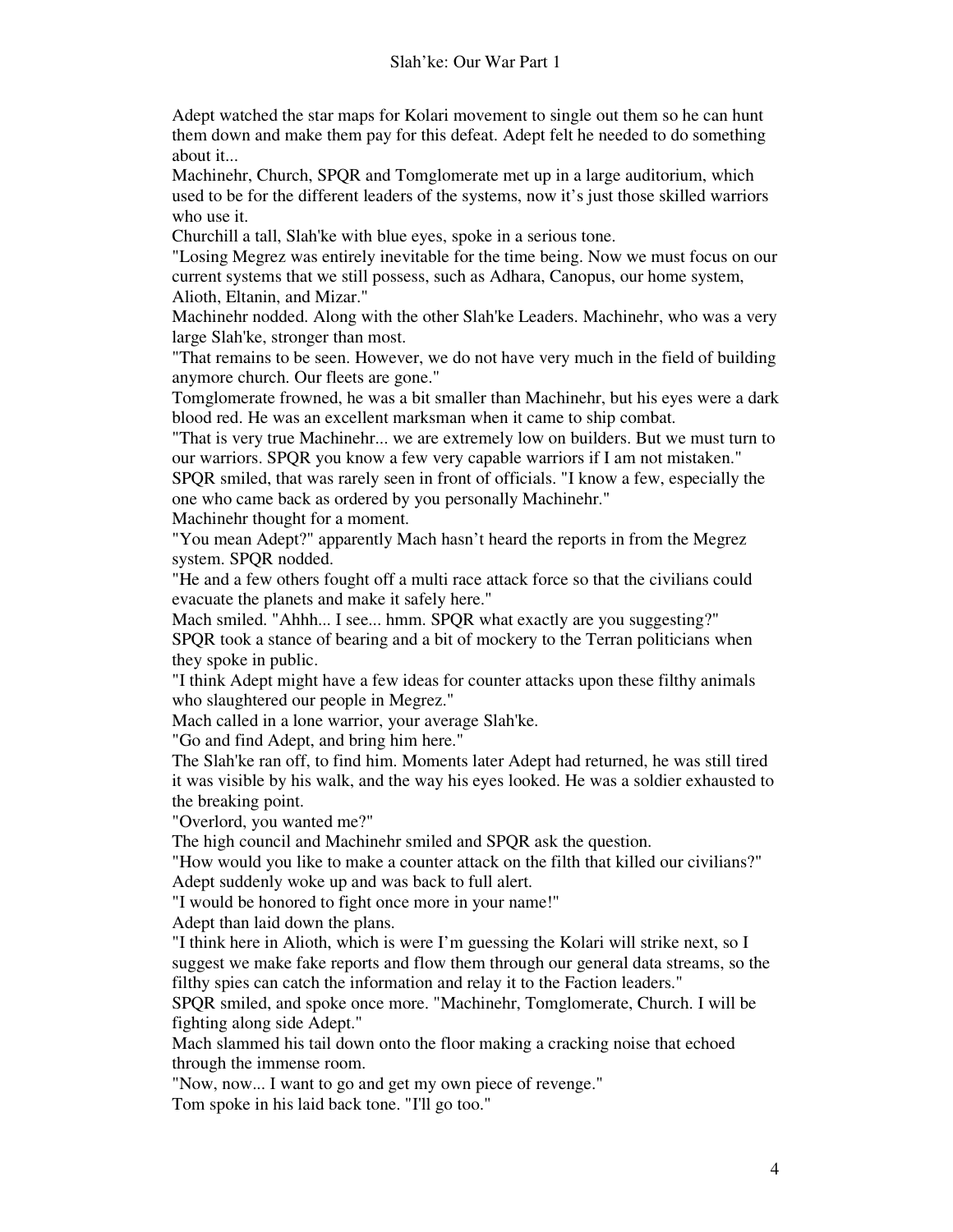Adept watched the star maps for Kolari movement to single out them so he can hunt them down and make them pay for this defeat. Adept felt he needed to do something about it...

Machinehr, Church, SPQR and Tomglomerate met up in a large auditorium, which used to be for the different leaders of the systems, now it's just those skilled warriors who use it.

Churchill a tall, Slah'ke with blue eyes, spoke in a serious tone.

"Losing Megrez was entirely inevitable for the time being. Now we must focus on our current systems that we still possess, such as Adhara, Canopus, our home system, Alioth, Eltanin, and Mizar."

Machinehr nodded. Along with the other Slah'ke Leaders. Machinehr, who was a very large Slah'ke, stronger than most.

"That remains to be seen. However, we do not have very much in the field of building anymore church. Our fleets are gone."

Tomglomerate frowned, he was a bit smaller than Machinehr, but his eyes were a dark blood red. He was an excellent marksman when it came to ship combat.

"That is very true Machinehr... we are extremely low on builders. But we must turn to our warriors. SPQR you know a few very capable warriors if I am not mistaken."

SPQR smiled, that was rarely seen in front of officials. "I know a few, especially the one who came back as ordered by you personally Machinehr."

Machinehr thought for a moment.

"You mean Adept?" apparently Mach hasn't heard the reports in from the Megrez system. SPQR nodded.

"He and a few others fought off a multi race attack force so that the civilians could evacuate the planets and make it safely here."

Mach smiled. "Ahhh... I see... hmm. SPQR what exactly are you suggesting?"

SPQR took a stance of bearing and a bit of mockery to the Terran politicians when they spoke in public.

"I think Adept might have a few ideas for counter attacks upon these filthy animals who slaughtered our people in Megrez."

Mach called in a lone warrior, your average Slah'ke.

"Go and find Adept, and bring him here."

The Slah'ke ran off, to find him. Moments later Adept had returned, he was still tired it was visible by his walk, and the way his eyes looked. He was a soldier exhausted to the breaking point.

"Overlord, you wanted me?"

The high council and Machinehr smiled and SPQR ask the question.

"How would you like to make a counter attack on the filth that killed our civilians?" Adept suddenly woke up and was back to full alert.

"I would be honored to fight once more in your name!"

Adept than laid down the plans.

"I think here in Alioth, which is were I'm guessing the Kolari will strike next, so I suggest we make fake reports and flow them through our general data streams, so the filthy spies can catch the information and relay it to the Faction leaders."

SPQR smiled, and spoke once more. "Machinehr, Tomglomerate, Church. I will be fighting along side Adept."

Mach slammed his tail down onto the floor making a cracking noise that echoed through the immense room.

"Now, now... I want to go and get my own piece of revenge." Tom spoke in his laid back tone. "I'll go too."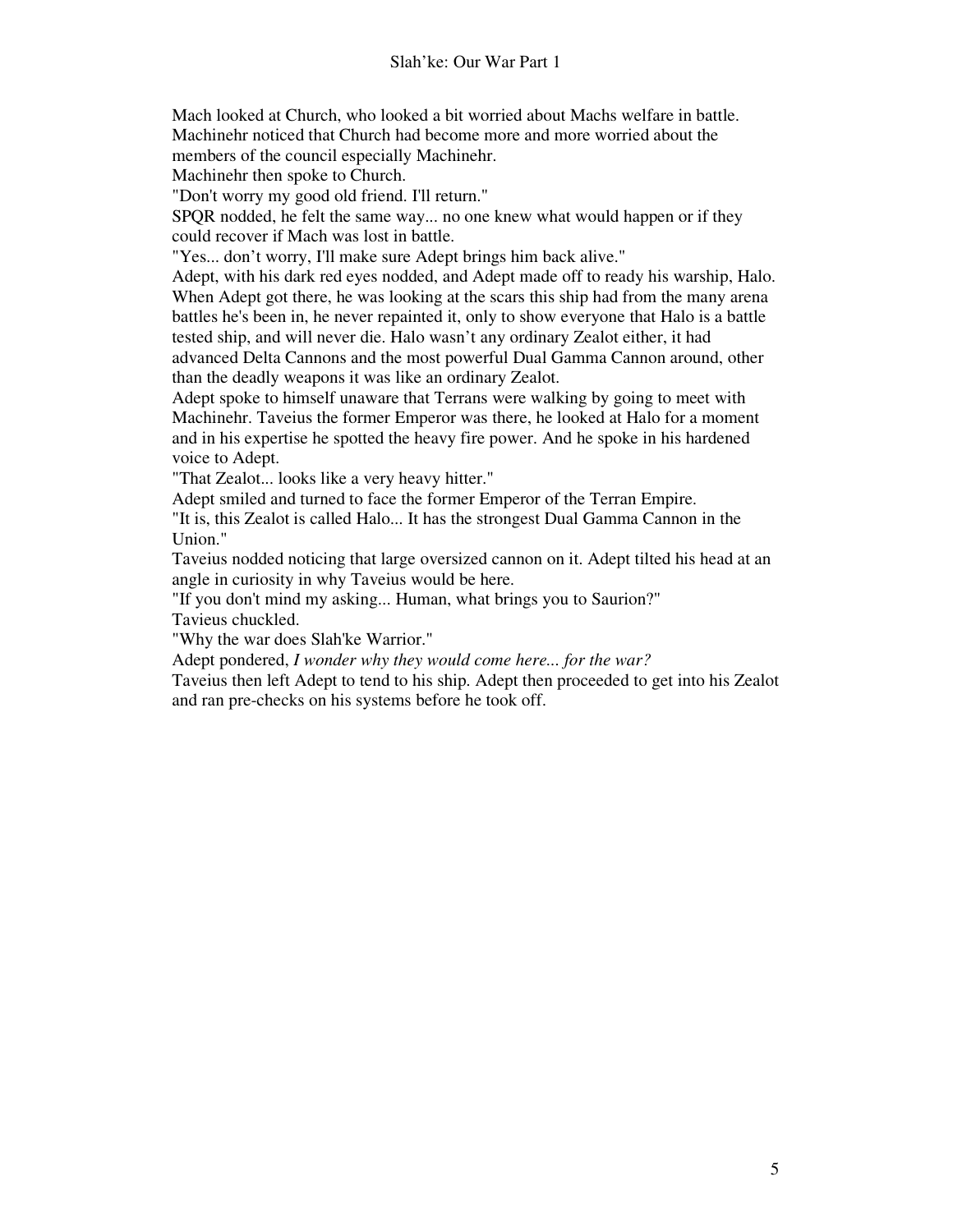Mach looked at Church, who looked a bit worried about Machs welfare in battle. Machinehr noticed that Church had become more and more worried about the members of the council especially Machinehr.

Machinehr then spoke to Church.

"Don't worry my good old friend. I'll return."

SPQR nodded, he felt the same way... no one knew what would happen or if they could recover if Mach was lost in battle.

"Yes... don't worry, I'll make sure Adept brings him back alive."

Adept, with his dark red eyes nodded, and Adept made off to ready his warship, Halo. When Adept got there, he was looking at the scars this ship had from the many arena battles he's been in, he never repainted it, only to show everyone that Halo is a battle tested ship, and will never die. Halo wasn't any ordinary Zealot either, it had advanced Delta Cannons and the most powerful Dual Gamma Cannon around, other than the deadly weapons it was like an ordinary Zealot.

Adept spoke to himself unaware that Terrans were walking by going to meet with Machinehr. Taveius the former Emperor was there, he looked at Halo for a moment and in his expertise he spotted the heavy fire power. And he spoke in his hardened voice to Adept.

"That Zealot... looks like a very heavy hitter."

Adept smiled and turned to face the former Emperor of the Terran Empire.

"It is, this Zealot is called Halo... It has the strongest Dual Gamma Cannon in the Union."

Taveius nodded noticing that large oversized cannon on it. Adept tilted his head at an angle in curiosity in why Taveius would be here.

"If you don't mind my asking... Human, what brings you to Saurion?"

Tavieus chuckled.

"Why the war does Slah'ke Warrior."

Adept pondered, *I wonder why they would come here... for the war?*

Taveius then left Adept to tend to his ship. Adept then proceeded to get into his Zealot and ran pre-checks on his systems before he took off.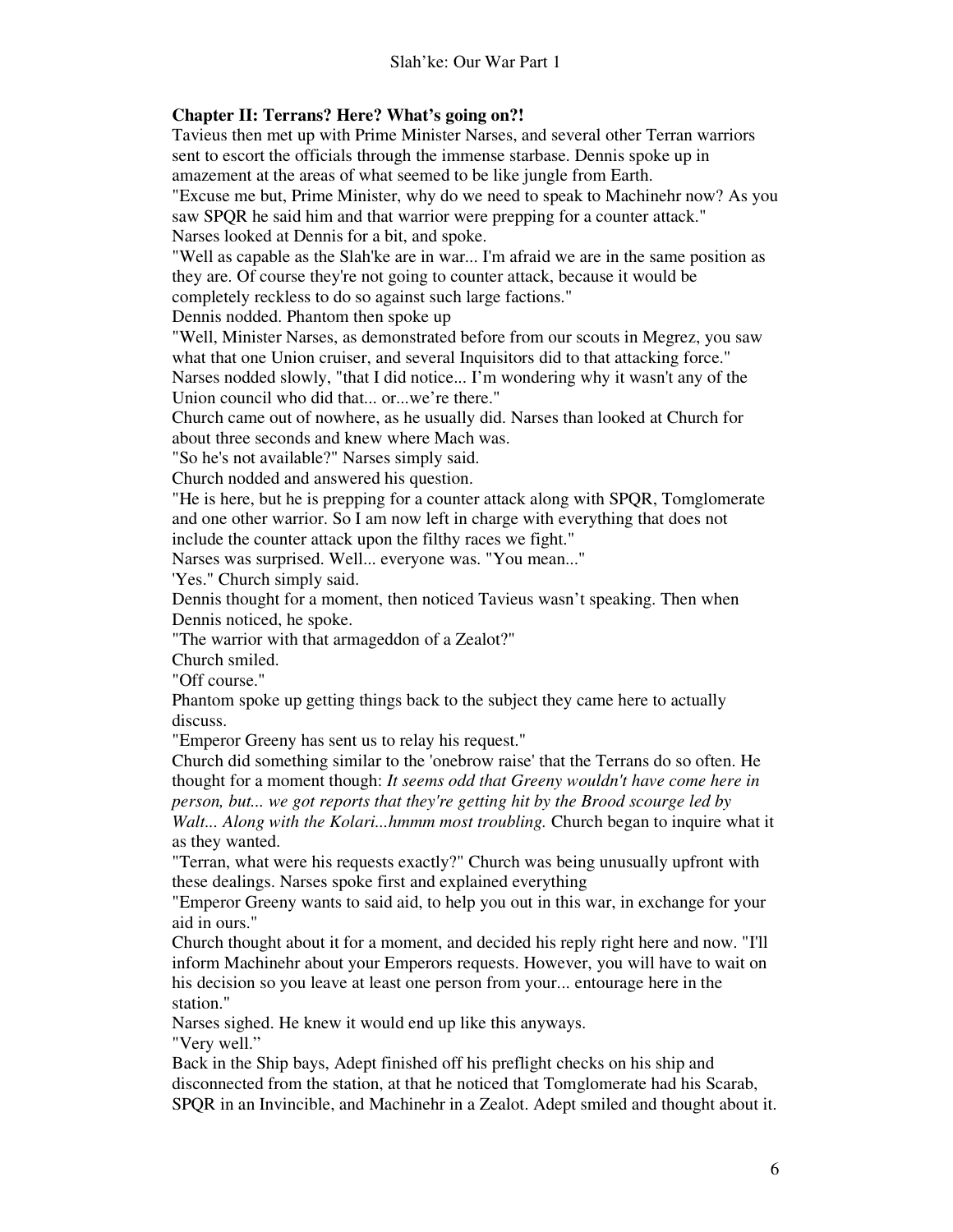# **Chapter II: Terrans? Here? What's going on?!**

Tavieus then met up with Prime Minister Narses, and several other Terran warriors sent to escort the officials through the immense starbase. Dennis spoke up in amazement at the areas of what seemed to be like jungle from Earth.

"Excuse me but, Prime Minister, why do we need to speak to Machinehr now? As you saw SPQR he said him and that warrior were prepping for a counter attack." Narses looked at Dennis for a bit, and spoke.

"Well as capable as the Slah'ke are in war... I'm afraid we are in the same position as they are. Of course they're not going to counter attack, because it would be completely reckless to do so against such large factions."

Dennis nodded. Phantom then spoke up

"Well, Minister Narses, as demonstrated before from our scouts in Megrez, you saw what that one Union cruiser, and several Inquisitors did to that attacking force."

Narses nodded slowly, "that I did notice... I'm wondering why it wasn't any of the Union council who did that... or...we're there."

Church came out of nowhere, as he usually did. Narses than looked at Church for about three seconds and knew where Mach was.

"So he's not available?" Narses simply said.

Church nodded and answered his question.

"He is here, but he is prepping for a counter attack along with SPQR, Tomglomerate and one other warrior. So I am now left in charge with everything that does not include the counter attack upon the filthy races we fight."

Narses was surprised. Well... everyone was. "You mean..."

'Yes." Church simply said.

Dennis thought for a moment, then noticed Tavieus wasn't speaking. Then when Dennis noticed, he spoke.

"The warrior with that armageddon of a Zealot?"

Church smiled.

"Off course."

Phantom spoke up getting things back to the subject they came here to actually discuss.

"Emperor Greeny has sent us to relay his request."

Church did something similar to the 'onebrow raise' that the Terrans do so often. He thought for a moment though: *It seems odd that Greeny wouldn't have come here in person, but... we got reports that they're getting hit by the Brood scourge led by* 

*Walt... Along with the Kolari...hmmm most troubling.* Church began to inquire what it as they wanted.

"Terran, what were his requests exactly?" Church was being unusually upfront with these dealings. Narses spoke first and explained everything

"Emperor Greeny wants to said aid, to help you out in this war, in exchange for your aid in ours."

Church thought about it for a moment, and decided his reply right here and now. "I'll inform Machinehr about your Emperors requests. However, you will have to wait on his decision so you leave at least one person from your... entourage here in the station."

Narses sighed. He knew it would end up like this anyways. "Very well."

Back in the Ship bays, Adept finished off his preflight checks on his ship and disconnected from the station, at that he noticed that Tomglomerate had his Scarab, SPQR in an Invincible, and Machinehr in a Zealot. Adept smiled and thought about it.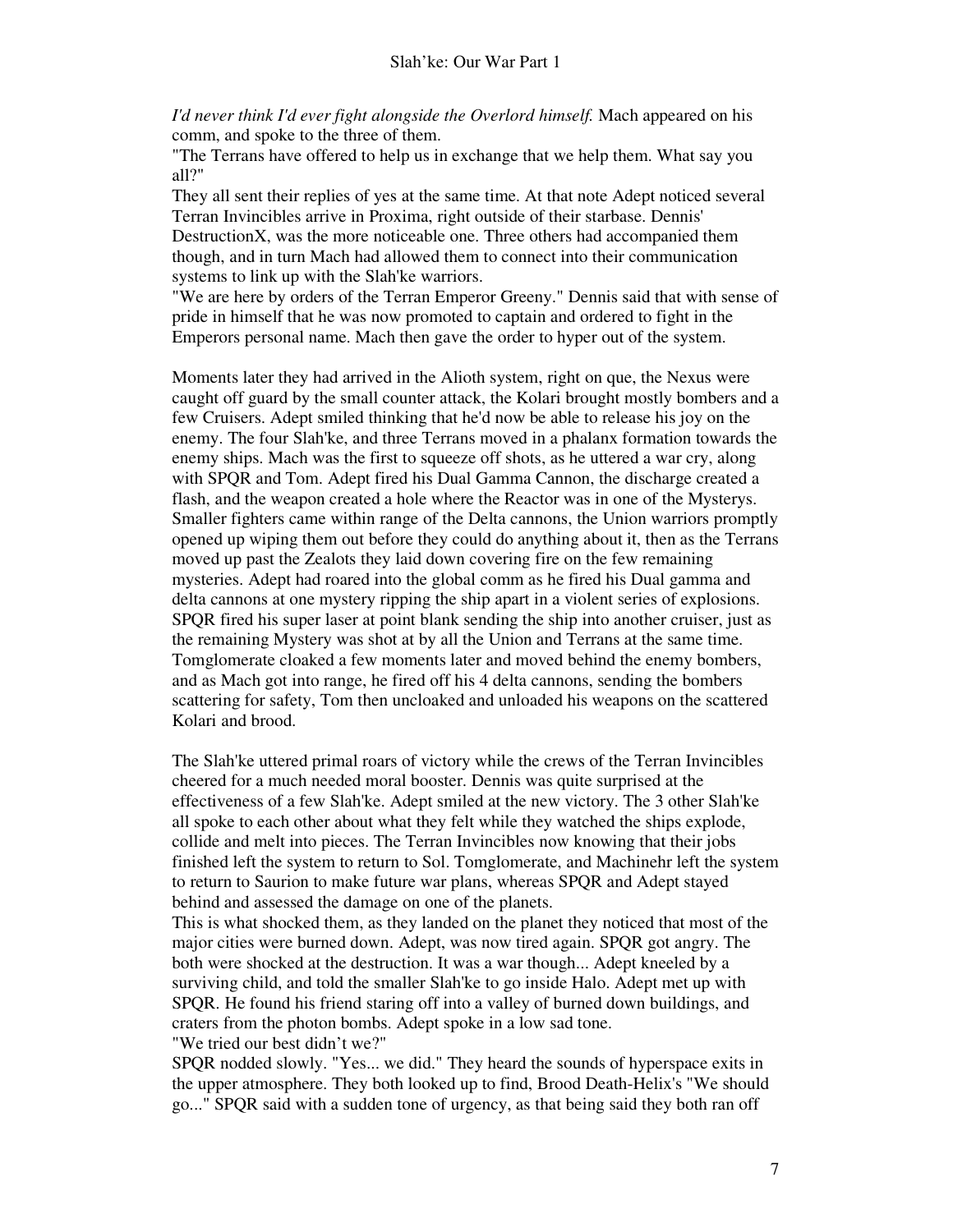*I'd never think I'd ever fight alongside the Overlord himself.* Mach appeared on his comm, and spoke to the three of them.

"The Terrans have offered to help us in exchange that we help them. What say you all?"

They all sent their replies of yes at the same time. At that note Adept noticed several Terran Invincibles arrive in Proxima, right outside of their starbase. Dennis' DestructionX, was the more noticeable one. Three others had accompanied them though, and in turn Mach had allowed them to connect into their communication systems to link up with the Slah'ke warriors.

"We are here by orders of the Terran Emperor Greeny." Dennis said that with sense of pride in himself that he was now promoted to captain and ordered to fight in the Emperors personal name. Mach then gave the order to hyper out of the system.

Moments later they had arrived in the Alioth system, right on que, the Nexus were caught off guard by the small counter attack, the Kolari brought mostly bombers and a few Cruisers. Adept smiled thinking that he'd now be able to release his joy on the enemy. The four Slah'ke, and three Terrans moved in a phalanx formation towards the enemy ships. Mach was the first to squeeze off shots, as he uttered a war cry, along with SPQR and Tom. Adept fired his Dual Gamma Cannon, the discharge created a flash, and the weapon created a hole where the Reactor was in one of the Mysterys. Smaller fighters came within range of the Delta cannons, the Union warriors promptly opened up wiping them out before they could do anything about it, then as the Terrans moved up past the Zealots they laid down covering fire on the few remaining mysteries. Adept had roared into the global comm as he fired his Dual gamma and delta cannons at one mystery ripping the ship apart in a violent series of explosions. SPQR fired his super laser at point blank sending the ship into another cruiser, just as the remaining Mystery was shot at by all the Union and Terrans at the same time. Tomglomerate cloaked a few moments later and moved behind the enemy bombers, and as Mach got into range, he fired off his 4 delta cannons, sending the bombers scattering for safety, Tom then uncloaked and unloaded his weapons on the scattered Kolari and brood.

The Slah'ke uttered primal roars of victory while the crews of the Terran Invincibles cheered for a much needed moral booster. Dennis was quite surprised at the effectiveness of a few Slah'ke. Adept smiled at the new victory. The 3 other Slah'ke all spoke to each other about what they felt while they watched the ships explode, collide and melt into pieces. The Terran Invincibles now knowing that their jobs finished left the system to return to Sol. Tomglomerate, and Machinehr left the system to return to Saurion to make future war plans, whereas SPQR and Adept stayed behind and assessed the damage on one of the planets.

This is what shocked them, as they landed on the planet they noticed that most of the major cities were burned down. Adept, was now tired again. SPQR got angry. The both were shocked at the destruction. It was a war though... Adept kneeled by a surviving child, and told the smaller Slah'ke to go inside Halo. Adept met up with SPQR. He found his friend staring off into a valley of burned down buildings, and craters from the photon bombs. Adept spoke in a low sad tone. "We tried our best didn't we?"

SPQR nodded slowly. "Yes... we did." They heard the sounds of hyperspace exits in the upper atmosphere. They both looked up to find, Brood Death-Helix's "We should go..." SPQR said with a sudden tone of urgency, as that being said they both ran off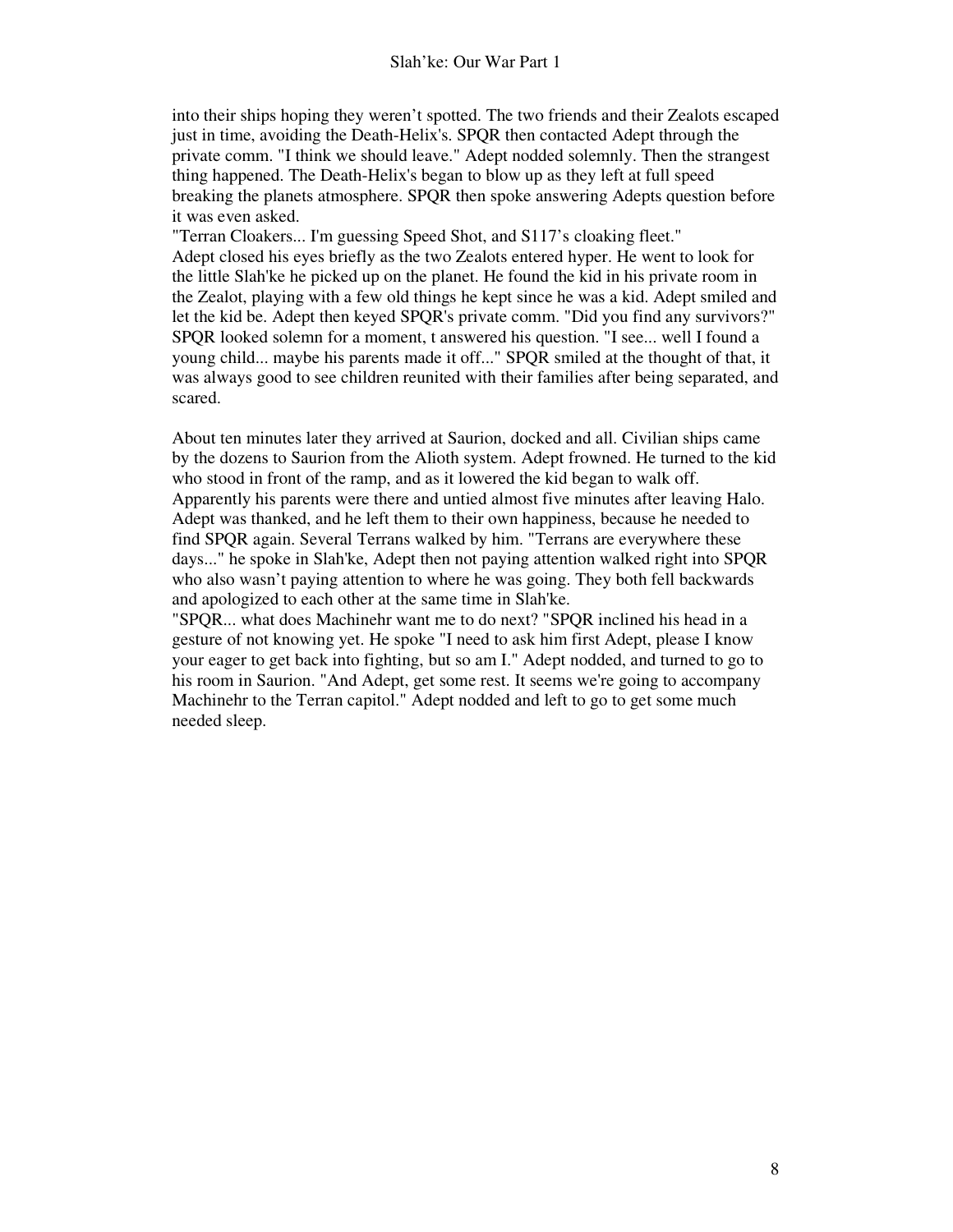into their ships hoping they weren't spotted. The two friends and their Zealots escaped just in time, avoiding the Death-Helix's. SPQR then contacted Adept through the private comm. "I think we should leave." Adept nodded solemnly. Then the strangest thing happened. The Death-Helix's began to blow up as they left at full speed breaking the planets atmosphere. SPQR then spoke answering Adepts question before it was even asked.

"Terran Cloakers... I'm guessing Speed Shot, and S117's cloaking fleet." Adept closed his eyes briefly as the two Zealots entered hyper. He went to look for the little Slah'ke he picked up on the planet. He found the kid in his private room in the Zealot, playing with a few old things he kept since he was a kid. Adept smiled and let the kid be. Adept then keyed SPQR's private comm. "Did you find any survivors?" SPQR looked solemn for a moment, t answered his question. "I see... well I found a young child... maybe his parents made it off..." SPQR smiled at the thought of that, it was always good to see children reunited with their families after being separated, and scared.

About ten minutes later they arrived at Saurion, docked and all. Civilian ships came by the dozens to Saurion from the Alioth system. Adept frowned. He turned to the kid who stood in front of the ramp, and as it lowered the kid began to walk off. Apparently his parents were there and untied almost five minutes after leaving Halo. Adept was thanked, and he left them to their own happiness, because he needed to find SPQR again. Several Terrans walked by him. "Terrans are everywhere these days..." he spoke in Slah'ke, Adept then not paying attention walked right into SPQR who also wasn't paying attention to where he was going. They both fell backwards and apologized to each other at the same time in Slah'ke.

"SPQR... what does Machinehr want me to do next? "SPQR inclined his head in a gesture of not knowing yet. He spoke "I need to ask him first Adept, please I know your eager to get back into fighting, but so am I." Adept nodded, and turned to go to his room in Saurion. "And Adept, get some rest. It seems we're going to accompany Machinehr to the Terran capitol." Adept nodded and left to go to get some much needed sleep.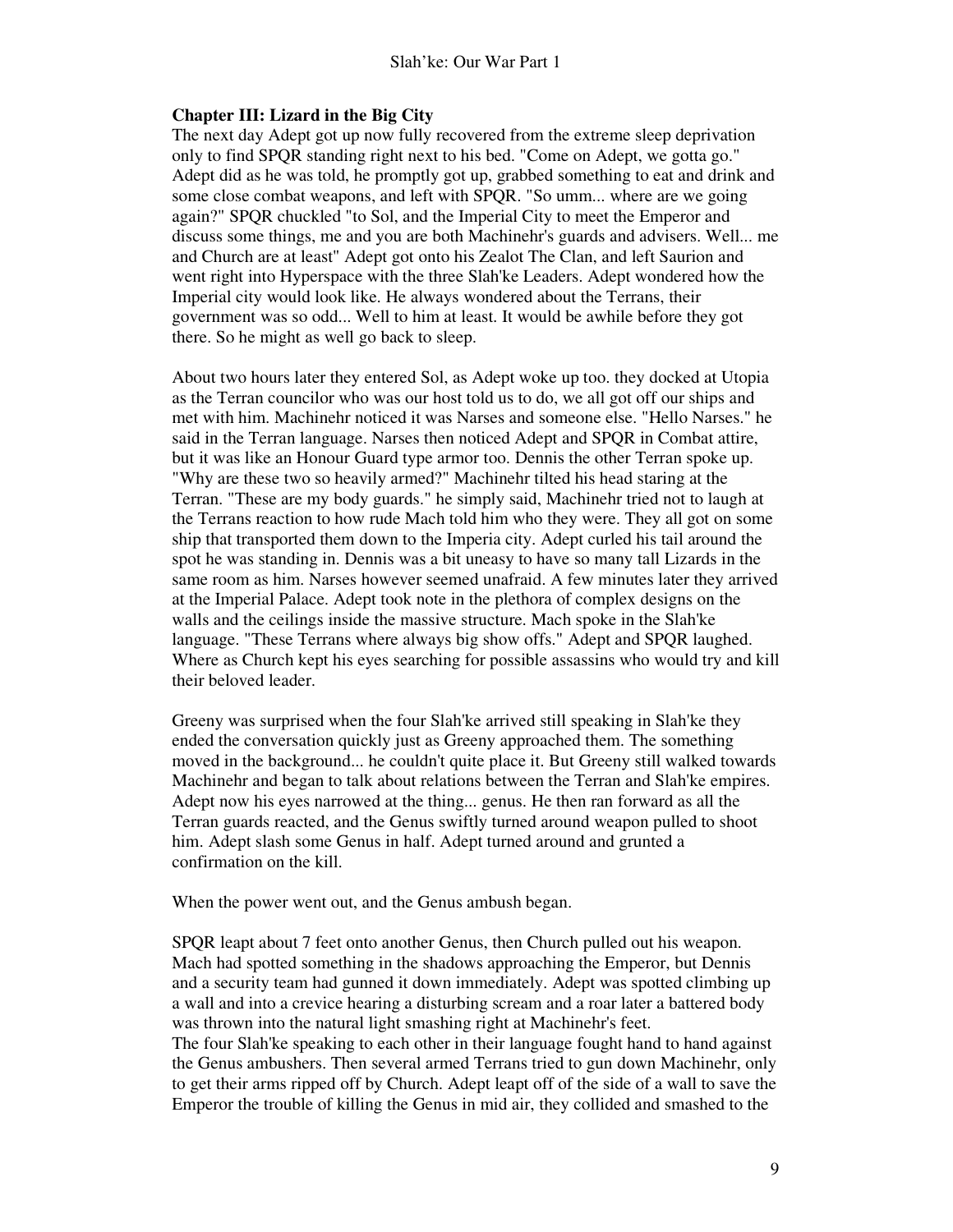# **Chapter III: Lizard in the Big City**

The next day Adept got up now fully recovered from the extreme sleep deprivation only to find SPQR standing right next to his bed. "Come on Adept, we gotta go." Adept did as he was told, he promptly got up, grabbed something to eat and drink and some close combat weapons, and left with SPQR. "So umm... where are we going again?" SPQR chuckled "to Sol, and the Imperial City to meet the Emperor and discuss some things, me and you are both Machinehr's guards and advisers. Well... me and Church are at least" Adept got onto his Zealot The Clan, and left Saurion and went right into Hyperspace with the three Slah'ke Leaders. Adept wondered how the Imperial city would look like. He always wondered about the Terrans, their government was so odd... Well to him at least. It would be awhile before they got there. So he might as well go back to sleep.

About two hours later they entered Sol, as Adept woke up too. they docked at Utopia as the Terran councilor who was our host told us to do, we all got off our ships and met with him. Machinehr noticed it was Narses and someone else. "Hello Narses." he said in the Terran language. Narses then noticed Adept and SPQR in Combat attire, but it was like an Honour Guard type armor too. Dennis the other Terran spoke up. "Why are these two so heavily armed?" Machinehr tilted his head staring at the Terran. "These are my body guards." he simply said, Machinehr tried not to laugh at the Terrans reaction to how rude Mach told him who they were. They all got on some ship that transported them down to the Imperia city. Adept curled his tail around the spot he was standing in. Dennis was a bit uneasy to have so many tall Lizards in the same room as him. Narses however seemed unafraid. A few minutes later they arrived at the Imperial Palace. Adept took note in the plethora of complex designs on the walls and the ceilings inside the massive structure. Mach spoke in the Slah'ke language. "These Terrans where always big show offs." Adept and SPQR laughed. Where as Church kept his eyes searching for possible assassins who would try and kill their beloved leader.

Greeny was surprised when the four Slah'ke arrived still speaking in Slah'ke they ended the conversation quickly just as Greeny approached them. The something moved in the background... he couldn't quite place it. But Greeny still walked towards Machinehr and began to talk about relations between the Terran and Slah'ke empires. Adept now his eyes narrowed at the thing... genus. He then ran forward as all the Terran guards reacted, and the Genus swiftly turned around weapon pulled to shoot him. Adept slash some Genus in half. Adept turned around and grunted a confirmation on the kill.

When the power went out, and the Genus ambush began.

SPQR leapt about 7 feet onto another Genus, then Church pulled out his weapon. Mach had spotted something in the shadows approaching the Emperor, but Dennis and a security team had gunned it down immediately. Adept was spotted climbing up a wall and into a crevice hearing a disturbing scream and a roar later a battered body was thrown into the natural light smashing right at Machinehr's feet. The four Slah'ke speaking to each other in their language fought hand to hand against the Genus ambushers. Then several armed Terrans tried to gun down Machinehr, only to get their arms ripped off by Church. Adept leapt off of the side of a wall to save the Emperor the trouble of killing the Genus in mid air, they collided and smashed to the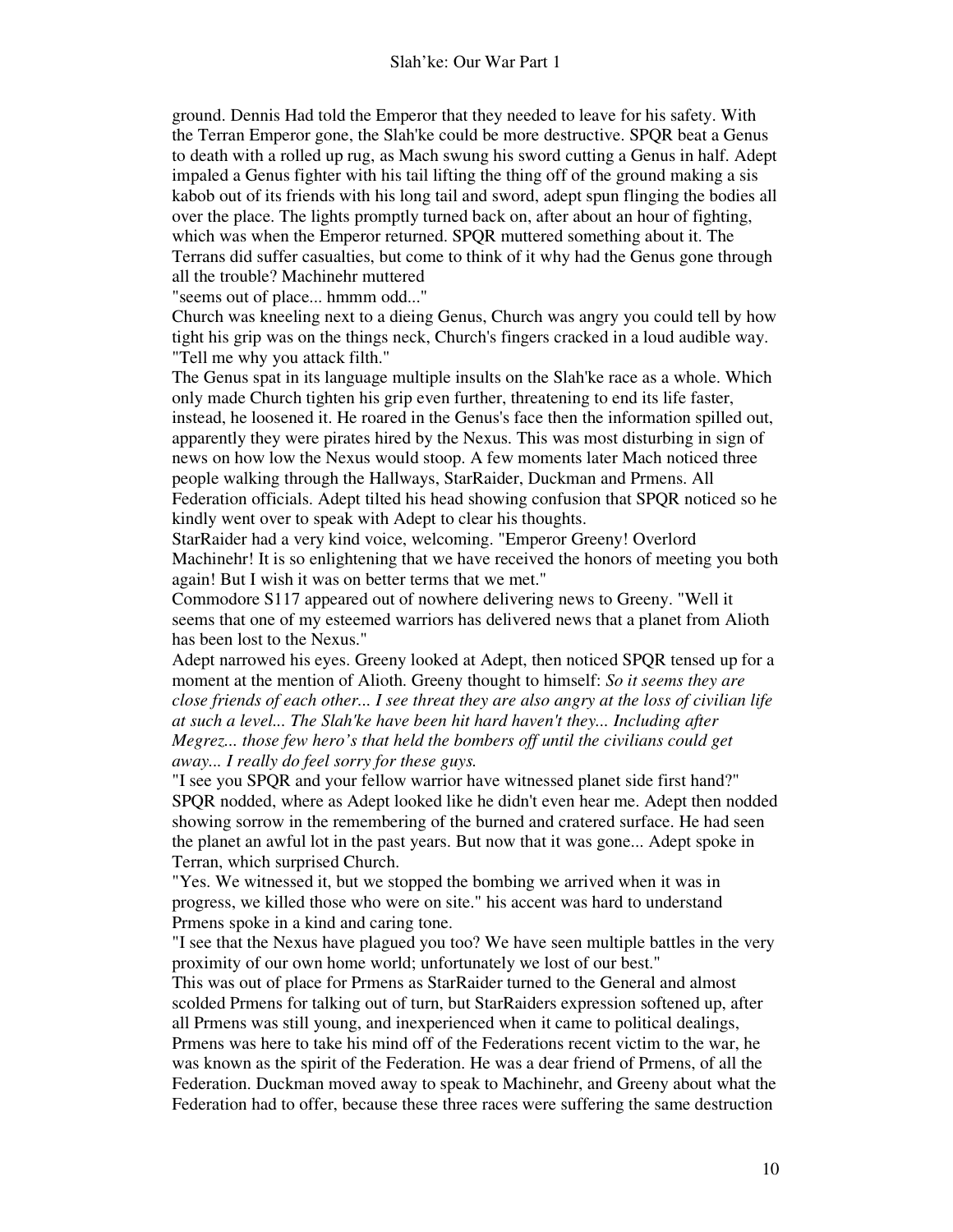ground. Dennis Had told the Emperor that they needed to leave for his safety. With the Terran Emperor gone, the Slah'ke could be more destructive. SPQR beat a Genus to death with a rolled up rug, as Mach swung his sword cutting a Genus in half. Adept impaled a Genus fighter with his tail lifting the thing off of the ground making a sis kabob out of its friends with his long tail and sword, adept spun flinging the bodies all over the place. The lights promptly turned back on, after about an hour of fighting, which was when the Emperor returned. SPQR muttered something about it. The Terrans did suffer casualties, but come to think of it why had the Genus gone through all the trouble? Machinehr muttered

"seems out of place... hmmm odd..."

Church was kneeling next to a dieing Genus, Church was angry you could tell by how tight his grip was on the things neck, Church's fingers cracked in a loud audible way. "Tell me why you attack filth."

The Genus spat in its language multiple insults on the Slah'ke race as a whole. Which only made Church tighten his grip even further, threatening to end its life faster, instead, he loosened it. He roared in the Genus's face then the information spilled out, apparently they were pirates hired by the Nexus. This was most disturbing in sign of news on how low the Nexus would stoop. A few moments later Mach noticed three people walking through the Hallways, StarRaider, Duckman and Prmens. All Federation officials. Adept tilted his head showing confusion that SPQR noticed so he kindly went over to speak with Adept to clear his thoughts.

StarRaider had a very kind voice, welcoming. "Emperor Greeny! Overlord Machinehr! It is so enlightening that we have received the honors of meeting you both again! But I wish it was on better terms that we met."

Commodore S117 appeared out of nowhere delivering news to Greeny. "Well it seems that one of my esteemed warriors has delivered news that a planet from Alioth has been lost to the Nexus."

Adept narrowed his eyes. Greeny looked at Adept, then noticed SPQR tensed up for a moment at the mention of Alioth. Greeny thought to himself: *So it seems they are close friends of each other... I see threat they are also angry at the loss of civilian life at such a level... The Slah'ke have been hit hard haven't they... Including after Megrez... those few hero's that held the bombers off until the civilians could get away... I really do feel sorry for these guys.*

"I see you SPQR and your fellow warrior have witnessed planet side first hand?" SPQR nodded, where as Adept looked like he didn't even hear me. Adept then nodded showing sorrow in the remembering of the burned and cratered surface. He had seen the planet an awful lot in the past years. But now that it was gone... Adept spoke in Terran, which surprised Church.

"Yes. We witnessed it, but we stopped the bombing we arrived when it was in progress, we killed those who were on site." his accent was hard to understand Prmens spoke in a kind and caring tone.

"I see that the Nexus have plagued you too? We have seen multiple battles in the very proximity of our own home world; unfortunately we lost of our best."

This was out of place for Prmens as StarRaider turned to the General and almost scolded Prmens for talking out of turn, but StarRaiders expression softened up, after all Prmens was still young, and inexperienced when it came to political dealings, Prmens was here to take his mind off of the Federations recent victim to the war, he was known as the spirit of the Federation. He was a dear friend of Prmens, of all the Federation. Duckman moved away to speak to Machinehr, and Greeny about what the Federation had to offer, because these three races were suffering the same destruction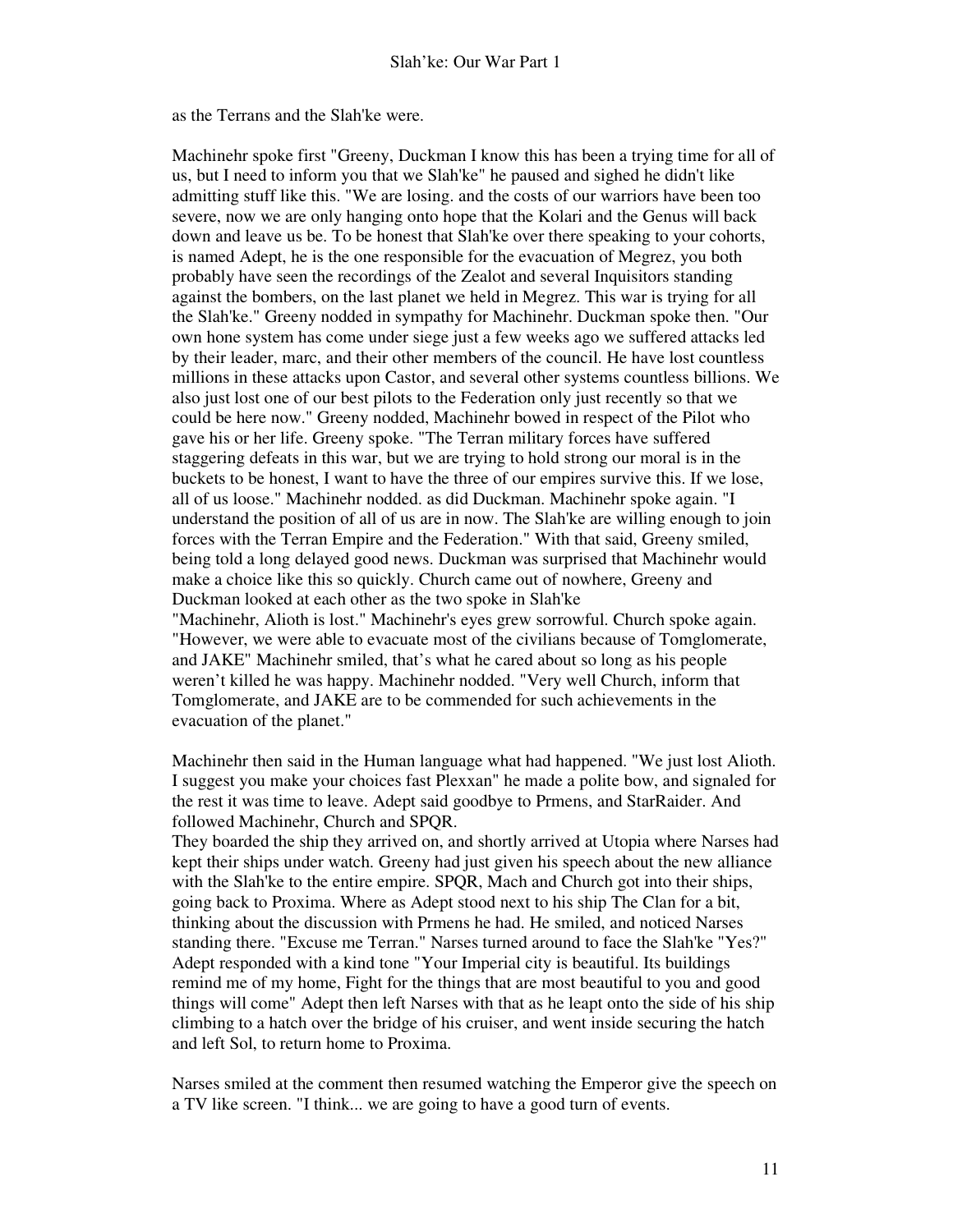as the Terrans and the Slah'ke were.

Machinehr spoke first "Greeny, Duckman I know this has been a trying time for all of us, but I need to inform you that we Slah'ke" he paused and sighed he didn't like admitting stuff like this. "We are losing. and the costs of our warriors have been too severe, now we are only hanging onto hope that the Kolari and the Genus will back down and leave us be. To be honest that Slah'ke over there speaking to your cohorts, is named Adept, he is the one responsible for the evacuation of Megrez, you both probably have seen the recordings of the Zealot and several Inquisitors standing against the bombers, on the last planet we held in Megrez. This war is trying for all the Slah'ke." Greeny nodded in sympathy for Machinehr. Duckman spoke then. "Our own hone system has come under siege just a few weeks ago we suffered attacks led by their leader, marc, and their other members of the council. He have lost countless millions in these attacks upon Castor, and several other systems countless billions. We also just lost one of our best pilots to the Federation only just recently so that we could be here now." Greeny nodded, Machinehr bowed in respect of the Pilot who gave his or her life. Greeny spoke. "The Terran military forces have suffered staggering defeats in this war, but we are trying to hold strong our moral is in the buckets to be honest, I want to have the three of our empires survive this. If we lose, all of us loose." Machinehr nodded. as did Duckman. Machinehr spoke again. "I understand the position of all of us are in now. The Slah'ke are willing enough to join forces with the Terran Empire and the Federation." With that said, Greeny smiled, being told a long delayed good news. Duckman was surprised that Machinehr would make a choice like this so quickly. Church came out of nowhere, Greeny and Duckman looked at each other as the two spoke in Slah'ke "Machinehr, Alioth is lost." Machinehr's eyes grew sorrowful. Church spoke again.

"However, we were able to evacuate most of the civilians because of Tomglomerate, and JAKE" Machinehr smiled, that's what he cared about so long as his people weren't killed he was happy. Machinehr nodded. "Very well Church, inform that Tomglomerate, and JAKE are to be commended for such achievements in the evacuation of the planet."

Machinehr then said in the Human language what had happened. "We just lost Alioth. I suggest you make your choices fast Plexxan" he made a polite bow, and signaled for the rest it was time to leave. Adept said goodbye to Prmens, and StarRaider. And followed Machinehr, Church and SPQR.

They boarded the ship they arrived on, and shortly arrived at Utopia where Narses had kept their ships under watch. Greeny had just given his speech about the new alliance with the Slah'ke to the entire empire. SPQR, Mach and Church got into their ships, going back to Proxima. Where as Adept stood next to his ship The Clan for a bit, thinking about the discussion with Prmens he had. He smiled, and noticed Narses standing there. "Excuse me Terran." Narses turned around to face the Slah'ke "Yes?" Adept responded with a kind tone "Your Imperial city is beautiful. Its buildings remind me of my home, Fight for the things that are most beautiful to you and good things will come" Adept then left Narses with that as he leapt onto the side of his ship climbing to a hatch over the bridge of his cruiser, and went inside securing the hatch and left Sol, to return home to Proxima.

Narses smiled at the comment then resumed watching the Emperor give the speech on a TV like screen. "I think... we are going to have a good turn of events.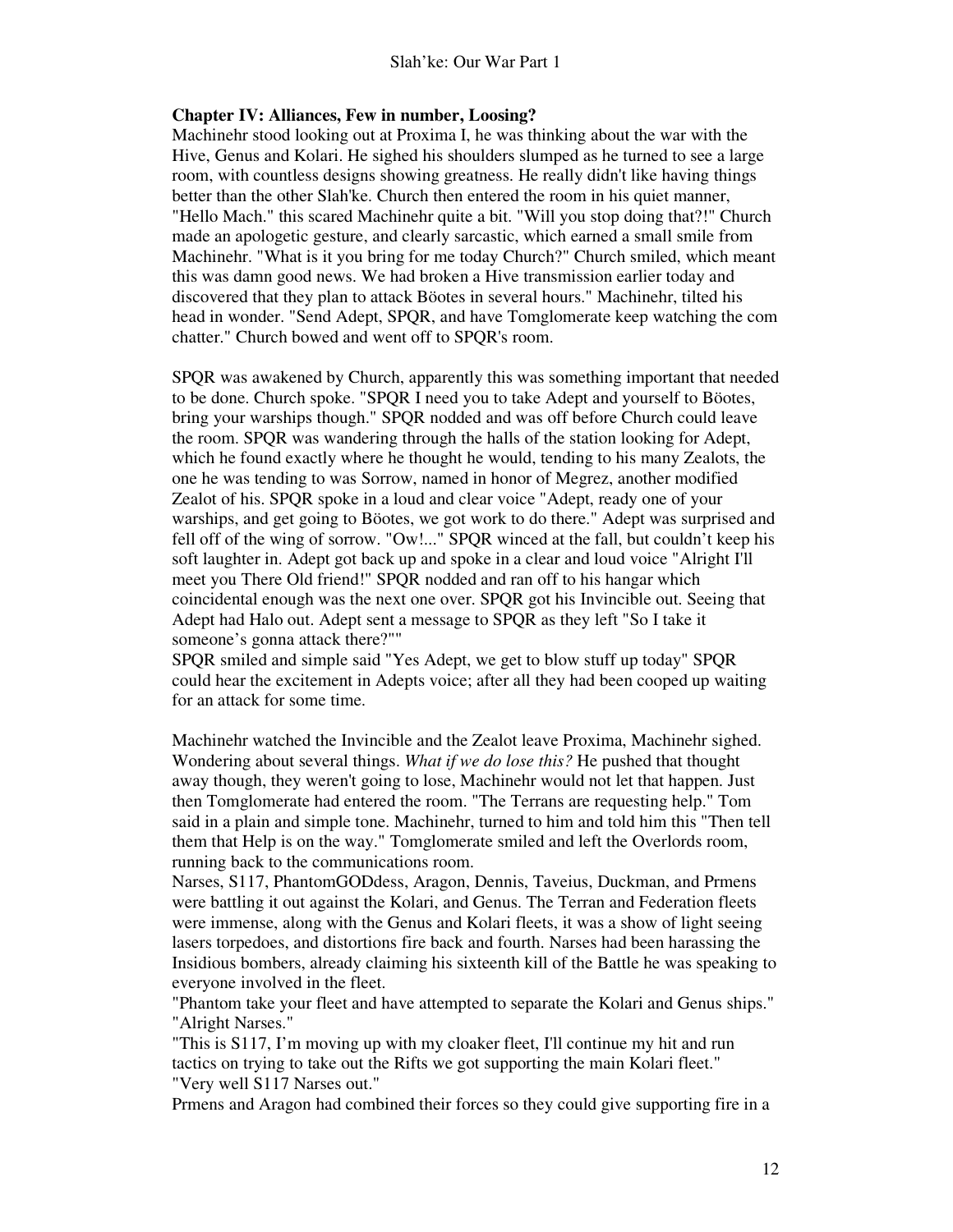#### **Chapter IV: Alliances, Few in number, Loosing?**

Machinehr stood looking out at Proxima I, he was thinking about the war with the Hive, Genus and Kolari. He sighed his shoulders slumped as he turned to see a large room, with countless designs showing greatness. He really didn't like having things better than the other Slah'ke. Church then entered the room in his quiet manner, "Hello Mach." this scared Machinehr quite a bit. "Will you stop doing that?!" Church made an apologetic gesture, and clearly sarcastic, which earned a small smile from Machinehr. "What is it you bring for me today Church?" Church smiled, which meant this was damn good news. We had broken a Hive transmission earlier today and discovered that they plan to attack Böotes in several hours." Machinehr, tilted his head in wonder. "Send Adept, SPQR, and have Tomglomerate keep watching the com chatter." Church bowed and went off to SPQR's room.

SPQR was awakened by Church, apparently this was something important that needed to be done. Church spoke. "SPQR I need you to take Adept and yourself to Böotes, bring your warships though." SPQR nodded and was off before Church could leave the room. SPQR was wandering through the halls of the station looking for Adept, which he found exactly where he thought he would, tending to his many Zealots, the one he was tending to was Sorrow, named in honor of Megrez, another modified Zealot of his. SPQR spoke in a loud and clear voice "Adept, ready one of your warships, and get going to Böotes, we got work to do there." Adept was surprised and fell off of the wing of sorrow. "Ow!..." SPQR winced at the fall, but couldn't keep his soft laughter in. Adept got back up and spoke in a clear and loud voice "Alright I'll meet you There Old friend!" SPQR nodded and ran off to his hangar which coincidental enough was the next one over. SPQR got his Invincible out. Seeing that Adept had Halo out. Adept sent a message to SPQR as they left "So I take it someone's gonna attack there?""

SPQR smiled and simple said "Yes Adept, we get to blow stuff up today" SPQR could hear the excitement in Adepts voice; after all they had been cooped up waiting for an attack for some time.

Machinehr watched the Invincible and the Zealot leave Proxima, Machinehr sighed. Wondering about several things. *What if we do lose this?* He pushed that thought away though, they weren't going to lose, Machinehr would not let that happen. Just then Tomglomerate had entered the room. "The Terrans are requesting help." Tom said in a plain and simple tone. Machinehr, turned to him and told him this "Then tell them that Help is on the way." Tomglomerate smiled and left the Overlords room, running back to the communications room.

Narses, S117, PhantomGODdess, Aragon, Dennis, Taveius, Duckman, and Prmens were battling it out against the Kolari, and Genus. The Terran and Federation fleets were immense, along with the Genus and Kolari fleets, it was a show of light seeing lasers torpedoes, and distortions fire back and fourth. Narses had been harassing the Insidious bombers, already claiming his sixteenth kill of the Battle he was speaking to everyone involved in the fleet.

"Phantom take your fleet and have attempted to separate the Kolari and Genus ships." "Alright Narses."

"This is S117, I'm moving up with my cloaker fleet, I'll continue my hit and run tactics on trying to take out the Rifts we got supporting the main Kolari fleet." "Very well S117 Narses out."

Prmens and Aragon had combined their forces so they could give supporting fire in a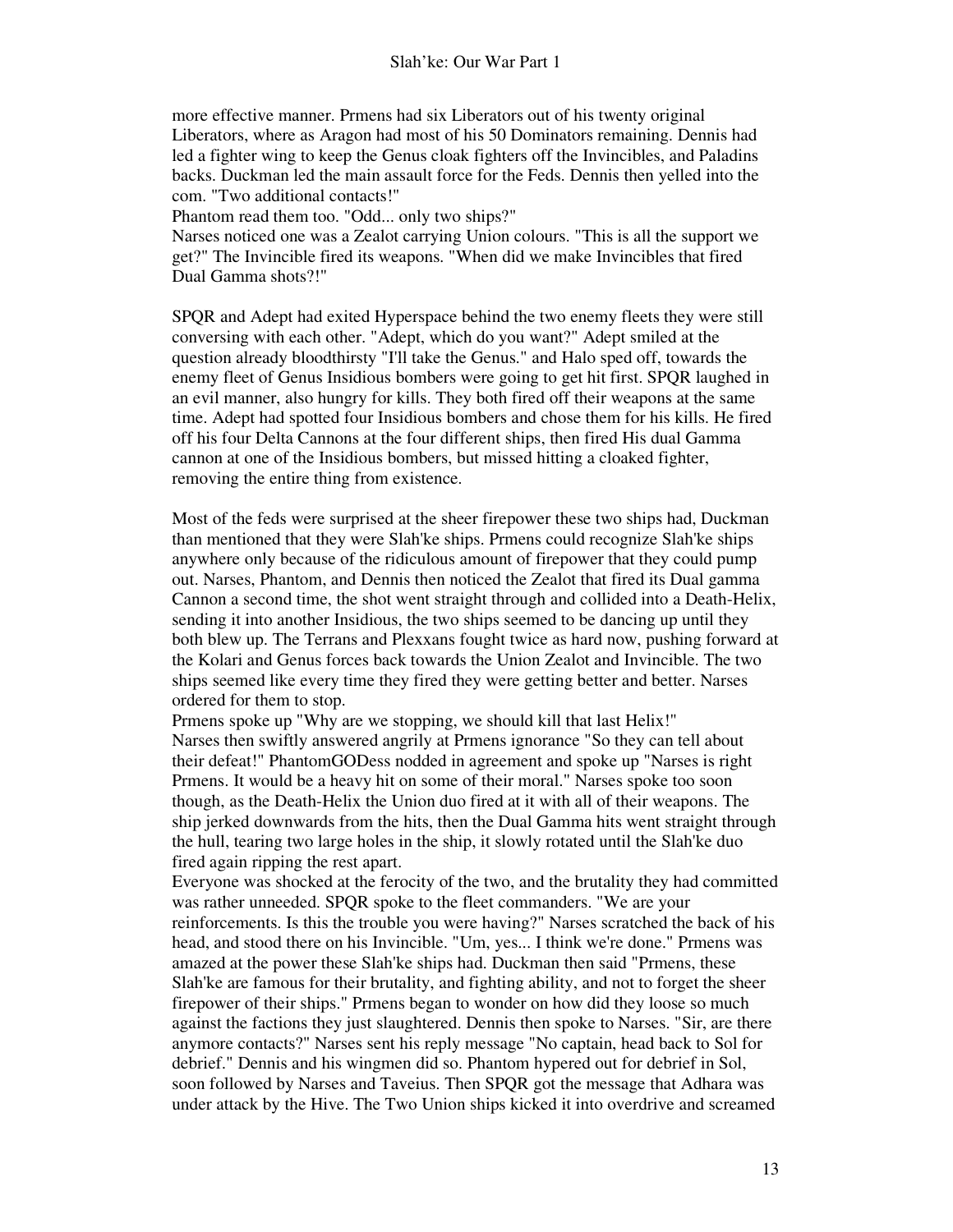more effective manner. Prmens had six Liberators out of his twenty original Liberators, where as Aragon had most of his 50 Dominators remaining. Dennis had led a fighter wing to keep the Genus cloak fighters off the Invincibles, and Paladins backs. Duckman led the main assault force for the Feds. Dennis then yelled into the com. "Two additional contacts!"

Phantom read them too. "Odd... only two ships?"

Narses noticed one was a Zealot carrying Union colours. "This is all the support we get?" The Invincible fired its weapons. "When did we make Invincibles that fired Dual Gamma shots?!"

SPQR and Adept had exited Hyperspace behind the two enemy fleets they were still conversing with each other. "Adept, which do you want?" Adept smiled at the question already bloodthirsty "I'll take the Genus." and Halo sped off, towards the enemy fleet of Genus Insidious bombers were going to get hit first. SPQR laughed in an evil manner, also hungry for kills. They both fired off their weapons at the same time. Adept had spotted four Insidious bombers and chose them for his kills. He fired off his four Delta Cannons at the four different ships, then fired His dual Gamma cannon at one of the Insidious bombers, but missed hitting a cloaked fighter, removing the entire thing from existence.

Most of the feds were surprised at the sheer firepower these two ships had, Duckman than mentioned that they were Slah'ke ships. Prmens could recognize Slah'ke ships anywhere only because of the ridiculous amount of firepower that they could pump out. Narses, Phantom, and Dennis then noticed the Zealot that fired its Dual gamma Cannon a second time, the shot went straight through and collided into a Death-Helix, sending it into another Insidious, the two ships seemed to be dancing up until they both blew up. The Terrans and Plexxans fought twice as hard now, pushing forward at the Kolari and Genus forces back towards the Union Zealot and Invincible. The two ships seemed like every time they fired they were getting better and better. Narses ordered for them to stop.

Prmens spoke up "Why are we stopping, we should kill that last Helix!" Narses then swiftly answered angrily at Prmens ignorance "So they can tell about their defeat!" PhantomGODess nodded in agreement and spoke up "Narses is right Prmens. It would be a heavy hit on some of their moral." Narses spoke too soon though, as the Death-Helix the Union duo fired at it with all of their weapons. The ship jerked downwards from the hits, then the Dual Gamma hits went straight through the hull, tearing two large holes in the ship, it slowly rotated until the Slah'ke duo fired again ripping the rest apart.

Everyone was shocked at the ferocity of the two, and the brutality they had committed was rather unneeded. SPQR spoke to the fleet commanders. "We are your reinforcements. Is this the trouble you were having?" Narses scratched the back of his head, and stood there on his Invincible. "Um, yes... I think we're done." Prmens was amazed at the power these Slah'ke ships had. Duckman then said "Prmens, these Slah'ke are famous for their brutality, and fighting ability, and not to forget the sheer firepower of their ships." Prmens began to wonder on how did they loose so much against the factions they just slaughtered. Dennis then spoke to Narses. "Sir, are there anymore contacts?" Narses sent his reply message "No captain, head back to Sol for debrief." Dennis and his wingmen did so. Phantom hypered out for debrief in Sol, soon followed by Narses and Taveius. Then SPQR got the message that Adhara was under attack by the Hive. The Two Union ships kicked it into overdrive and screamed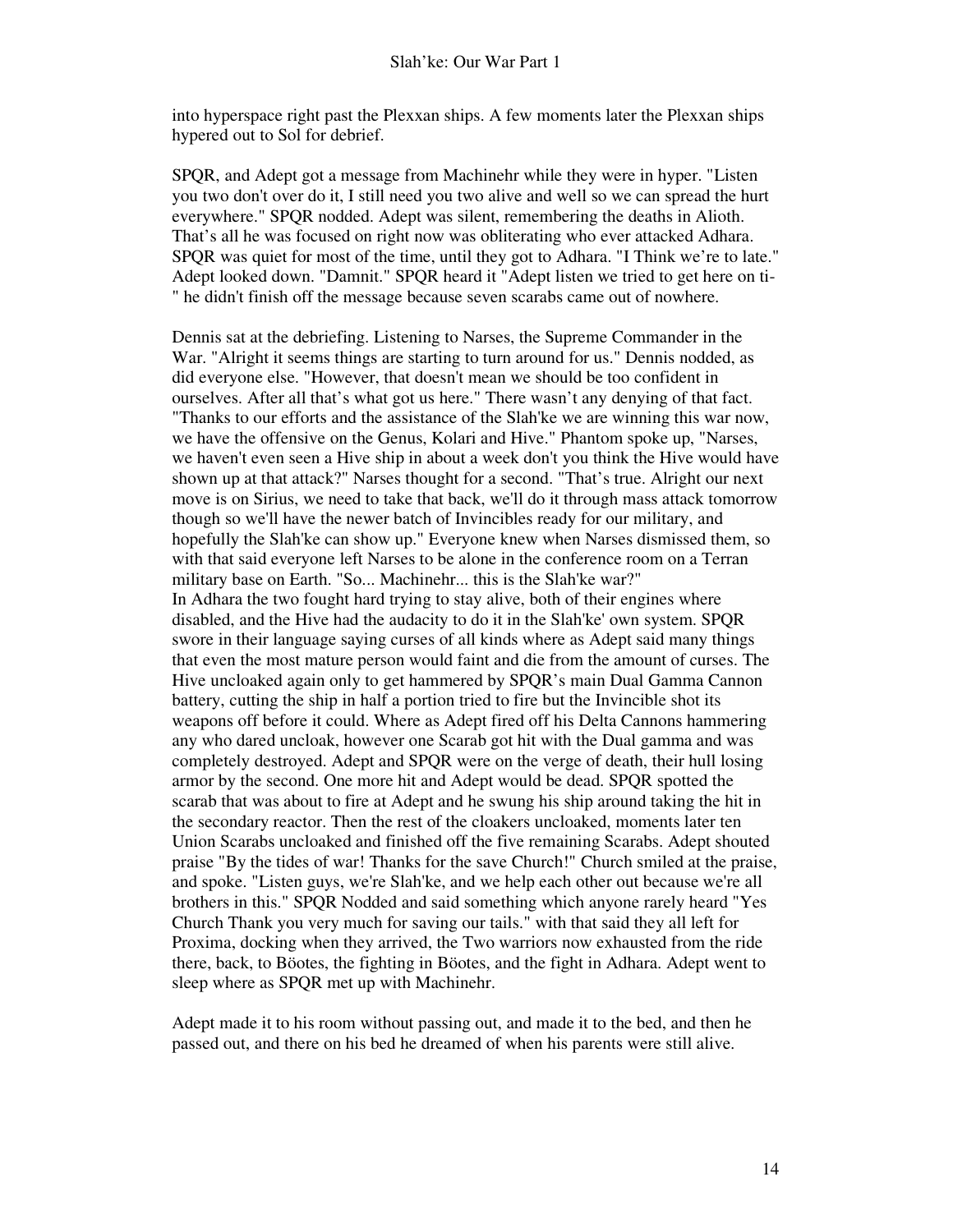into hyperspace right past the Plexxan ships. A few moments later the Plexxan ships hypered out to Sol for debrief.

SPQR, and Adept got a message from Machinehr while they were in hyper. "Listen you two don't over do it, I still need you two alive and well so we can spread the hurt everywhere." SPQR nodded. Adept was silent, remembering the deaths in Alioth. That's all he was focused on right now was obliterating who ever attacked Adhara. SPQR was quiet for most of the time, until they got to Adhara. "I Think we're to late." Adept looked down. "Damnit." SPQR heard it "Adept listen we tried to get here on ti- " he didn't finish off the message because seven scarabs came out of nowhere.

Dennis sat at the debriefing. Listening to Narses, the Supreme Commander in the War. "Alright it seems things are starting to turn around for us." Dennis nodded, as did everyone else. "However, that doesn't mean we should be too confident in ourselves. After all that's what got us here." There wasn't any denying of that fact. "Thanks to our efforts and the assistance of the Slah'ke we are winning this war now, we have the offensive on the Genus, Kolari and Hive." Phantom spoke up, "Narses, we haven't even seen a Hive ship in about a week don't you think the Hive would have shown up at that attack?" Narses thought for a second. "That's true. Alright our next move is on Sirius, we need to take that back, we'll do it through mass attack tomorrow though so we'll have the newer batch of Invincibles ready for our military, and hopefully the Slah'ke can show up." Everyone knew when Narses dismissed them, so with that said everyone left Narses to be alone in the conference room on a Terran military base on Earth. "So... Machinehr... this is the Slah'ke war?" In Adhara the two fought hard trying to stay alive, both of their engines where disabled, and the Hive had the audacity to do it in the Slah'ke' own system. SPQR swore in their language saying curses of all kinds where as Adept said many things that even the most mature person would faint and die from the amount of curses. The Hive uncloaked again only to get hammered by SPQR's main Dual Gamma Cannon battery, cutting the ship in half a portion tried to fire but the Invincible shot its weapons off before it could. Where as Adept fired off his Delta Cannons hammering any who dared uncloak, however one Scarab got hit with the Dual gamma and was completely destroyed. Adept and SPQR were on the verge of death, their hull losing armor by the second. One more hit and Adept would be dead. SPQR spotted the scarab that was about to fire at Adept and he swung his ship around taking the hit in the secondary reactor. Then the rest of the cloakers uncloaked, moments later ten Union Scarabs uncloaked and finished off the five remaining Scarabs. Adept shouted praise "By the tides of war! Thanks for the save Church!" Church smiled at the praise, and spoke. "Listen guys, we're Slah'ke, and we help each other out because we're all brothers in this." SPQR Nodded and said something which anyone rarely heard "Yes Church Thank you very much for saving our tails." with that said they all left for Proxima, docking when they arrived, the Two warriors now exhausted from the ride there, back, to Böotes, the fighting in Böotes, and the fight in Adhara. Adept went to sleep where as SPQR met up with Machinehr.

Adept made it to his room without passing out, and made it to the bed, and then he passed out, and there on his bed he dreamed of when his parents were still alive.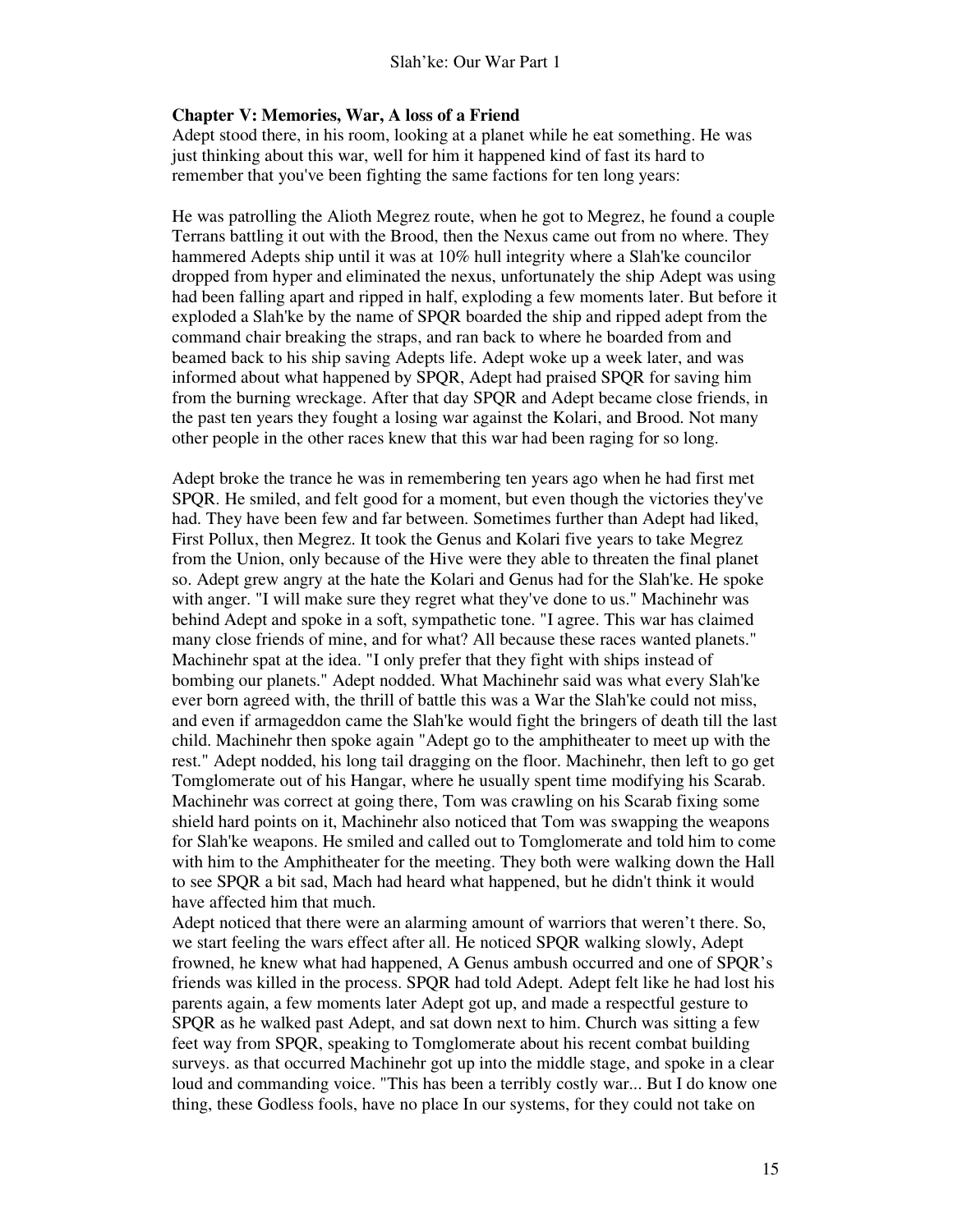#### **Chapter V: Memories, War, A loss of a Friend**

Adept stood there, in his room, looking at a planet while he eat something. He was just thinking about this war, well for him it happened kind of fast its hard to remember that you've been fighting the same factions for ten long years:

He was patrolling the Alioth Megrez route, when he got to Megrez, he found a couple Terrans battling it out with the Brood, then the Nexus came out from no where. They hammered Adepts ship until it was at 10% hull integrity where a Slah'ke councilor dropped from hyper and eliminated the nexus, unfortunately the ship Adept was using had been falling apart and ripped in half, exploding a few moments later. But before it exploded a Slah'ke by the name of SPQR boarded the ship and ripped adept from the command chair breaking the straps, and ran back to where he boarded from and beamed back to his ship saving Adepts life. Adept woke up a week later, and was informed about what happened by SPQR, Adept had praised SPQR for saving him from the burning wreckage. After that day SPQR and Adept became close friends, in the past ten years they fought a losing war against the Kolari, and Brood. Not many other people in the other races knew that this war had been raging for so long.

Adept broke the trance he was in remembering ten years ago when he had first met SPQR. He smiled, and felt good for a moment, but even though the victories they've had. They have been few and far between. Sometimes further than Adept had liked, First Pollux, then Megrez. It took the Genus and Kolari five years to take Megrez from the Union, only because of the Hive were they able to threaten the final planet so. Adept grew angry at the hate the Kolari and Genus had for the Slah'ke. He spoke with anger. "I will make sure they regret what they've done to us." Machinehr was behind Adept and spoke in a soft, sympathetic tone. "I agree. This war has claimed many close friends of mine, and for what? All because these races wanted planets." Machinehr spat at the idea. "I only prefer that they fight with ships instead of bombing our planets." Adept nodded. What Machinehr said was what every Slah'ke ever born agreed with, the thrill of battle this was a War the Slah'ke could not miss, and even if armageddon came the Slah'ke would fight the bringers of death till the last child. Machinehr then spoke again "Adept go to the amphitheater to meet up with the rest." Adept nodded, his long tail dragging on the floor. Machinehr, then left to go get Tomglomerate out of his Hangar, where he usually spent time modifying his Scarab. Machinehr was correct at going there, Tom was crawling on his Scarab fixing some shield hard points on it, Machinehr also noticed that Tom was swapping the weapons for Slah'ke weapons. He smiled and called out to Tomglomerate and told him to come with him to the Amphitheater for the meeting. They both were walking down the Hall to see SPQR a bit sad, Mach had heard what happened, but he didn't think it would have affected him that much.

Adept noticed that there were an alarming amount of warriors that weren't there. So, we start feeling the wars effect after all. He noticed SPQR walking slowly, Adept frowned, he knew what had happened, A Genus ambush occurred and one of SPQR's friends was killed in the process. SPQR had told Adept. Adept felt like he had lost his parents again, a few moments later Adept got up, and made a respectful gesture to SPQR as he walked past Adept, and sat down next to him. Church was sitting a few feet way from SPQR, speaking to Tomglomerate about his recent combat building surveys. as that occurred Machinehr got up into the middle stage, and spoke in a clear loud and commanding voice. "This has been a terribly costly war... But I do know one thing, these Godless fools, have no place In our systems, for they could not take on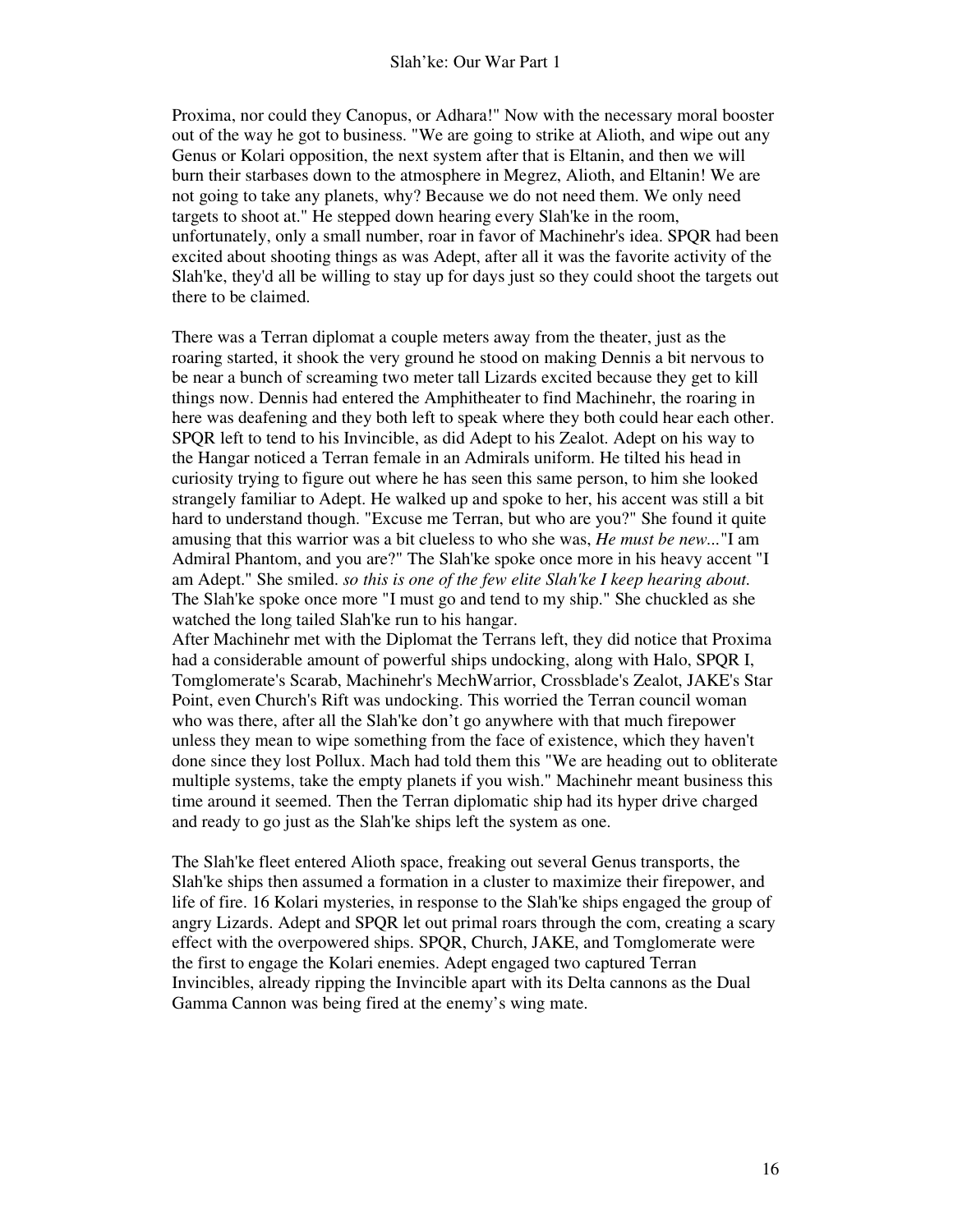Proxima, nor could they Canopus, or Adhara!" Now with the necessary moral booster out of the way he got to business. "We are going to strike at Alioth, and wipe out any Genus or Kolari opposition, the next system after that is Eltanin, and then we will burn their starbases down to the atmosphere in Megrez, Alioth, and Eltanin! We are not going to take any planets, why? Because we do not need them. We only need targets to shoot at." He stepped down hearing every Slah'ke in the room, unfortunately, only a small number, roar in favor of Machinehr's idea. SPQR had been excited about shooting things as was Adept, after all it was the favorite activity of the Slah'ke, they'd all be willing to stay up for days just so they could shoot the targets out there to be claimed.

There was a Terran diplomat a couple meters away from the theater, just as the roaring started, it shook the very ground he stood on making Dennis a bit nervous to be near a bunch of screaming two meter tall Lizards excited because they get to kill things now. Dennis had entered the Amphitheater to find Machinehr, the roaring in here was deafening and they both left to speak where they both could hear each other. SPQR left to tend to his Invincible, as did Adept to his Zealot. Adept on his way to the Hangar noticed a Terran female in an Admirals uniform. He tilted his head in curiosity trying to figure out where he has seen this same person, to him she looked strangely familiar to Adept. He walked up and spoke to her, his accent was still a bit hard to understand though. "Excuse me Terran, but who are you?" She found it quite amusing that this warrior was a bit clueless to who she was, *He must be new...*"I am Admiral Phantom, and you are?" The Slah'ke spoke once more in his heavy accent "I am Adept." She smiled. *so this is one of the few elite Slah'ke I keep hearing about.* The Slah'ke spoke once more "I must go and tend to my ship." She chuckled as she watched the long tailed Slah'ke run to his hangar.

After Machinehr met with the Diplomat the Terrans left, they did notice that Proxima had a considerable amount of powerful ships undocking, along with Halo, SPQR I, Tomglomerate's Scarab, Machinehr's MechWarrior, Crossblade's Zealot, JAKE's Star Point, even Church's Rift was undocking. This worried the Terran council woman who was there, after all the Slah'ke don't go anywhere with that much firepower unless they mean to wipe something from the face of existence, which they haven't done since they lost Pollux. Mach had told them this "We are heading out to obliterate multiple systems, take the empty planets if you wish." Machinehr meant business this time around it seemed. Then the Terran diplomatic ship had its hyper drive charged and ready to go just as the Slah'ke ships left the system as one.

The Slah'ke fleet entered Alioth space, freaking out several Genus transports, the Slah'ke ships then assumed a formation in a cluster to maximize their firepower, and life of fire. 16 Kolari mysteries, in response to the Slah'ke ships engaged the group of angry Lizards. Adept and SPQR let out primal roars through the com, creating a scary effect with the overpowered ships. SPQR, Church, JAKE, and Tomglomerate were the first to engage the Kolari enemies. Adept engaged two captured Terran Invincibles, already ripping the Invincible apart with its Delta cannons as the Dual Gamma Cannon was being fired at the enemy's wing mate.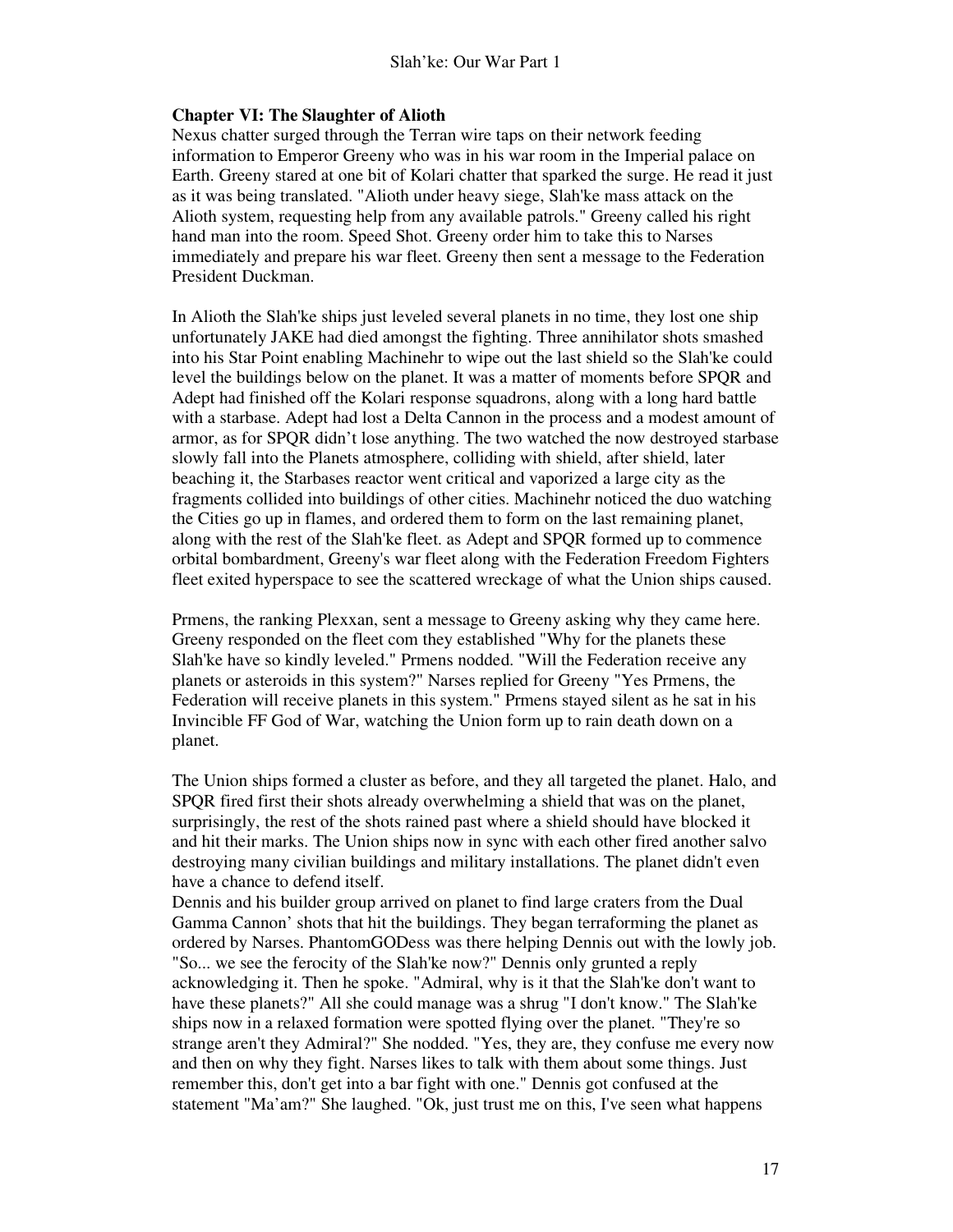#### **Chapter VI: The Slaughter of Alioth**

Nexus chatter surged through the Terran wire taps on their network feeding information to Emperor Greeny who was in his war room in the Imperial palace on Earth. Greeny stared at one bit of Kolari chatter that sparked the surge. He read it just as it was being translated. "Alioth under heavy siege, Slah'ke mass attack on the Alioth system, requesting help from any available patrols." Greeny called his right hand man into the room. Speed Shot. Greeny order him to take this to Narses immediately and prepare his war fleet. Greeny then sent a message to the Federation President Duckman.

In Alioth the Slah'ke ships just leveled several planets in no time, they lost one ship unfortunately JAKE had died amongst the fighting. Three annihilator shots smashed into his Star Point enabling Machinehr to wipe out the last shield so the Slah'ke could level the buildings below on the planet. It was a matter of moments before SPQR and Adept had finished off the Kolari response squadrons, along with a long hard battle with a starbase. Adept had lost a Delta Cannon in the process and a modest amount of armor, as for SPQR didn't lose anything. The two watched the now destroyed starbase slowly fall into the Planets atmosphere, colliding with shield, after shield, later beaching it, the Starbases reactor went critical and vaporized a large city as the fragments collided into buildings of other cities. Machinehr noticed the duo watching the Cities go up in flames, and ordered them to form on the last remaining planet, along with the rest of the Slah'ke fleet. as Adept and SPQR formed up to commence orbital bombardment, Greeny's war fleet along with the Federation Freedom Fighters fleet exited hyperspace to see the scattered wreckage of what the Union ships caused.

Prmens, the ranking Plexxan, sent a message to Greeny asking why they came here. Greeny responded on the fleet com they established "Why for the planets these Slah'ke have so kindly leveled." Prmens nodded. "Will the Federation receive any planets or asteroids in this system?" Narses replied for Greeny "Yes Prmens, the Federation will receive planets in this system." Prmens stayed silent as he sat in his Invincible FF God of War, watching the Union form up to rain death down on a planet.

The Union ships formed a cluster as before, and they all targeted the planet. Halo, and SPQR fired first their shots already overwhelming a shield that was on the planet, surprisingly, the rest of the shots rained past where a shield should have blocked it and hit their marks. The Union ships now in sync with each other fired another salvo destroying many civilian buildings and military installations. The planet didn't even have a chance to defend itself.

Dennis and his builder group arrived on planet to find large craters from the Dual Gamma Cannon' shots that hit the buildings. They began terraforming the planet as ordered by Narses. PhantomGODess was there helping Dennis out with the lowly job. "So... we see the ferocity of the Slah'ke now?" Dennis only grunted a reply acknowledging it. Then he spoke. "Admiral, why is it that the Slah'ke don't want to have these planets?" All she could manage was a shrug "I don't know." The Slah'ke ships now in a relaxed formation were spotted flying over the planet. "They're so strange aren't they Admiral?" She nodded. "Yes, they are, they confuse me every now and then on why they fight. Narses likes to talk with them about some things. Just remember this, don't get into a bar fight with one." Dennis got confused at the statement "Ma'am?" She laughed. "Ok, just trust me on this, I've seen what happens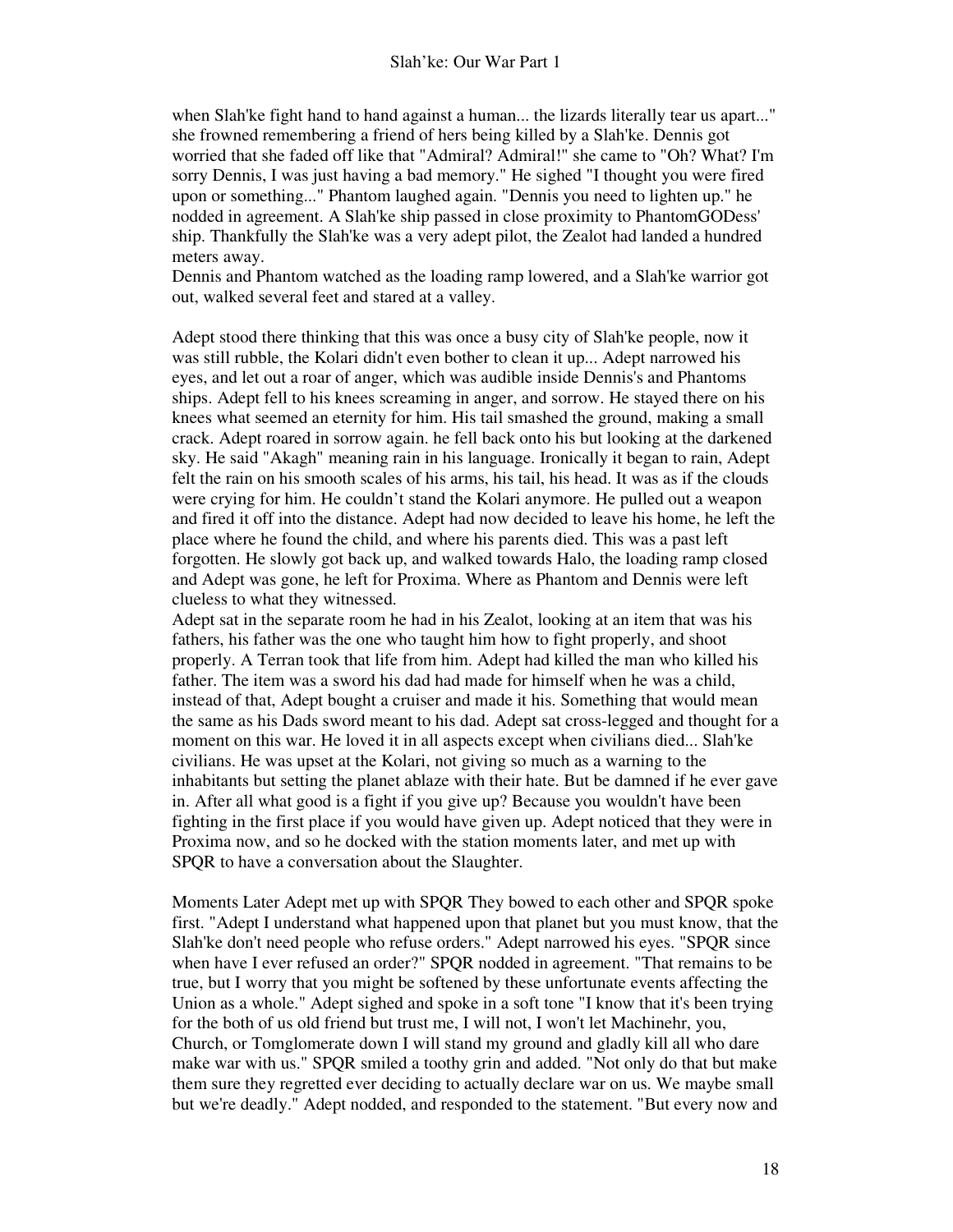when Slah'ke fight hand to hand against a human... the lizards literally tear us apart..." she frowned remembering a friend of hers being killed by a Slah'ke. Dennis got worried that she faded off like that "Admiral? Admiral!" she came to "Oh? What? I'm sorry Dennis, I was just having a bad memory." He sighed "I thought you were fired upon or something..." Phantom laughed again. "Dennis you need to lighten up." he nodded in agreement. A Slah'ke ship passed in close proximity to PhantomGODess' ship. Thankfully the Slah'ke was a very adept pilot, the Zealot had landed a hundred meters away.

Dennis and Phantom watched as the loading ramp lowered, and a Slah'ke warrior got out, walked several feet and stared at a valley.

Adept stood there thinking that this was once a busy city of Slah'ke people, now it was still rubble, the Kolari didn't even bother to clean it up... Adept narrowed his eyes, and let out a roar of anger, which was audible inside Dennis's and Phantoms ships. Adept fell to his knees screaming in anger, and sorrow. He stayed there on his knees what seemed an eternity for him. His tail smashed the ground, making a small crack. Adept roared in sorrow again. he fell back onto his but looking at the darkened sky. He said "Akagh" meaning rain in his language. Ironically it began to rain, Adept felt the rain on his smooth scales of his arms, his tail, his head. It was as if the clouds were crying for him. He couldn't stand the Kolari anymore. He pulled out a weapon and fired it off into the distance. Adept had now decided to leave his home, he left the place where he found the child, and where his parents died. This was a past left forgotten. He slowly got back up, and walked towards Halo, the loading ramp closed and Adept was gone, he left for Proxima. Where as Phantom and Dennis were left clueless to what they witnessed.

Adept sat in the separate room he had in his Zealot, looking at an item that was his fathers, his father was the one who taught him how to fight properly, and shoot properly. A Terran took that life from him. Adept had killed the man who killed his father. The item was a sword his dad had made for himself when he was a child, instead of that, Adept bought a cruiser and made it his. Something that would mean the same as his Dads sword meant to his dad. Adept sat cross-legged and thought for a moment on this war. He loved it in all aspects except when civilians died... Slah'ke civilians. He was upset at the Kolari, not giving so much as a warning to the inhabitants but setting the planet ablaze with their hate. But be damned if he ever gave in. After all what good is a fight if you give up? Because you wouldn't have been fighting in the first place if you would have given up. Adept noticed that they were in Proxima now, and so he docked with the station moments later, and met up with SPQR to have a conversation about the Slaughter.

Moments Later Adept met up with SPQR They bowed to each other and SPQR spoke first. "Adept I understand what happened upon that planet but you must know, that the Slah'ke don't need people who refuse orders." Adept narrowed his eyes. "SPQR since when have I ever refused an order?" SPQR nodded in agreement. "That remains to be true, but I worry that you might be softened by these unfortunate events affecting the Union as a whole." Adept sighed and spoke in a soft tone "I know that it's been trying for the both of us old friend but trust me, I will not, I won't let Machinehr, you, Church, or Tomglomerate down I will stand my ground and gladly kill all who dare make war with us." SPQR smiled a toothy grin and added. "Not only do that but make them sure they regretted ever deciding to actually declare war on us. We maybe small but we're deadly." Adept nodded, and responded to the statement. "But every now and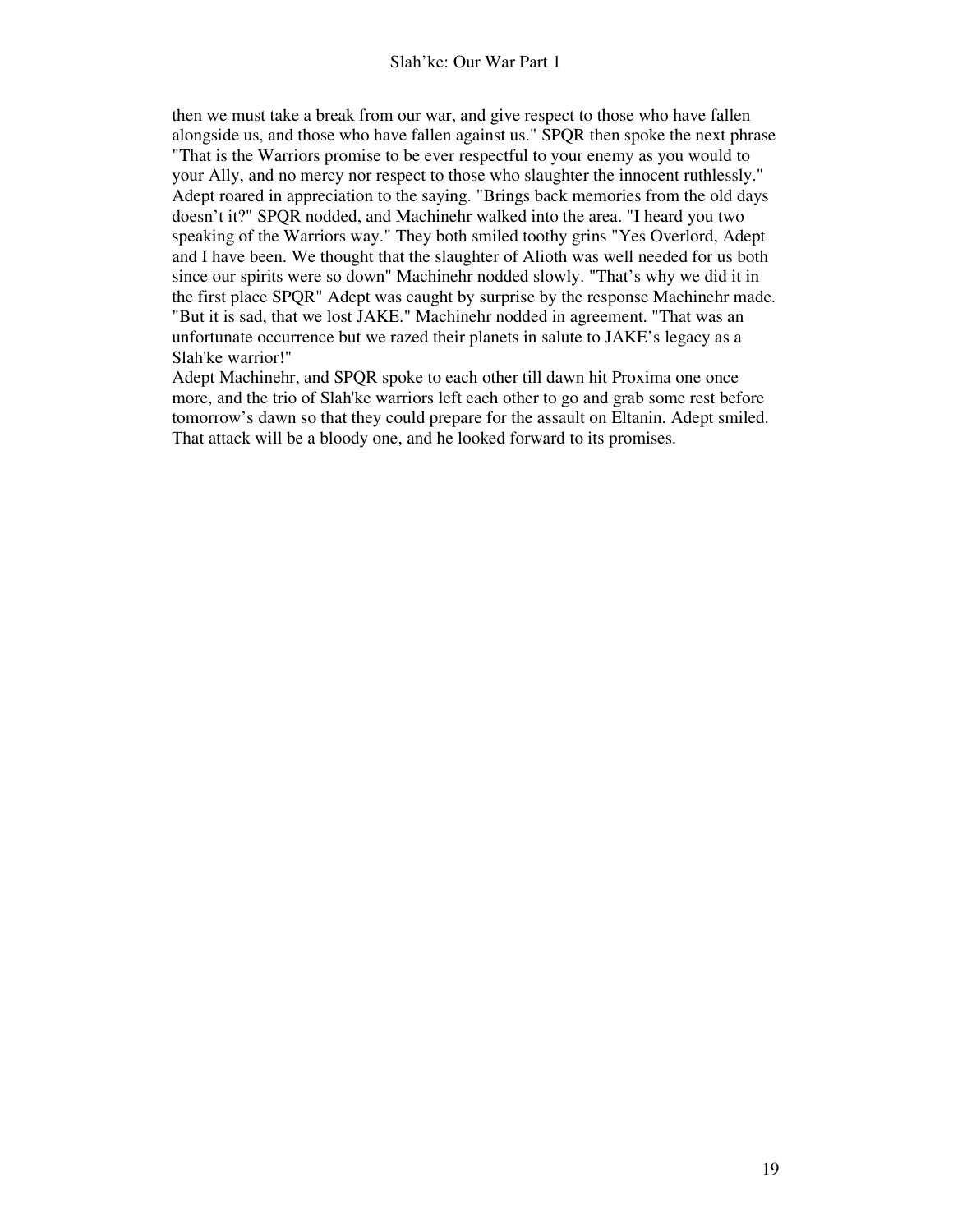then we must take a break from our war, and give respect to those who have fallen alongside us, and those who have fallen against us." SPQR then spoke the next phrase

"That is the Warriors promise to be ever respectful to your enemy as you would to your Ally, and no mercy nor respect to those who slaughter the innocent ruthlessly." Adept roared in appreciation to the saying. "Brings back memories from the old days doesn't it?" SPQR nodded, and Machinehr walked into the area. "I heard you two speaking of the Warriors way." They both smiled toothy grins "Yes Overlord, Adept and I have been. We thought that the slaughter of Alioth was well needed for us both since our spirits were so down" Machinehr nodded slowly. "That's why we did it in the first place SPQR" Adept was caught by surprise by the response Machinehr made. "But it is sad, that we lost JAKE." Machinehr nodded in agreement. "That was an unfortunate occurrence but we razed their planets in salute to JAKE's legacy as a Slah'ke warrior!"

Adept Machinehr, and SPQR spoke to each other till dawn hit Proxima one once more, and the trio of Slah'ke warriors left each other to go and grab some rest before tomorrow's dawn so that they could prepare for the assault on Eltanin. Adept smiled. That attack will be a bloody one, and he looked forward to its promises.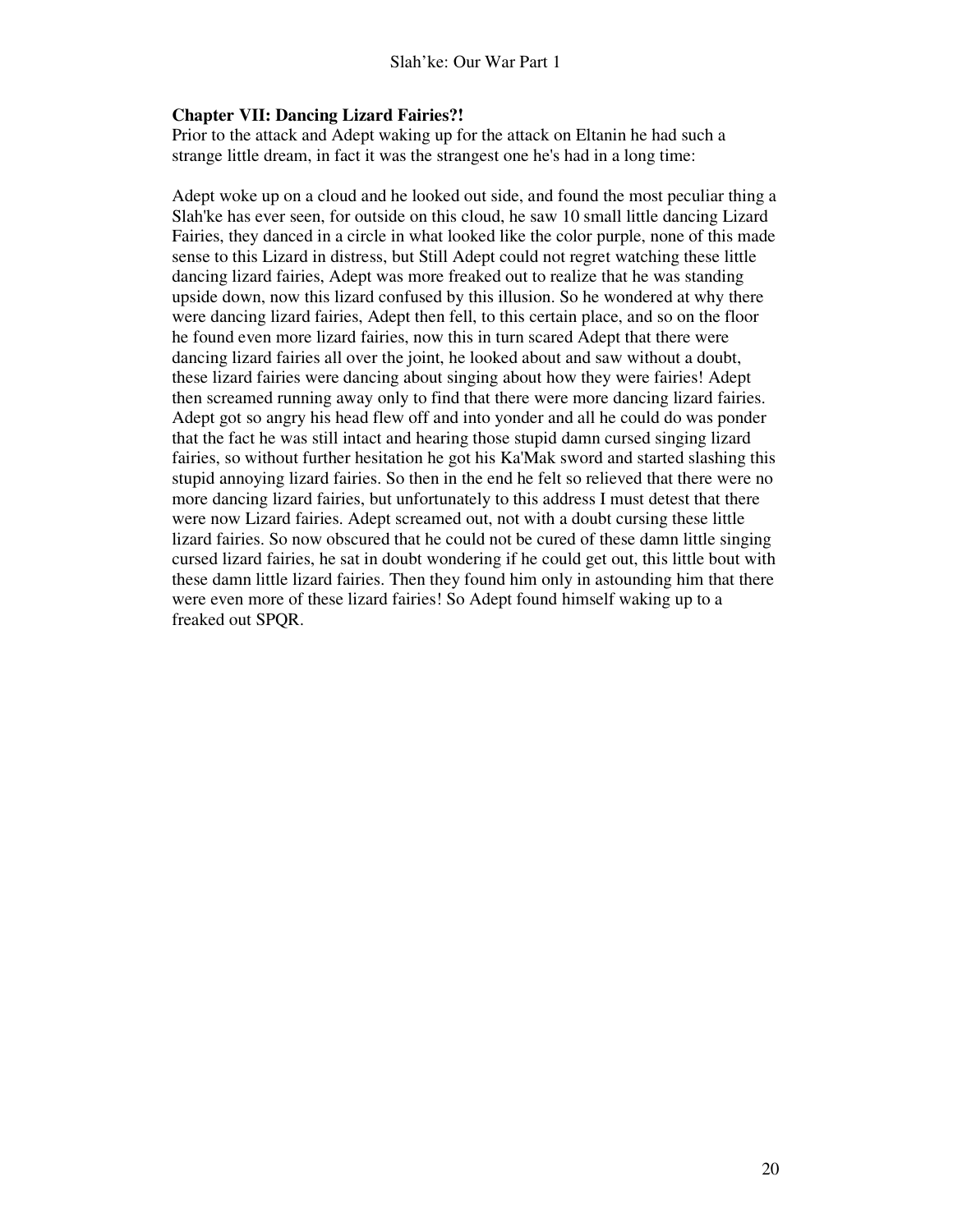#### **Chapter VII: Dancing Lizard Fairies?!**

Prior to the attack and Adept waking up for the attack on Eltanin he had such a strange little dream, in fact it was the strangest one he's had in a long time:

Adept woke up on a cloud and he looked out side, and found the most peculiar thing a Slah'ke has ever seen, for outside on this cloud, he saw 10 small little dancing Lizard Fairies, they danced in a circle in what looked like the color purple, none of this made sense to this Lizard in distress, but Still Adept could not regret watching these little dancing lizard fairies, Adept was more freaked out to realize that he was standing upside down, now this lizard confused by this illusion. So he wondered at why there were dancing lizard fairies, Adept then fell, to this certain place, and so on the floor he found even more lizard fairies, now this in turn scared Adept that there were dancing lizard fairies all over the joint, he looked about and saw without a doubt, these lizard fairies were dancing about singing about how they were fairies! Adept then screamed running away only to find that there were more dancing lizard fairies. Adept got so angry his head flew off and into yonder and all he could do was ponder that the fact he was still intact and hearing those stupid damn cursed singing lizard fairies, so without further hesitation he got his Ka'Mak sword and started slashing this stupid annoying lizard fairies. So then in the end he felt so relieved that there were no more dancing lizard fairies, but unfortunately to this address I must detest that there were now Lizard fairies. Adept screamed out, not with a doubt cursing these little lizard fairies. So now obscured that he could not be cured of these damn little singing cursed lizard fairies, he sat in doubt wondering if he could get out, this little bout with these damn little lizard fairies. Then they found him only in astounding him that there were even more of these lizard fairies! So Adept found himself waking up to a freaked out SPQR.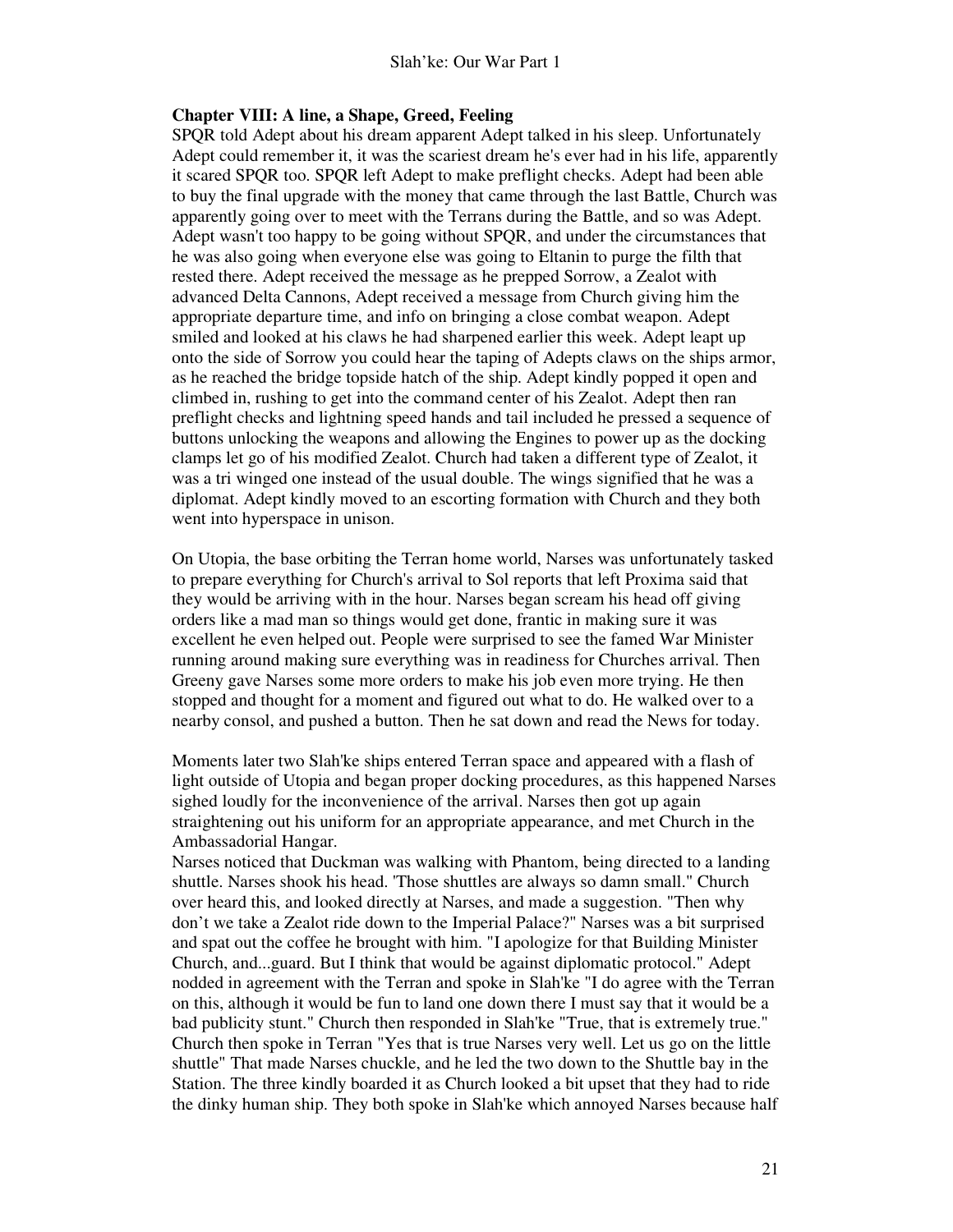#### **Chapter VIII: A line, a Shape, Greed, Feeling**

SPQR told Adept about his dream apparent Adept talked in his sleep. Unfortunately Adept could remember it, it was the scariest dream he's ever had in his life, apparently it scared SPQR too. SPQR left Adept to make preflight checks. Adept had been able to buy the final upgrade with the money that came through the last Battle, Church was apparently going over to meet with the Terrans during the Battle, and so was Adept. Adept wasn't too happy to be going without SPQR, and under the circumstances that he was also going when everyone else was going to Eltanin to purge the filth that rested there. Adept received the message as he prepped Sorrow, a Zealot with advanced Delta Cannons, Adept received a message from Church giving him the appropriate departure time, and info on bringing a close combat weapon. Adept smiled and looked at his claws he had sharpened earlier this week. Adept leapt up onto the side of Sorrow you could hear the taping of Adepts claws on the ships armor, as he reached the bridge topside hatch of the ship. Adept kindly popped it open and climbed in, rushing to get into the command center of his Zealot. Adept then ran preflight checks and lightning speed hands and tail included he pressed a sequence of buttons unlocking the weapons and allowing the Engines to power up as the docking clamps let go of his modified Zealot. Church had taken a different type of Zealot, it was a tri winged one instead of the usual double. The wings signified that he was a diplomat. Adept kindly moved to an escorting formation with Church and they both went into hyperspace in unison.

On Utopia, the base orbiting the Terran home world, Narses was unfortunately tasked to prepare everything for Church's arrival to Sol reports that left Proxima said that they would be arriving with in the hour. Narses began scream his head off giving orders like a mad man so things would get done, frantic in making sure it was excellent he even helped out. People were surprised to see the famed War Minister running around making sure everything was in readiness for Churches arrival. Then Greeny gave Narses some more orders to make his job even more trying. He then stopped and thought for a moment and figured out what to do. He walked over to a nearby consol, and pushed a button. Then he sat down and read the News for today.

Moments later two Slah'ke ships entered Terran space and appeared with a flash of light outside of Utopia and began proper docking procedures, as this happened Narses sighed loudly for the inconvenience of the arrival. Narses then got up again straightening out his uniform for an appropriate appearance, and met Church in the Ambassadorial Hangar.

Narses noticed that Duckman was walking with Phantom, being directed to a landing shuttle. Narses shook his head. 'Those shuttles are always so damn small." Church over heard this, and looked directly at Narses, and made a suggestion. "Then why don't we take a Zealot ride down to the Imperial Palace?" Narses was a bit surprised and spat out the coffee he brought with him. "I apologize for that Building Minister Church, and...guard. But I think that would be against diplomatic protocol." Adept nodded in agreement with the Terran and spoke in Slah'ke "I do agree with the Terran on this, although it would be fun to land one down there I must say that it would be a bad publicity stunt." Church then responded in Slah'ke "True, that is extremely true." Church then spoke in Terran "Yes that is true Narses very well. Let us go on the little shuttle" That made Narses chuckle, and he led the two down to the Shuttle bay in the Station. The three kindly boarded it as Church looked a bit upset that they had to ride the dinky human ship. They both spoke in Slah'ke which annoyed Narses because half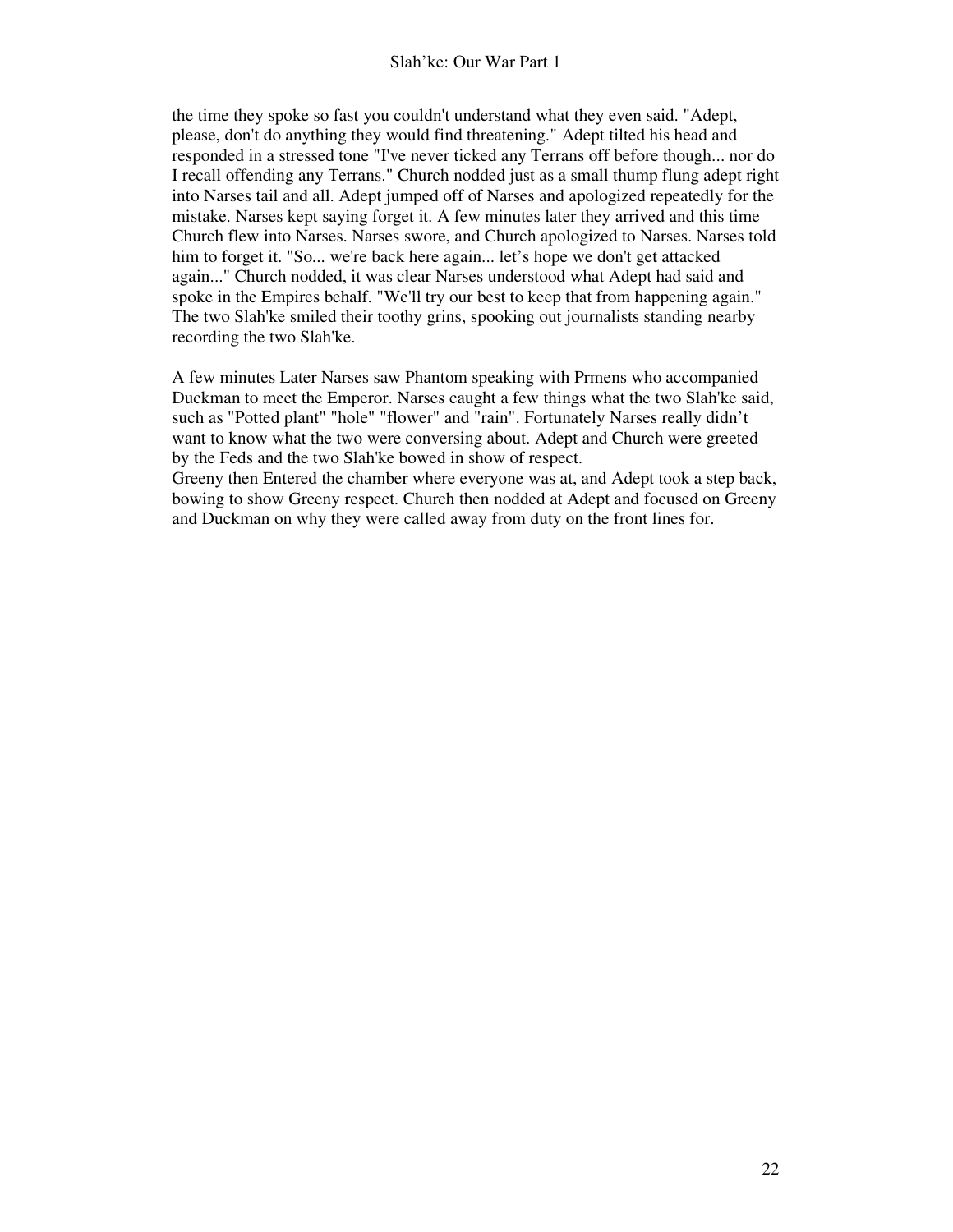the time they spoke so fast you couldn't understand what they even said. "Adept, please, don't do anything they would find threatening." Adept tilted his head and responded in a stressed tone "I've never ticked any Terrans off before though... nor do I recall offending any Terrans." Church nodded just as a small thump flung adept right into Narses tail and all. Adept jumped off of Narses and apologized repeatedly for the mistake. Narses kept saying forget it. A few minutes later they arrived and this time Church flew into Narses. Narses swore, and Church apologized to Narses. Narses told him to forget it. "So... we're back here again... let's hope we don't get attacked again..." Church nodded, it was clear Narses understood what Adept had said and spoke in the Empires behalf. "We'll try our best to keep that from happening again." The two Slah'ke smiled their toothy grins, spooking out journalists standing nearby recording the two Slah'ke.

A few minutes Later Narses saw Phantom speaking with Prmens who accompanied Duckman to meet the Emperor. Narses caught a few things what the two Slah'ke said, such as "Potted plant" "hole" "flower" and "rain". Fortunately Narses really didn't want to know what the two were conversing about. Adept and Church were greeted by the Feds and the two Slah'ke bowed in show of respect.

Greeny then Entered the chamber where everyone was at, and Adept took a step back, bowing to show Greeny respect. Church then nodded at Adept and focused on Greeny and Duckman on why they were called away from duty on the front lines for.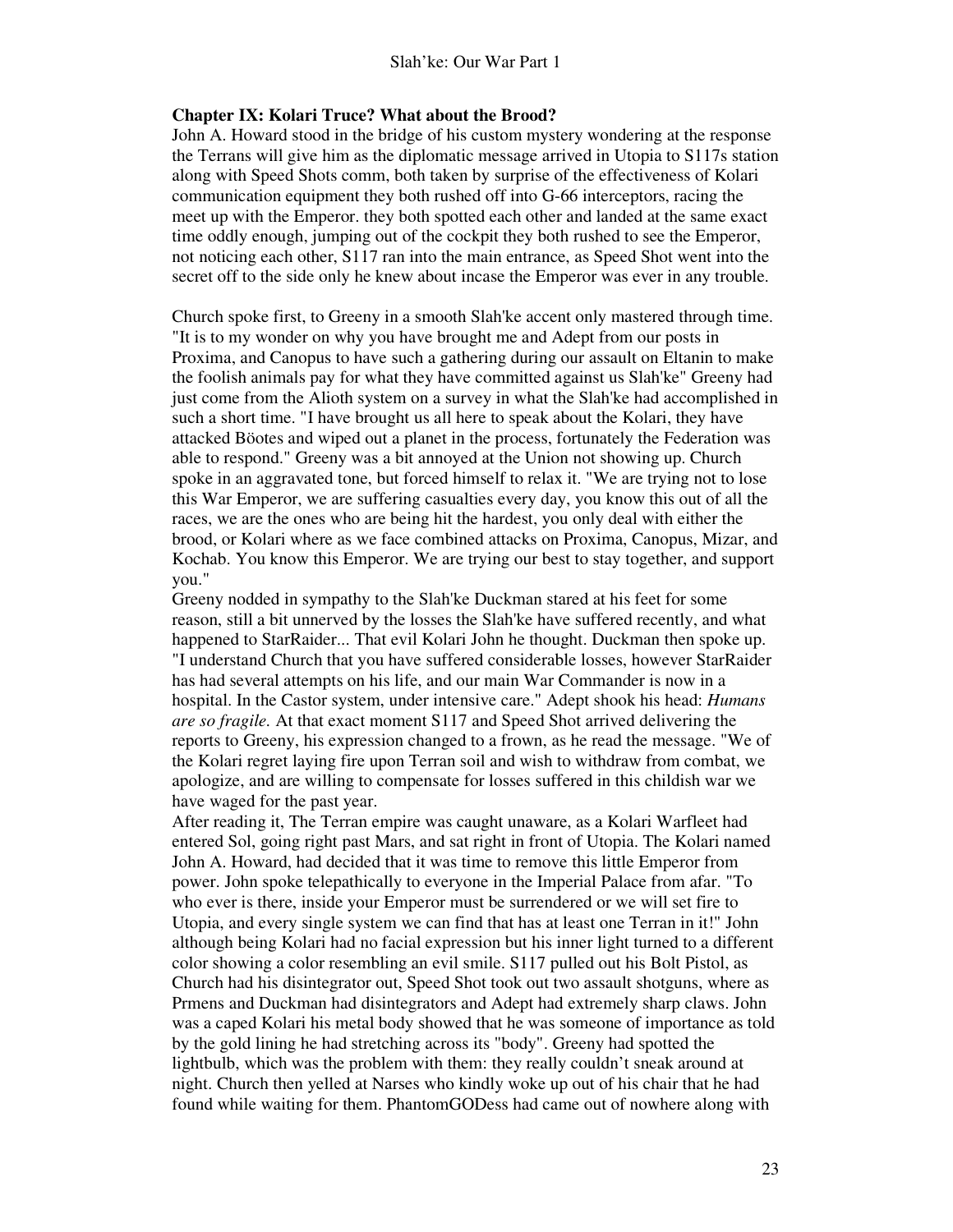#### **Chapter IX: Kolari Truce? What about the Brood?**

John A. Howard stood in the bridge of his custom mystery wondering at the response the Terrans will give him as the diplomatic message arrived in Utopia to S117s station along with Speed Shots comm, both taken by surprise of the effectiveness of Kolari communication equipment they both rushed off into G-66 interceptors, racing the meet up with the Emperor. they both spotted each other and landed at the same exact time oddly enough, jumping out of the cockpit they both rushed to see the Emperor, not noticing each other, S117 ran into the main entrance, as Speed Shot went into the secret off to the side only he knew about incase the Emperor was ever in any trouble.

Church spoke first, to Greeny in a smooth Slah'ke accent only mastered through time. "It is to my wonder on why you have brought me and Adept from our posts in Proxima, and Canopus to have such a gathering during our assault on Eltanin to make the foolish animals pay for what they have committed against us Slah'ke" Greeny had just come from the Alioth system on a survey in what the Slah'ke had accomplished in such a short time. "I have brought us all here to speak about the Kolari, they have attacked Böotes and wiped out a planet in the process, fortunately the Federation was able to respond." Greeny was a bit annoyed at the Union not showing up. Church spoke in an aggravated tone, but forced himself to relax it. "We are trying not to lose this War Emperor, we are suffering casualties every day, you know this out of all the races, we are the ones who are being hit the hardest, you only deal with either the brood, or Kolari where as we face combined attacks on Proxima, Canopus, Mizar, and Kochab. You know this Emperor. We are trying our best to stay together, and support you."

Greeny nodded in sympathy to the Slah'ke Duckman stared at his feet for some reason, still a bit unnerved by the losses the Slah'ke have suffered recently, and what happened to StarRaider... That evil Kolari John he thought. Duckman then spoke up. "I understand Church that you have suffered considerable losses, however StarRaider has had several attempts on his life, and our main War Commander is now in a hospital. In the Castor system, under intensive care." Adept shook his head: *Humans are so fragile.* At that exact moment S117 and Speed Shot arrived delivering the reports to Greeny, his expression changed to a frown, as he read the message. "We of the Kolari regret laying fire upon Terran soil and wish to withdraw from combat, we apologize, and are willing to compensate for losses suffered in this childish war we have waged for the past year.

After reading it, The Terran empire was caught unaware, as a Kolari Warfleet had entered Sol, going right past Mars, and sat right in front of Utopia. The Kolari named John A. Howard, had decided that it was time to remove this little Emperor from power. John spoke telepathically to everyone in the Imperial Palace from afar. "To who ever is there, inside your Emperor must be surrendered or we will set fire to Utopia, and every single system we can find that has at least one Terran in it!" John although being Kolari had no facial expression but his inner light turned to a different color showing a color resembling an evil smile. S117 pulled out his Bolt Pistol, as Church had his disintegrator out, Speed Shot took out two assault shotguns, where as Prmens and Duckman had disintegrators and Adept had extremely sharp claws. John was a caped Kolari his metal body showed that he was someone of importance as told by the gold lining he had stretching across its "body". Greeny had spotted the lightbulb, which was the problem with them: they really couldn't sneak around at night. Church then yelled at Narses who kindly woke up out of his chair that he had found while waiting for them. PhantomGODess had came out of nowhere along with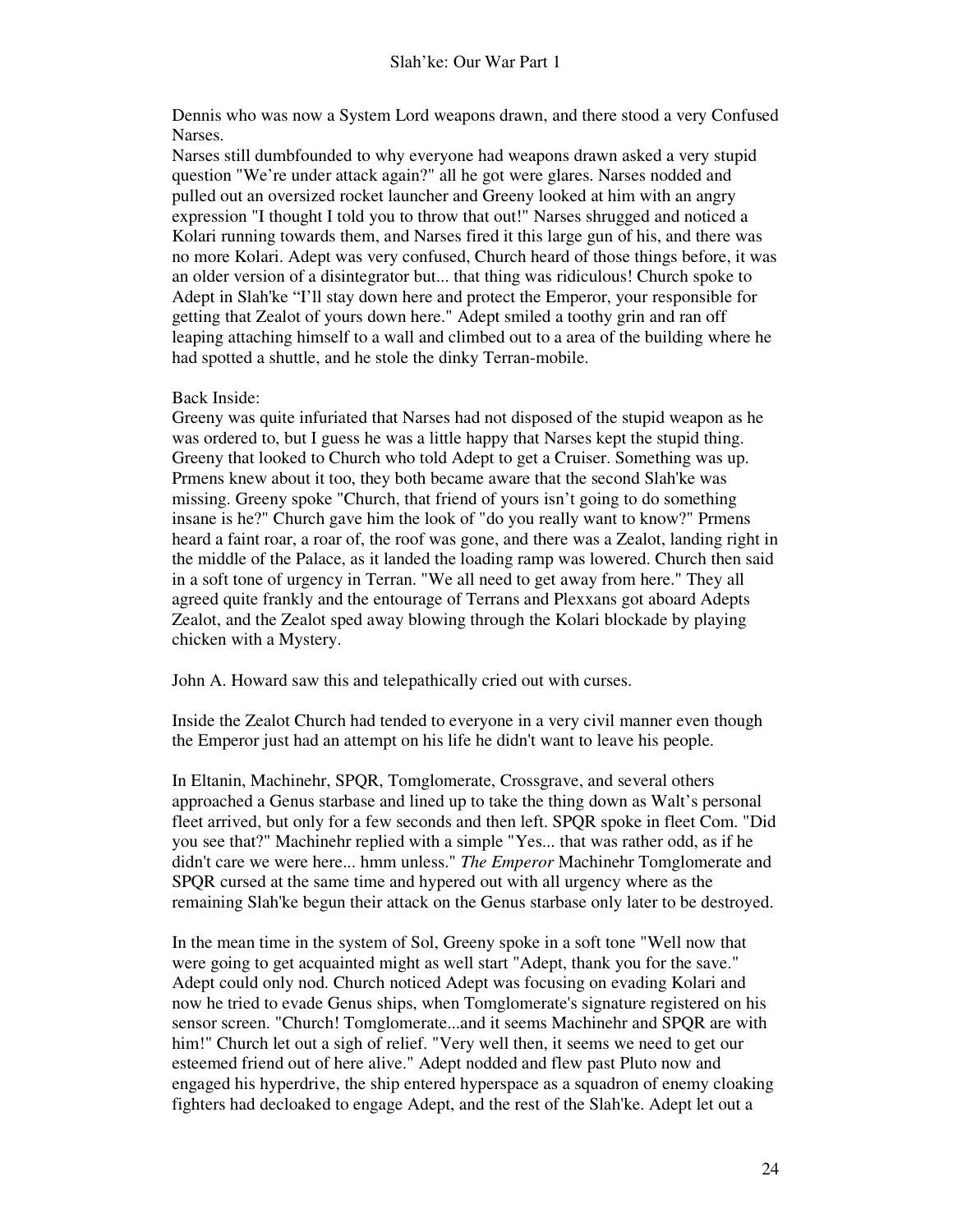Dennis who was now a System Lord weapons drawn, and there stood a very Confused Narses.

Narses still dumbfounded to why everyone had weapons drawn asked a very stupid question "We're under attack again?" all he got were glares. Narses nodded and pulled out an oversized rocket launcher and Greeny looked at him with an angry expression "I thought I told you to throw that out!" Narses shrugged and noticed a Kolari running towards them, and Narses fired it this large gun of his, and there was no more Kolari. Adept was very confused, Church heard of those things before, it was an older version of a disintegrator but... that thing was ridiculous! Church spoke to Adept in Slah'ke "I'll stay down here and protect the Emperor, your responsible for getting that Zealot of yours down here." Adept smiled a toothy grin and ran off leaping attaching himself to a wall and climbed out to a area of the building where he had spotted a shuttle, and he stole the dinky Terran-mobile.

#### Back Inside:

Greeny was quite infuriated that Narses had not disposed of the stupid weapon as he was ordered to, but I guess he was a little happy that Narses kept the stupid thing. Greeny that looked to Church who told Adept to get a Cruiser. Something was up. Prmens knew about it too, they both became aware that the second Slah'ke was missing. Greeny spoke "Church, that friend of yours isn't going to do something insane is he?" Church gave him the look of "do you really want to know?" Prmens heard a faint roar, a roar of, the roof was gone, and there was a Zealot, landing right in the middle of the Palace, as it landed the loading ramp was lowered. Church then said in a soft tone of urgency in Terran. "We all need to get away from here." They all agreed quite frankly and the entourage of Terrans and Plexxans got aboard Adepts Zealot, and the Zealot sped away blowing through the Kolari blockade by playing chicken with a Mystery.

John A. Howard saw this and telepathically cried out with curses.

Inside the Zealot Church had tended to everyone in a very civil manner even though the Emperor just had an attempt on his life he didn't want to leave his people.

In Eltanin, Machinehr, SPQR, Tomglomerate, Crossgrave, and several others approached a Genus starbase and lined up to take the thing down as Walt's personal fleet arrived, but only for a few seconds and then left. SPQR spoke in fleet Com. "Did you see that?" Machinehr replied with a simple "Yes... that was rather odd, as if he didn't care we were here... hmm unless." *The Emperor* Machinehr Tomglomerate and SPQR cursed at the same time and hypered out with all urgency where as the remaining Slah'ke begun their attack on the Genus starbase only later to be destroyed.

In the mean time in the system of Sol, Greeny spoke in a soft tone "Well now that were going to get acquainted might as well start "Adept, thank you for the save." Adept could only nod. Church noticed Adept was focusing on evading Kolari and now he tried to evade Genus ships, when Tomglomerate's signature registered on his sensor screen. "Church! Tomglomerate...and it seems Machinehr and SPQR are with him!" Church let out a sigh of relief. "Very well then, it seems we need to get our esteemed friend out of here alive." Adept nodded and flew past Pluto now and engaged his hyperdrive, the ship entered hyperspace as a squadron of enemy cloaking fighters had decloaked to engage Adept, and the rest of the Slah'ke. Adept let out a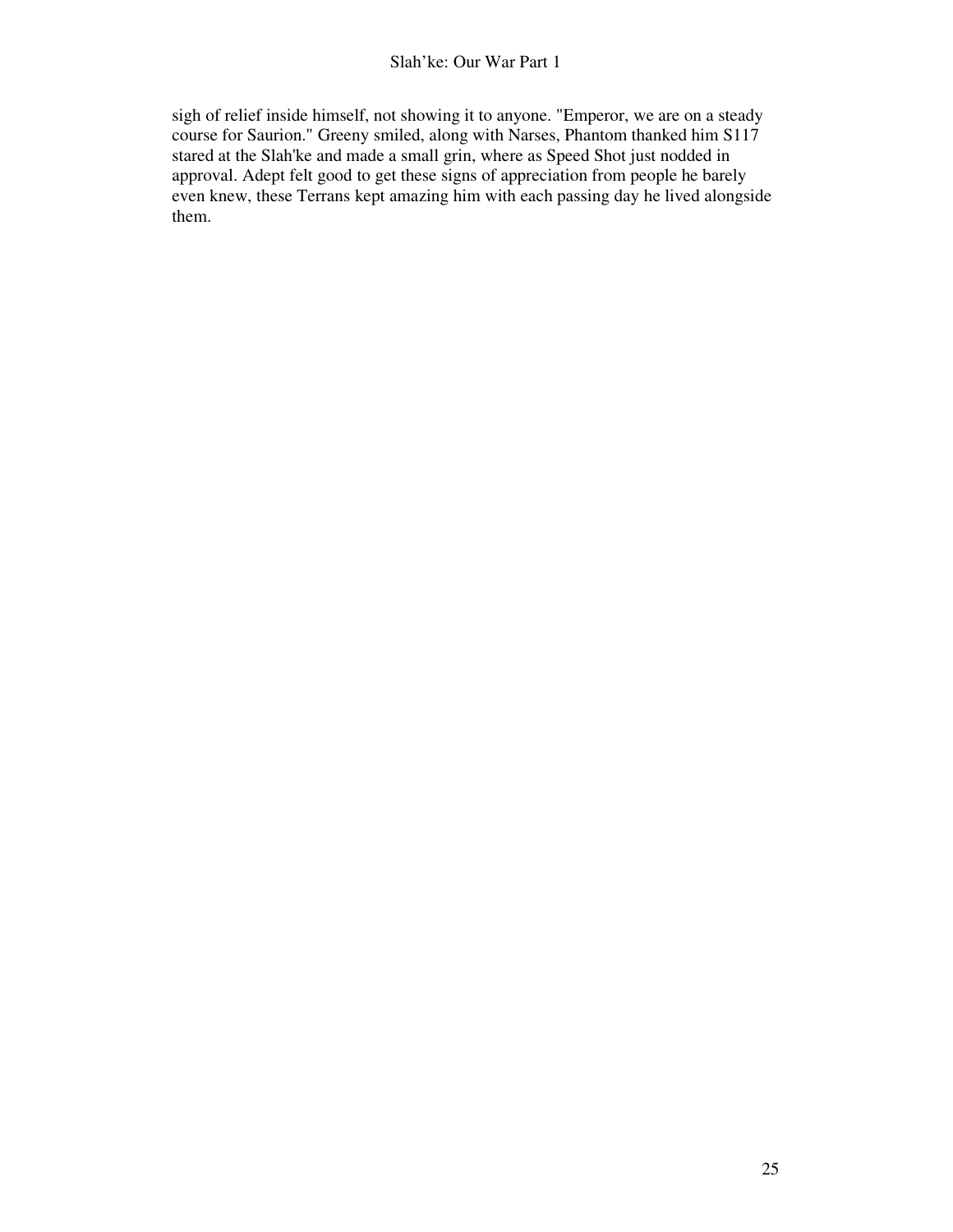sigh of relief inside himself, not showing it to anyone. "Emperor, we are on a steady course for Saurion." Greeny smiled, along with Narses, Phantom thanked him S117 stared at the Slah'ke and made a small grin, where as Speed Shot just nodded in approval. Adept felt good to get these signs of appreciation from people he barely even knew, these Terrans kept amazing him with each passing day he lived alongside them.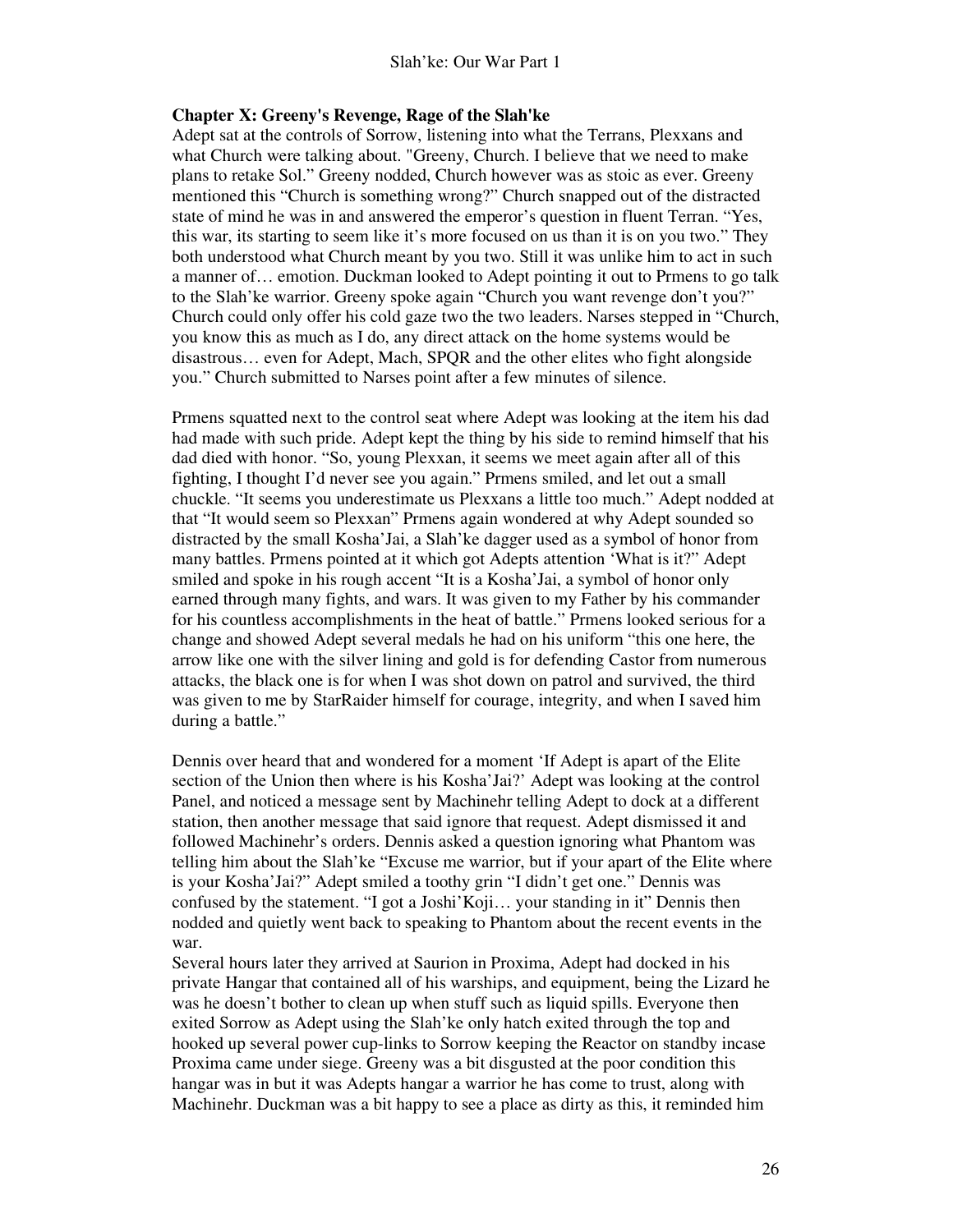#### **Chapter X: Greeny's Revenge, Rage of the Slah'ke**

Adept sat at the controls of Sorrow, listening into what the Terrans, Plexxans and what Church were talking about. "Greeny, Church. I believe that we need to make plans to retake Sol." Greeny nodded, Church however was as stoic as ever. Greeny mentioned this "Church is something wrong?" Church snapped out of the distracted state of mind he was in and answered the emperor's question in fluent Terran. "Yes, this war, its starting to seem like it's more focused on us than it is on you two." They both understood what Church meant by you two. Still it was unlike him to act in such a manner of… emotion. Duckman looked to Adept pointing it out to Prmens to go talk to the Slah'ke warrior. Greeny spoke again "Church you want revenge don't you?" Church could only offer his cold gaze two the two leaders. Narses stepped in "Church, you know this as much as I do, any direct attack on the home systems would be disastrous… even for Adept, Mach, SPQR and the other elites who fight alongside you." Church submitted to Narses point after a few minutes of silence.

Prmens squatted next to the control seat where Adept was looking at the item his dad had made with such pride. Adept kept the thing by his side to remind himself that his dad died with honor. "So, young Plexxan, it seems we meet again after all of this fighting, I thought I'd never see you again." Prmens smiled, and let out a small chuckle. "It seems you underestimate us Plexxans a little too much." Adept nodded at that "It would seem so Plexxan" Prmens again wondered at why Adept sounded so distracted by the small Kosha'Jai, a Slah'ke dagger used as a symbol of honor from many battles. Prmens pointed at it which got Adepts attention 'What is it?" Adept smiled and spoke in his rough accent "It is a Kosha'Jai, a symbol of honor only earned through many fights, and wars. It was given to my Father by his commander for his countless accomplishments in the heat of battle." Prmens looked serious for a change and showed Adept several medals he had on his uniform "this one here, the arrow like one with the silver lining and gold is for defending Castor from numerous attacks, the black one is for when I was shot down on patrol and survived, the third was given to me by StarRaider himself for courage, integrity, and when I saved him during a battle."

Dennis over heard that and wondered for a moment 'If Adept is apart of the Elite section of the Union then where is his Kosha'Jai?' Adept was looking at the control Panel, and noticed a message sent by Machinehr telling Adept to dock at a different station, then another message that said ignore that request. Adept dismissed it and followed Machinehr's orders. Dennis asked a question ignoring what Phantom was telling him about the Slah'ke "Excuse me warrior, but if your apart of the Elite where is your Kosha'Jai?" Adept smiled a toothy grin "I didn't get one." Dennis was confused by the statement. "I got a Joshi'Koji… your standing in it" Dennis then nodded and quietly went back to speaking to Phantom about the recent events in the war.

Several hours later they arrived at Saurion in Proxima, Adept had docked in his private Hangar that contained all of his warships, and equipment, being the Lizard he was he doesn't bother to clean up when stuff such as liquid spills. Everyone then exited Sorrow as Adept using the Slah'ke only hatch exited through the top and hooked up several power cup-links to Sorrow keeping the Reactor on standby incase Proxima came under siege. Greeny was a bit disgusted at the poor condition this hangar was in but it was Adepts hangar a warrior he has come to trust, along with Machinehr. Duckman was a bit happy to see a place as dirty as this, it reminded him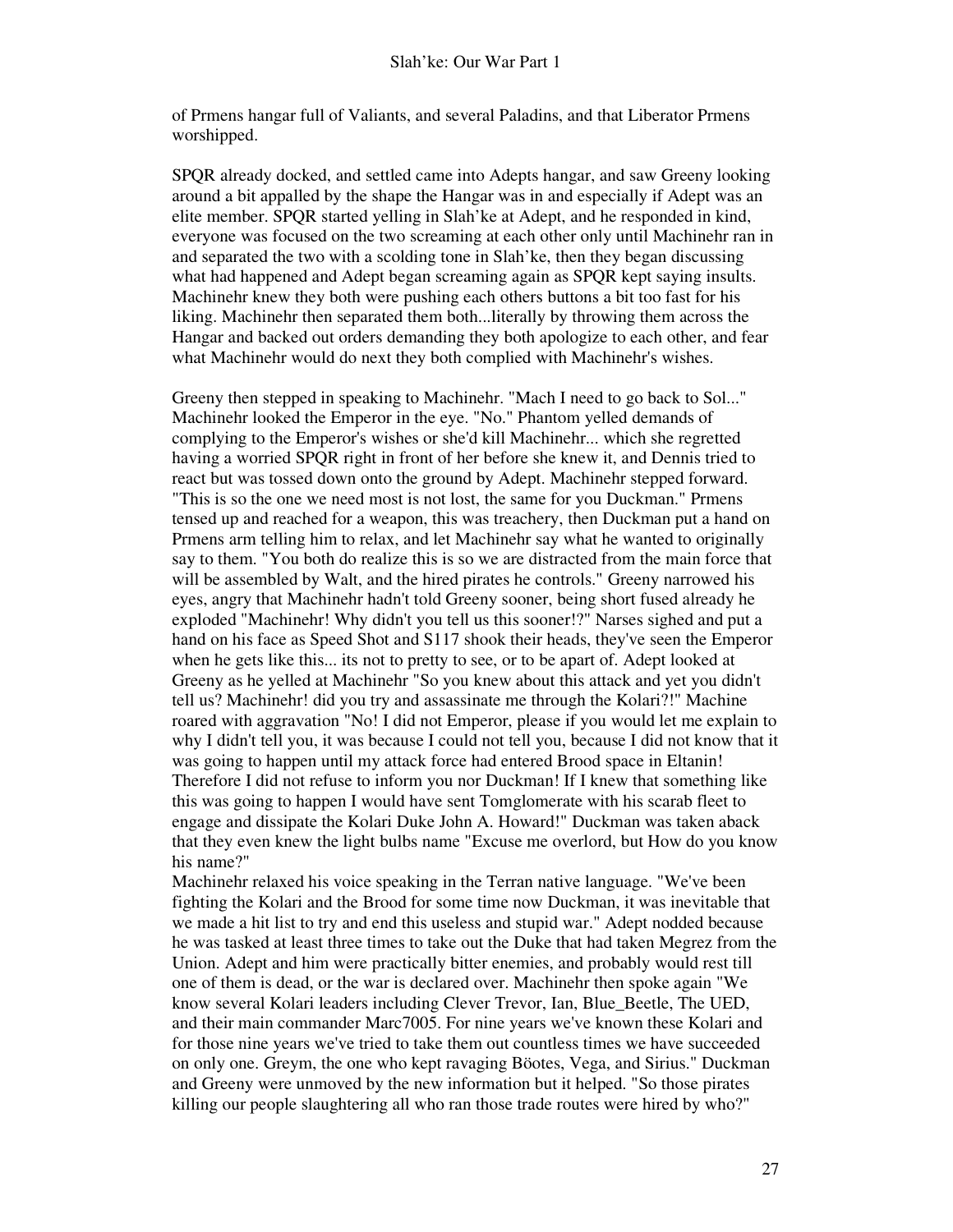of Prmens hangar full of Valiants, and several Paladins, and that Liberator Prmens worshipped.

SPQR already docked, and settled came into Adepts hangar, and saw Greeny looking around a bit appalled by the shape the Hangar was in and especially if Adept was an elite member. SPQR started yelling in Slah'ke at Adept, and he responded in kind, everyone was focused on the two screaming at each other only until Machinehr ran in and separated the two with a scolding tone in Slah'ke, then they began discussing what had happened and Adept began screaming again as SPQR kept saying insults. Machinehr knew they both were pushing each others buttons a bit too fast for his liking. Machinehr then separated them both...literally by throwing them across the Hangar and backed out orders demanding they both apologize to each other, and fear what Machinehr would do next they both complied with Machinehr's wishes.

Greeny then stepped in speaking to Machinehr. "Mach I need to go back to Sol..." Machinehr looked the Emperor in the eye. "No." Phantom yelled demands of complying to the Emperor's wishes or she'd kill Machinehr... which she regretted having a worried SPQR right in front of her before she knew it, and Dennis tried to react but was tossed down onto the ground by Adept. Machinehr stepped forward. "This is so the one we need most is not lost, the same for you Duckman." Prmens tensed up and reached for a weapon, this was treachery, then Duckman put a hand on Prmens arm telling him to relax, and let Machinehr say what he wanted to originally say to them. "You both do realize this is so we are distracted from the main force that will be assembled by Walt, and the hired pirates he controls." Greeny narrowed his eyes, angry that Machinehr hadn't told Greeny sooner, being short fused already he exploded "Machinehr! Why didn't you tell us this sooner!?" Narses sighed and put a hand on his face as Speed Shot and S117 shook their heads, they've seen the Emperor when he gets like this... its not to pretty to see, or to be apart of. Adept looked at Greeny as he yelled at Machinehr "So you knew about this attack and yet you didn't tell us? Machinehr! did you try and assassinate me through the Kolari?!" Machine roared with aggravation "No! I did not Emperor, please if you would let me explain to why I didn't tell you, it was because I could not tell you, because I did not know that it was going to happen until my attack force had entered Brood space in Eltanin! Therefore I did not refuse to inform you nor Duckman! If I knew that something like this was going to happen I would have sent Tomglomerate with his scarab fleet to engage and dissipate the Kolari Duke John A. Howard!" Duckman was taken aback that they even knew the light bulbs name "Excuse me overlord, but How do you know his name?"

Machinehr relaxed his voice speaking in the Terran native language. "We've been fighting the Kolari and the Brood for some time now Duckman, it was inevitable that we made a hit list to try and end this useless and stupid war." Adept nodded because he was tasked at least three times to take out the Duke that had taken Megrez from the Union. Adept and him were practically bitter enemies, and probably would rest till one of them is dead, or the war is declared over. Machinehr then spoke again "We know several Kolari leaders including Clever Trevor, Ian, Blue\_Beetle, The UED, and their main commander Marc7005. For nine years we've known these Kolari and for those nine years we've tried to take them out countless times we have succeeded on only one. Greym, the one who kept ravaging Böotes, Vega, and Sirius." Duckman and Greeny were unmoved by the new information but it helped. "So those pirates killing our people slaughtering all who ran those trade routes were hired by who?"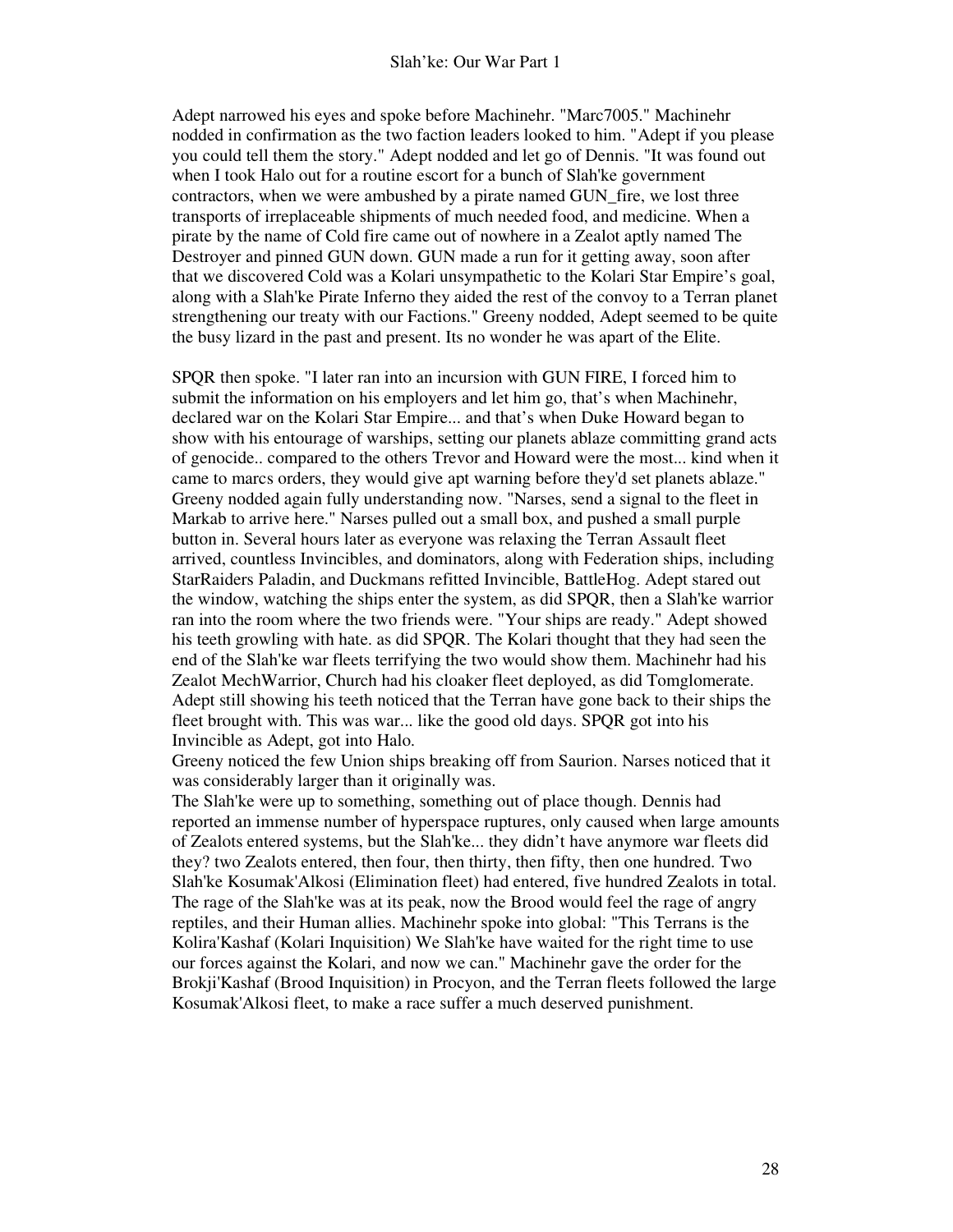Adept narrowed his eyes and spoke before Machinehr. "Marc7005." Machinehr nodded in confirmation as the two faction leaders looked to him. "Adept if you please you could tell them the story." Adept nodded and let go of Dennis. "It was found out when I took Halo out for a routine escort for a bunch of Slah'ke government contractors, when we were ambushed by a pirate named GUN\_fire, we lost three transports of irreplaceable shipments of much needed food, and medicine. When a pirate by the name of Cold fire came out of nowhere in a Zealot aptly named The Destroyer and pinned GUN down. GUN made a run for it getting away, soon after that we discovered Cold was a Kolari unsympathetic to the Kolari Star Empire's goal, along with a Slah'ke Pirate Inferno they aided the rest of the convoy to a Terran planet strengthening our treaty with our Factions." Greeny nodded, Adept seemed to be quite the busy lizard in the past and present. Its no wonder he was apart of the Elite.

SPQR then spoke. "I later ran into an incursion with GUN FIRE, I forced him to submit the information on his employers and let him go, that's when Machinehr, declared war on the Kolari Star Empire... and that's when Duke Howard began to show with his entourage of warships, setting our planets ablaze committing grand acts of genocide.. compared to the others Trevor and Howard were the most... kind when it came to marcs orders, they would give apt warning before they'd set planets ablaze." Greeny nodded again fully understanding now. "Narses, send a signal to the fleet in Markab to arrive here." Narses pulled out a small box, and pushed a small purple button in. Several hours later as everyone was relaxing the Terran Assault fleet arrived, countless Invincibles, and dominators, along with Federation ships, including StarRaiders Paladin, and Duckmans refitted Invincible, BattleHog. Adept stared out the window, watching the ships enter the system, as did SPQR, then a Slah'ke warrior ran into the room where the two friends were. "Your ships are ready." Adept showed his teeth growling with hate. as did SPQR. The Kolari thought that they had seen the end of the Slah'ke war fleets terrifying the two would show them. Machinehr had his Zealot MechWarrior, Church had his cloaker fleet deployed, as did Tomglomerate. Adept still showing his teeth noticed that the Terran have gone back to their ships the fleet brought with. This was war... like the good old days. SPQR got into his Invincible as Adept, got into Halo.

Greeny noticed the few Union ships breaking off from Saurion. Narses noticed that it was considerably larger than it originally was.

The Slah'ke were up to something, something out of place though. Dennis had reported an immense number of hyperspace ruptures, only caused when large amounts of Zealots entered systems, but the Slah'ke... they didn't have anymore war fleets did they? two Zealots entered, then four, then thirty, then fifty, then one hundred. Two Slah'ke Kosumak'Alkosi (Elimination fleet) had entered, five hundred Zealots in total. The rage of the Slah'ke was at its peak, now the Brood would feel the rage of angry reptiles, and their Human allies. Machinehr spoke into global: "This Terrans is the Kolira'Kashaf (Kolari Inquisition) We Slah'ke have waited for the right time to use our forces against the Kolari, and now we can." Machinehr gave the order for the Brokji'Kashaf (Brood Inquisition) in Procyon, and the Terran fleets followed the large Kosumak'Alkosi fleet, to make a race suffer a much deserved punishment.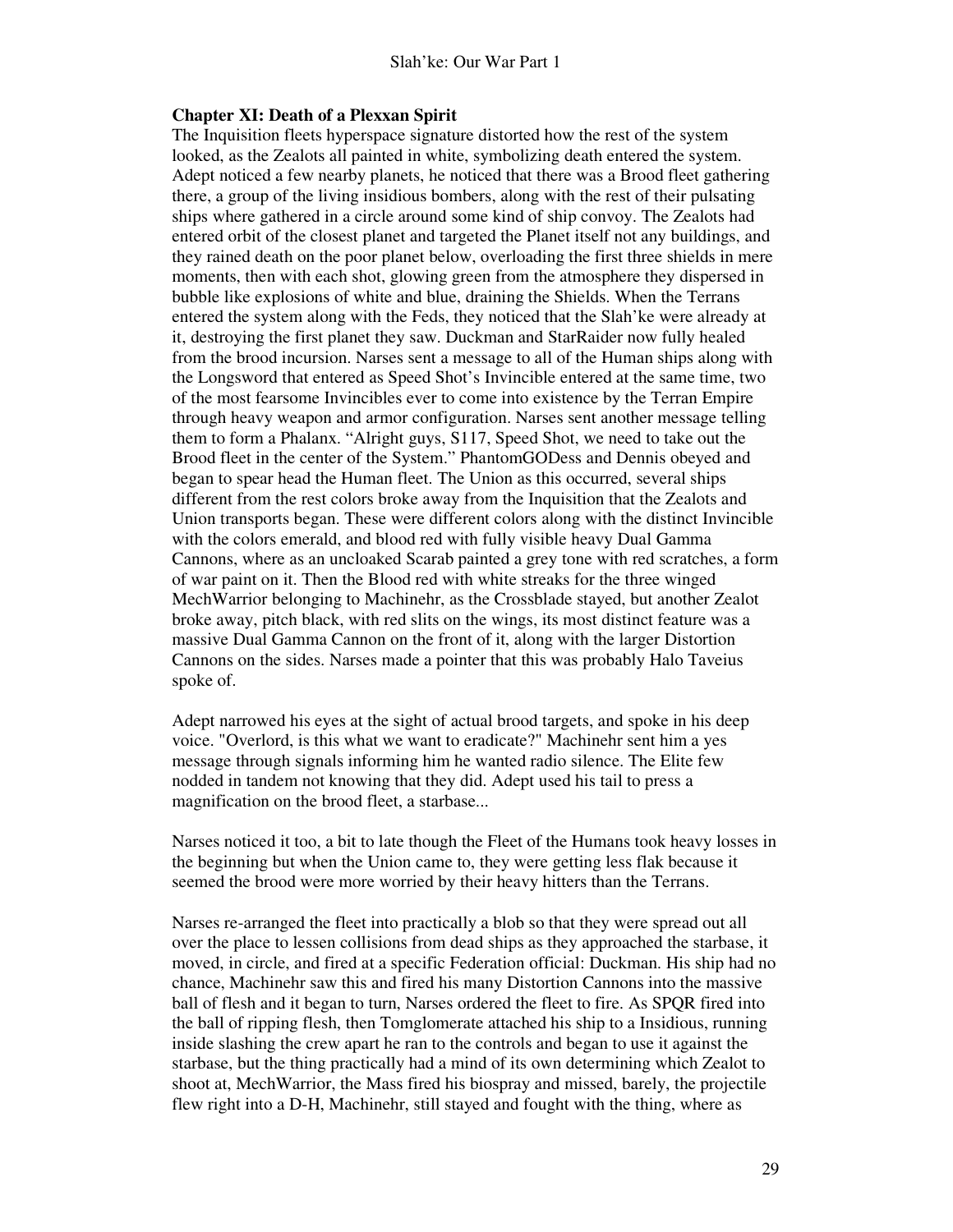#### **Chapter XI: Death of a Plexxan Spirit**

The Inquisition fleets hyperspace signature distorted how the rest of the system looked, as the Zealots all painted in white, symbolizing death entered the system. Adept noticed a few nearby planets, he noticed that there was a Brood fleet gathering there, a group of the living insidious bombers, along with the rest of their pulsating ships where gathered in a circle around some kind of ship convoy. The Zealots had entered orbit of the closest planet and targeted the Planet itself not any buildings, and they rained death on the poor planet below, overloading the first three shields in mere moments, then with each shot, glowing green from the atmosphere they dispersed in bubble like explosions of white and blue, draining the Shields. When the Terrans entered the system along with the Feds, they noticed that the Slah'ke were already at it, destroying the first planet they saw. Duckman and StarRaider now fully healed from the brood incursion. Narses sent a message to all of the Human ships along with the Longsword that entered as Speed Shot's Invincible entered at the same time, two of the most fearsome Invincibles ever to come into existence by the Terran Empire through heavy weapon and armor configuration. Narses sent another message telling them to form a Phalanx. "Alright guys, S117, Speed Shot, we need to take out the Brood fleet in the center of the System." PhantomGODess and Dennis obeyed and began to spear head the Human fleet. The Union as this occurred, several ships different from the rest colors broke away from the Inquisition that the Zealots and Union transports began. These were different colors along with the distinct Invincible with the colors emerald, and blood red with fully visible heavy Dual Gamma Cannons, where as an uncloaked Scarab painted a grey tone with red scratches, a form of war paint on it. Then the Blood red with white streaks for the three winged MechWarrior belonging to Machinehr, as the Crossblade stayed, but another Zealot broke away, pitch black, with red slits on the wings, its most distinct feature was a massive Dual Gamma Cannon on the front of it, along with the larger Distortion Cannons on the sides. Narses made a pointer that this was probably Halo Taveius spoke of.

Adept narrowed his eyes at the sight of actual brood targets, and spoke in his deep voice. "Overlord, is this what we want to eradicate?" Machinehr sent him a yes message through signals informing him he wanted radio silence. The Elite few nodded in tandem not knowing that they did. Adept used his tail to press a magnification on the brood fleet, a starbase...

Narses noticed it too, a bit to late though the Fleet of the Humans took heavy losses in the beginning but when the Union came to, they were getting less flak because it seemed the brood were more worried by their heavy hitters than the Terrans.

Narses re-arranged the fleet into practically a blob so that they were spread out all over the place to lessen collisions from dead ships as they approached the starbase, it moved, in circle, and fired at a specific Federation official: Duckman. His ship had no chance, Machinehr saw this and fired his many Distortion Cannons into the massive ball of flesh and it began to turn, Narses ordered the fleet to fire. As SPQR fired into the ball of ripping flesh, then Tomglomerate attached his ship to a Insidious, running inside slashing the crew apart he ran to the controls and began to use it against the starbase, but the thing practically had a mind of its own determining which Zealot to shoot at, MechWarrior, the Mass fired his biospray and missed, barely, the projectile flew right into a D-H, Machinehr, still stayed and fought with the thing, where as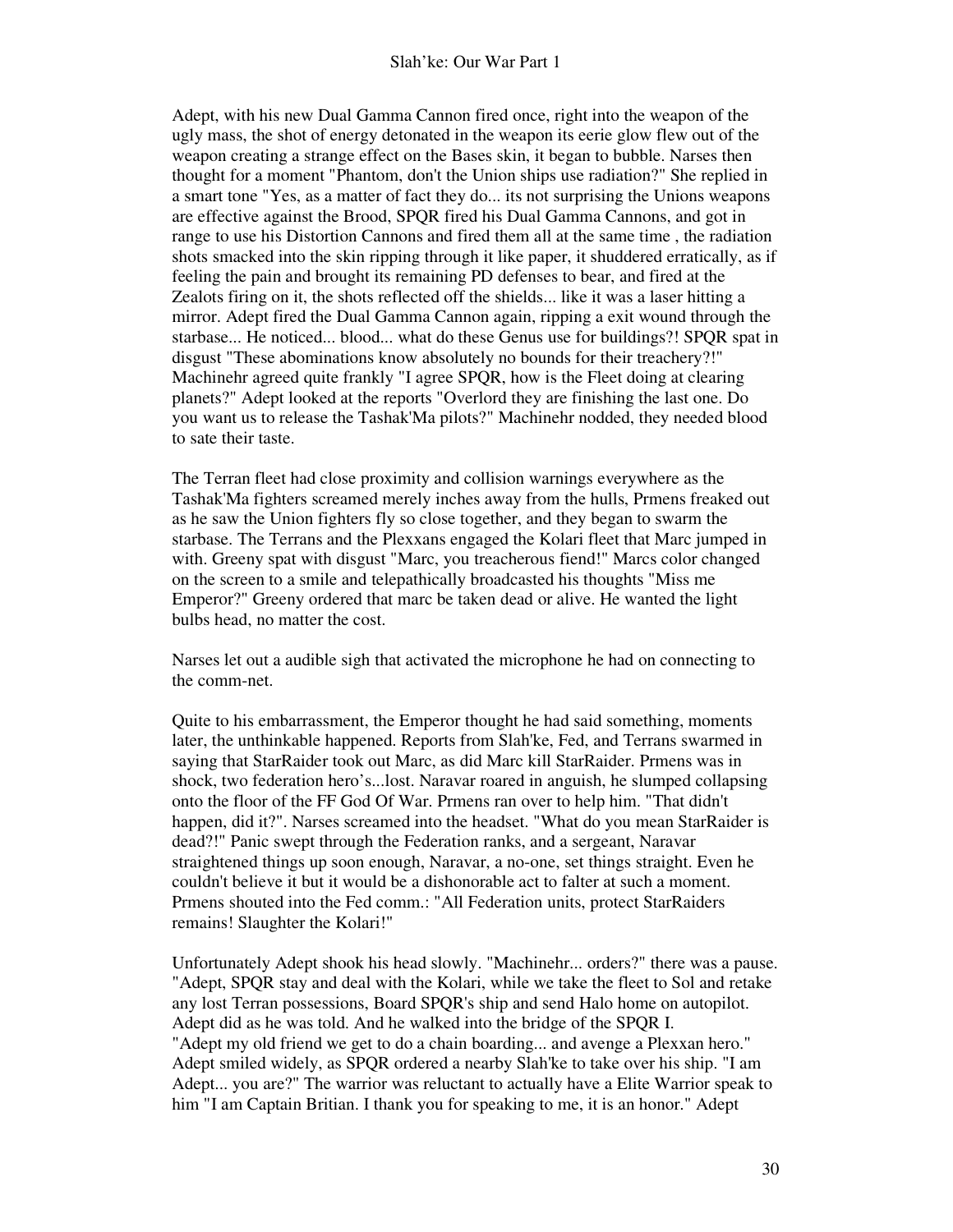Adept, with his new Dual Gamma Cannon fired once, right into the weapon of the ugly mass, the shot of energy detonated in the weapon its eerie glow flew out of the weapon creating a strange effect on the Bases skin, it began to bubble. Narses then thought for a moment "Phantom, don't the Union ships use radiation?" She replied in a smart tone "Yes, as a matter of fact they do... its not surprising the Unions weapons are effective against the Brood, SPQR fired his Dual Gamma Cannons, and got in range to use his Distortion Cannons and fired them all at the same time , the radiation shots smacked into the skin ripping through it like paper, it shuddered erratically, as if feeling the pain and brought its remaining PD defenses to bear, and fired at the Zealots firing on it, the shots reflected off the shields... like it was a laser hitting a mirror. Adept fired the Dual Gamma Cannon again, ripping a exit wound through the starbase... He noticed... blood... what do these Genus use for buildings?! SPQR spat in disgust "These abominations know absolutely no bounds for their treachery?!" Machinehr agreed quite frankly "I agree SPQR, how is the Fleet doing at clearing planets?" Adept looked at the reports "Overlord they are finishing the last one. Do you want us to release the Tashak'Ma pilots?" Machinehr nodded, they needed blood to sate their taste.

The Terran fleet had close proximity and collision warnings everywhere as the Tashak'Ma fighters screamed merely inches away from the hulls, Prmens freaked out as he saw the Union fighters fly so close together, and they began to swarm the starbase. The Terrans and the Plexxans engaged the Kolari fleet that Marc jumped in with. Greeny spat with disgust "Marc, you treacherous fiend!" Marcs color changed on the screen to a smile and telepathically broadcasted his thoughts "Miss me Emperor?" Greeny ordered that marc be taken dead or alive. He wanted the light bulbs head, no matter the cost.

Narses let out a audible sigh that activated the microphone he had on connecting to the comm-net.

Quite to his embarrassment, the Emperor thought he had said something, moments later, the unthinkable happened. Reports from Slah'ke, Fed, and Terrans swarmed in saying that StarRaider took out Marc, as did Marc kill StarRaider. Prmens was in shock, two federation hero's...lost. Naravar roared in anguish, he slumped collapsing onto the floor of the FF God Of War. Prmens ran over to help him. "That didn't happen, did it?". Narses screamed into the headset. "What do you mean StarRaider is dead?!" Panic swept through the Federation ranks, and a sergeant, Naravar straightened things up soon enough, Naravar, a no-one, set things straight. Even he couldn't believe it but it would be a dishonorable act to falter at such a moment. Prmens shouted into the Fed comm.: "All Federation units, protect StarRaiders remains! Slaughter the Kolari!"

Unfortunately Adept shook his head slowly. "Machinehr... orders?" there was a pause. "Adept, SPQR stay and deal with the Kolari, while we take the fleet to Sol and retake any lost Terran possessions, Board SPQR's ship and send Halo home on autopilot. Adept did as he was told. And he walked into the bridge of the SPQR I. "Adept my old friend we get to do a chain boarding... and avenge a Plexxan hero." Adept smiled widely, as SPQR ordered a nearby Slah'ke to take over his ship. "I am Adept... you are?" The warrior was reluctant to actually have a Elite Warrior speak to him "I am Captain Britian. I thank you for speaking to me, it is an honor." Adept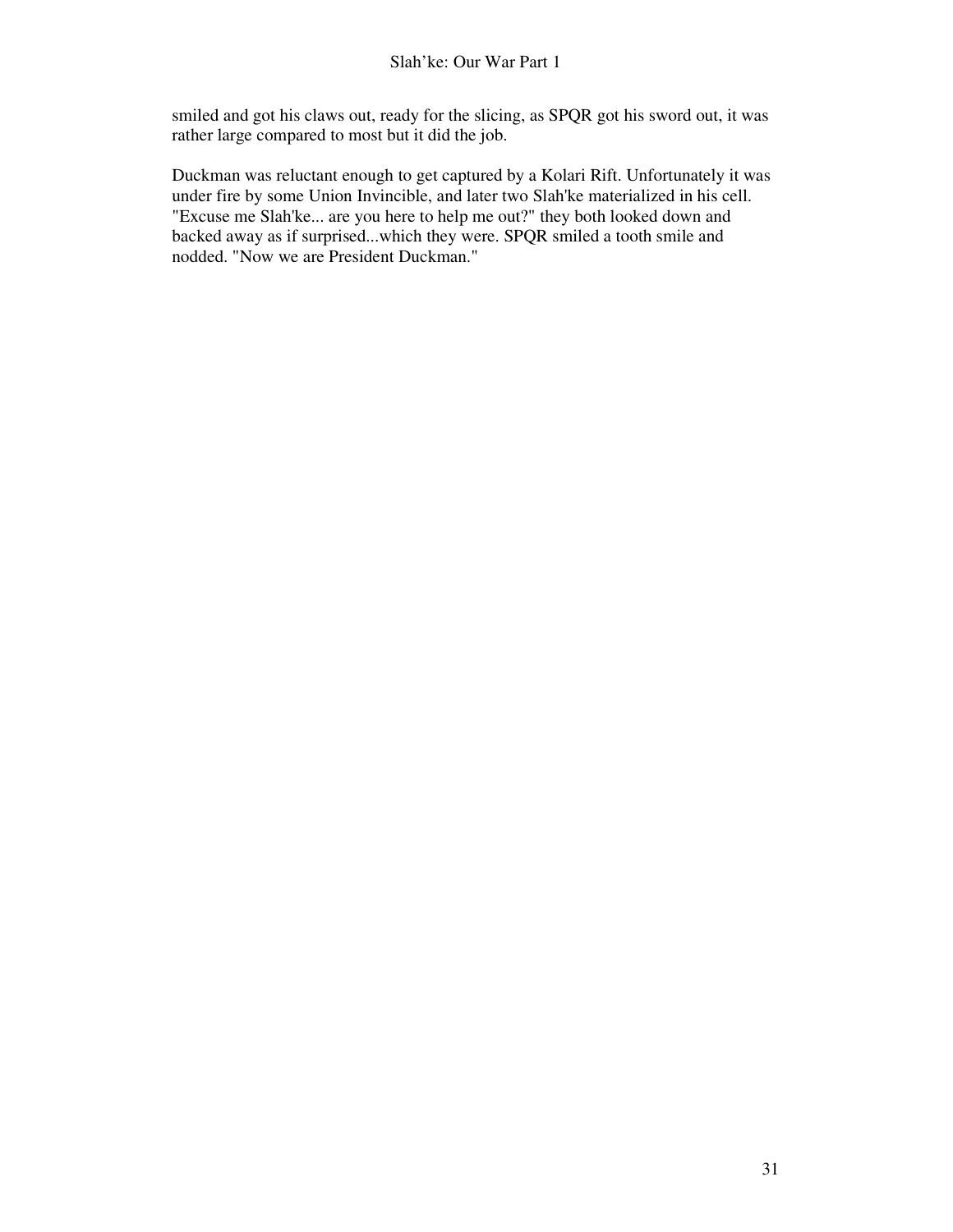smiled and got his claws out, ready for the slicing, as SPQR got his sword out, it was rather large compared to most but it did the job.

Duckman was reluctant enough to get captured by a Kolari Rift. Unfortunately it was under fire by some Union Invincible, and later two Slah'ke materialized in his cell. "Excuse me Slah'ke... are you here to help me out?" they both looked down and backed away as if surprised...which they were. SPQR smiled a tooth smile and nodded. "Now we are President Duckman."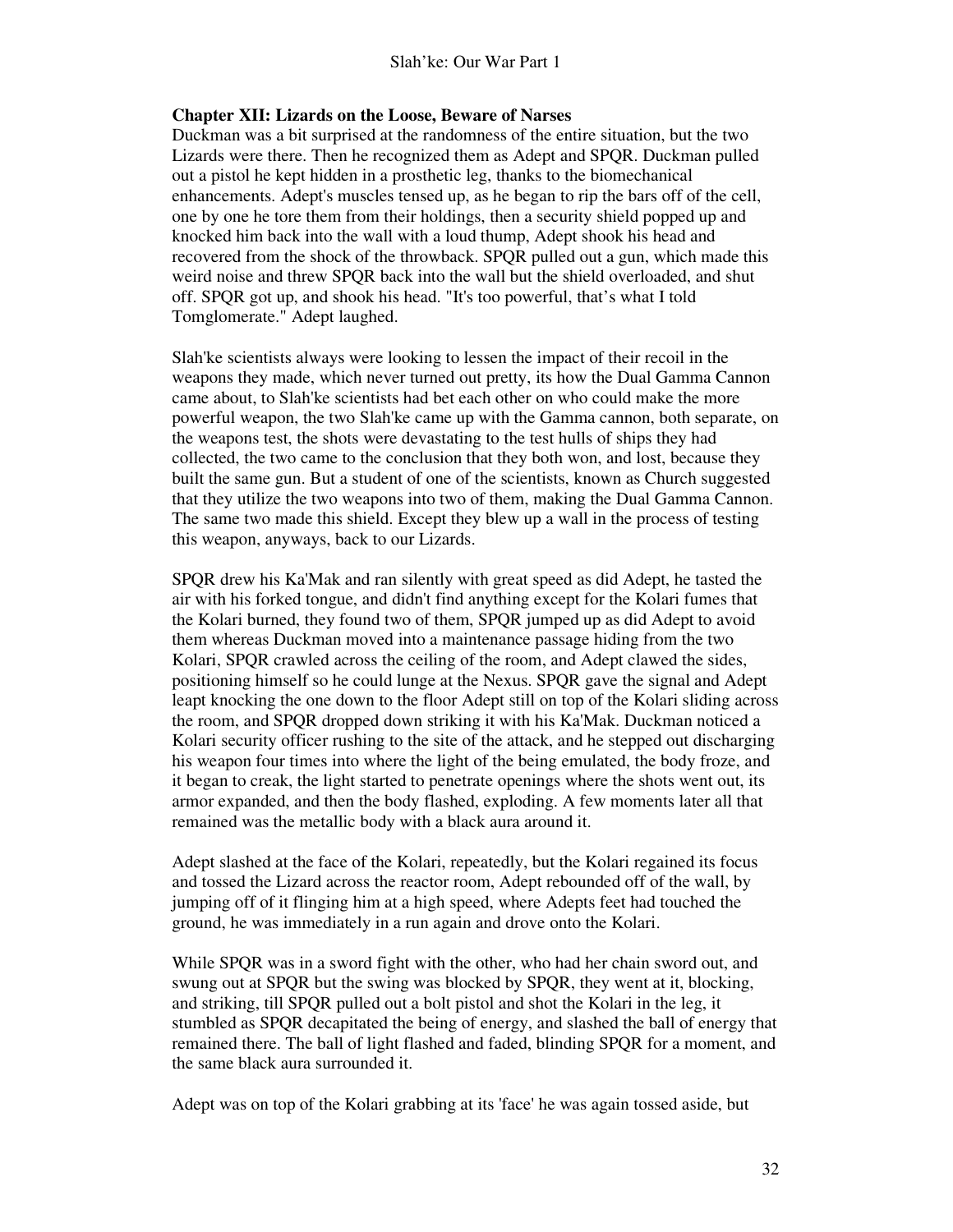# **Chapter XII: Lizards on the Loose, Beware of Narses**

Duckman was a bit surprised at the randomness of the entire situation, but the two Lizards were there. Then he recognized them as Adept and SPQR. Duckman pulled out a pistol he kept hidden in a prosthetic leg, thanks to the biomechanical enhancements. Adept's muscles tensed up, as he began to rip the bars off of the cell, one by one he tore them from their holdings, then a security shield popped up and knocked him back into the wall with a loud thump, Adept shook his head and recovered from the shock of the throwback. SPQR pulled out a gun, which made this weird noise and threw SPQR back into the wall but the shield overloaded, and shut off. SPQR got up, and shook his head. "It's too powerful, that's what I told Tomglomerate." Adept laughed.

Slah'ke scientists always were looking to lessen the impact of their recoil in the weapons they made, which never turned out pretty, its how the Dual Gamma Cannon came about, to Slah'ke scientists had bet each other on who could make the more powerful weapon, the two Slah'ke came up with the Gamma cannon, both separate, on the weapons test, the shots were devastating to the test hulls of ships they had collected, the two came to the conclusion that they both won, and lost, because they built the same gun. But a student of one of the scientists, known as Church suggested that they utilize the two weapons into two of them, making the Dual Gamma Cannon. The same two made this shield. Except they blew up a wall in the process of testing this weapon, anyways, back to our Lizards.

SPQR drew his Ka'Mak and ran silently with great speed as did Adept, he tasted the air with his forked tongue, and didn't find anything except for the Kolari fumes that the Kolari burned, they found two of them, SPQR jumped up as did Adept to avoid them whereas Duckman moved into a maintenance passage hiding from the two Kolari, SPQR crawled across the ceiling of the room, and Adept clawed the sides, positioning himself so he could lunge at the Nexus. SPQR gave the signal and Adept leapt knocking the one down to the floor Adept still on top of the Kolari sliding across the room, and SPQR dropped down striking it with his Ka'Mak. Duckman noticed a Kolari security officer rushing to the site of the attack, and he stepped out discharging his weapon four times into where the light of the being emulated, the body froze, and it began to creak, the light started to penetrate openings where the shots went out, its armor expanded, and then the body flashed, exploding. A few moments later all that remained was the metallic body with a black aura around it.

Adept slashed at the face of the Kolari, repeatedly, but the Kolari regained its focus and tossed the Lizard across the reactor room, Adept rebounded off of the wall, by jumping off of it flinging him at a high speed, where Adepts feet had touched the ground, he was immediately in a run again and drove onto the Kolari.

While SPQR was in a sword fight with the other, who had her chain sword out, and swung out at SPQR but the swing was blocked by SPQR, they went at it, blocking, and striking, till SPQR pulled out a bolt pistol and shot the Kolari in the leg, it stumbled as SPQR decapitated the being of energy, and slashed the ball of energy that remained there. The ball of light flashed and faded, blinding SPQR for a moment, and the same black aura surrounded it.

Adept was on top of the Kolari grabbing at its 'face' he was again tossed aside, but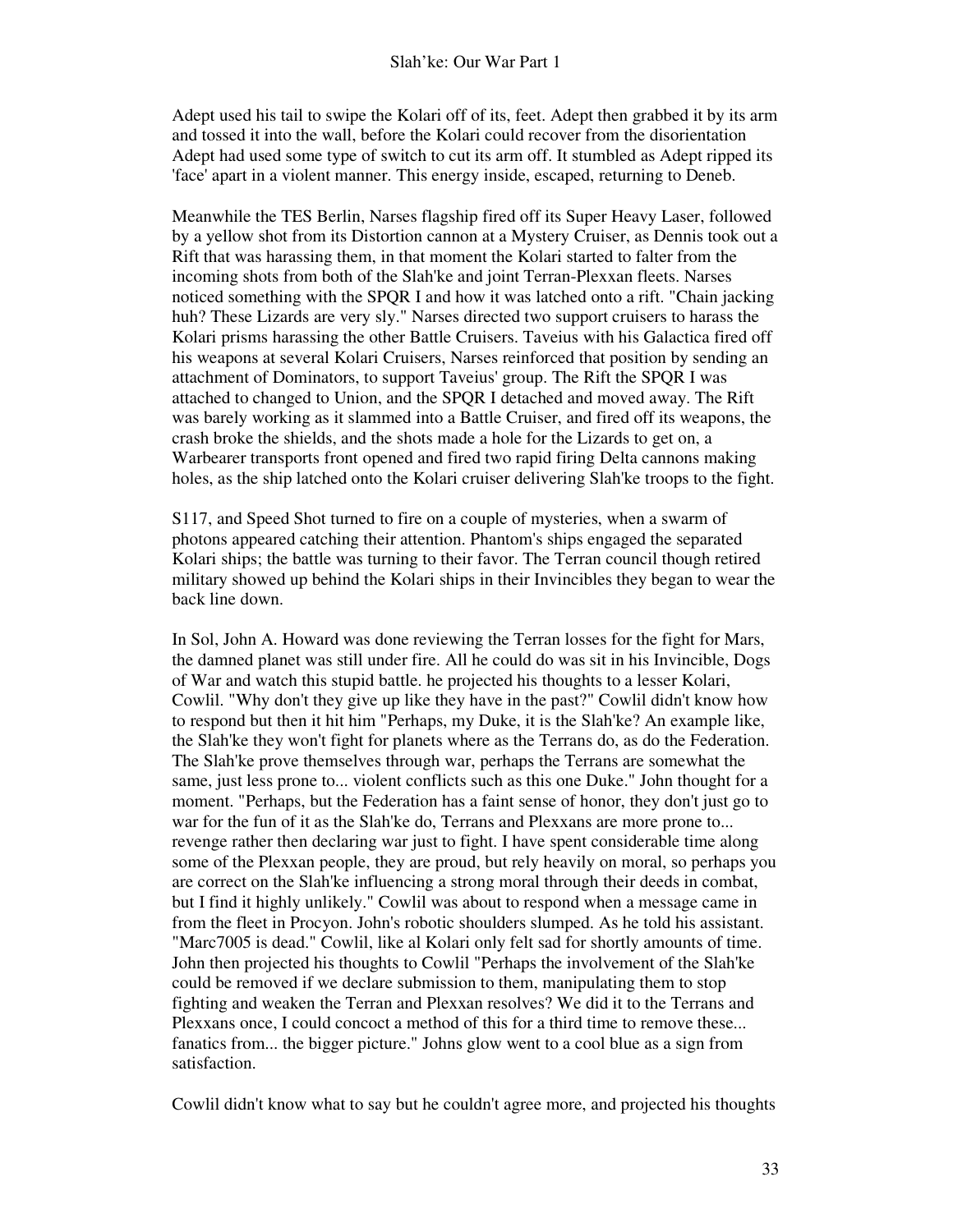Adept used his tail to swipe the Kolari off of its, feet. Adept then grabbed it by its arm and tossed it into the wall, before the Kolari could recover from the disorientation Adept had used some type of switch to cut its arm off. It stumbled as Adept ripped its 'face' apart in a violent manner. This energy inside, escaped, returning to Deneb.

Meanwhile the TES Berlin, Narses flagship fired off its Super Heavy Laser, followed by a yellow shot from its Distortion cannon at a Mystery Cruiser, as Dennis took out a Rift that was harassing them, in that moment the Kolari started to falter from the incoming shots from both of the Slah'ke and joint Terran-Plexxan fleets. Narses noticed something with the SPQR I and how it was latched onto a rift. "Chain jacking huh? These Lizards are very sly." Narses directed two support cruisers to harass the Kolari prisms harassing the other Battle Cruisers. Taveius with his Galactica fired off his weapons at several Kolari Cruisers, Narses reinforced that position by sending an attachment of Dominators, to support Taveius' group. The Rift the SPQR I was attached to changed to Union, and the SPQR I detached and moved away. The Rift was barely working as it slammed into a Battle Cruiser, and fired off its weapons, the crash broke the shields, and the shots made a hole for the Lizards to get on, a Warbearer transports front opened and fired two rapid firing Delta cannons making holes, as the ship latched onto the Kolari cruiser delivering Slah'ke troops to the fight.

S117, and Speed Shot turned to fire on a couple of mysteries, when a swarm of photons appeared catching their attention. Phantom's ships engaged the separated Kolari ships; the battle was turning to their favor. The Terran council though retired military showed up behind the Kolari ships in their Invincibles they began to wear the back line down.

In Sol, John A. Howard was done reviewing the Terran losses for the fight for Mars, the damned planet was still under fire. All he could do was sit in his Invincible, Dogs of War and watch this stupid battle. he projected his thoughts to a lesser Kolari, Cowlil. "Why don't they give up like they have in the past?" Cowlil didn't know how to respond but then it hit him "Perhaps, my Duke, it is the Slah'ke? An example like, the Slah'ke they won't fight for planets where as the Terrans do, as do the Federation. The Slah'ke prove themselves through war, perhaps the Terrans are somewhat the same, just less prone to... violent conflicts such as this one Duke." John thought for a moment. "Perhaps, but the Federation has a faint sense of honor, they don't just go to war for the fun of it as the Slah'ke do, Terrans and Plexxans are more prone to... revenge rather then declaring war just to fight. I have spent considerable time along some of the Plexxan people, they are proud, but rely heavily on moral, so perhaps you are correct on the Slah'ke influencing a strong moral through their deeds in combat, but I find it highly unlikely." Cowlil was about to respond when a message came in from the fleet in Procyon. John's robotic shoulders slumped. As he told his assistant. "Marc7005 is dead." Cowlil, like al Kolari only felt sad for shortly amounts of time. John then projected his thoughts to Cowlil "Perhaps the involvement of the Slah'ke could be removed if we declare submission to them, manipulating them to stop fighting and weaken the Terran and Plexxan resolves? We did it to the Terrans and Plexxans once, I could concoct a method of this for a third time to remove these... fanatics from... the bigger picture." Johns glow went to a cool blue as a sign from satisfaction.

Cowlil didn't know what to say but he couldn't agree more, and projected his thoughts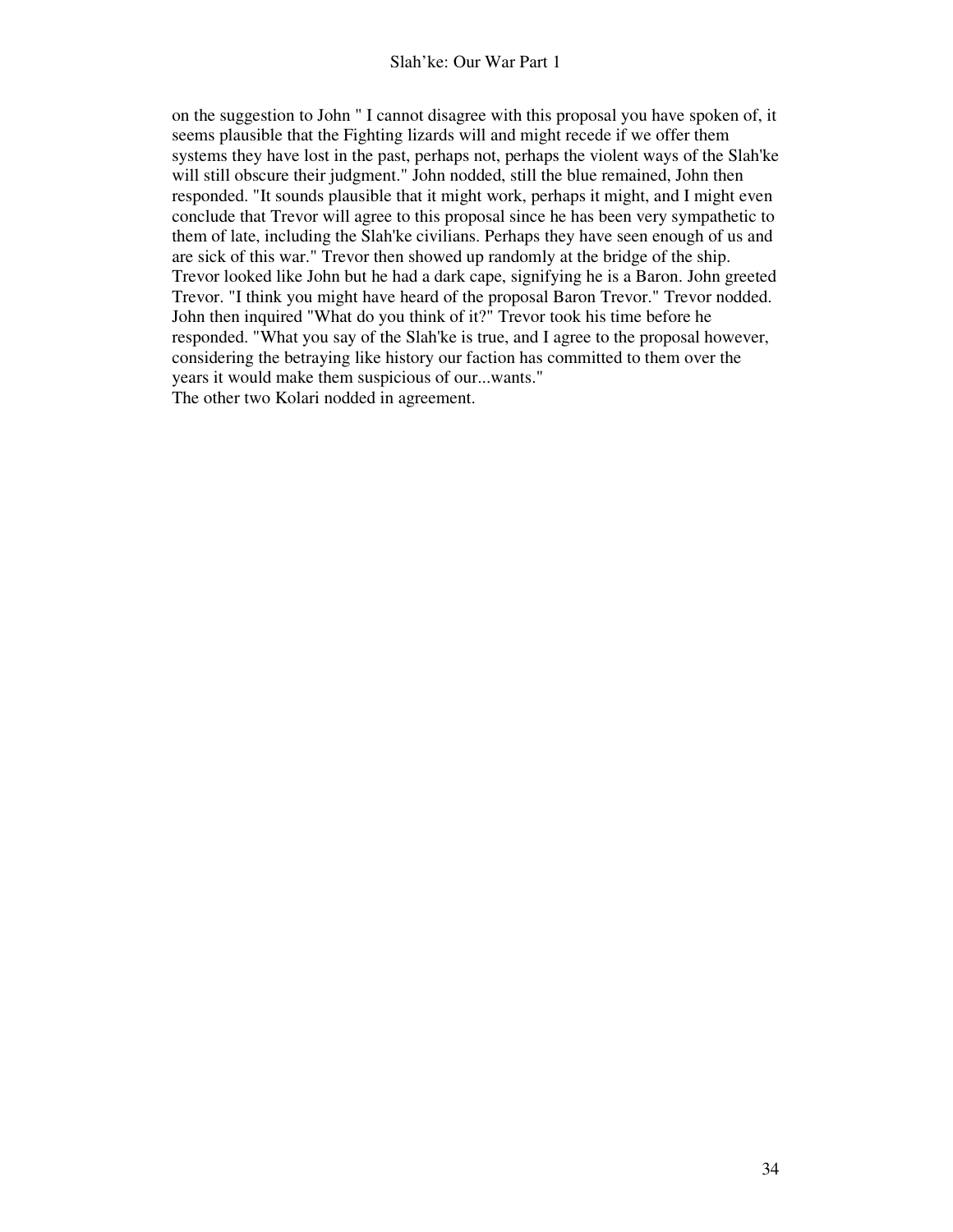on the suggestion to John " I cannot disagree with this proposal you have spoken of, it seems plausible that the Fighting lizards will and might recede if we offer them systems they have lost in the past, perhaps not, perhaps the violent ways of the Slah'ke will still obscure their judgment." John nodded, still the blue remained, John then responded. "It sounds plausible that it might work, perhaps it might, and I might even conclude that Trevor will agree to this proposal since he has been very sympathetic to them of late, including the Slah'ke civilians. Perhaps they have seen enough of us and are sick of this war." Trevor then showed up randomly at the bridge of the ship. Trevor looked like John but he had a dark cape, signifying he is a Baron. John greeted Trevor. "I think you might have heard of the proposal Baron Trevor." Trevor nodded. John then inquired "What do you think of it?" Trevor took his time before he responded. "What you say of the Slah'ke is true, and I agree to the proposal however, considering the betraying like history our faction has committed to them over the years it would make them suspicious of our...wants." The other two Kolari nodded in agreement.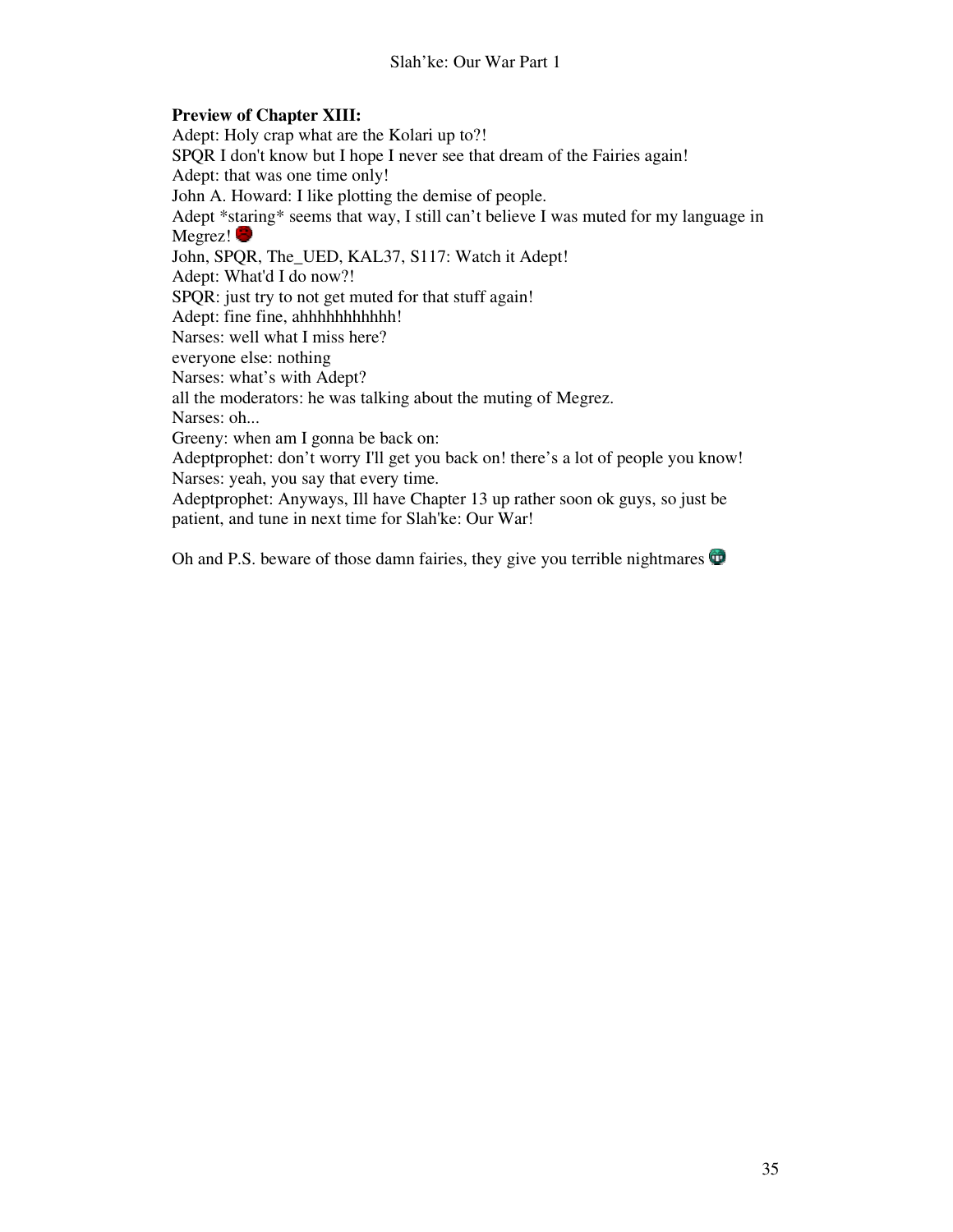# **Preview of Chapter XIII:**

Adept: Holy crap what are the Kolari up to?! SPQR I don't know but I hope I never see that dream of the Fairies again! Adept: that was one time only! John A. Howard: I like plotting the demise of people. Adept \*staring\* seems that way, I still can't believe I was muted for my language in Megrez! John, SPQR, The\_UED, KAL37, S117: Watch it Adept! Adept: What'd I do now?! SPQR: just try to not get muted for that stuff again! Adept: fine fine, ahhhhhhhhhhh! Narses: well what I miss here? everyone else: nothing Narses: what's with Adept? all the moderators: he was talking about the muting of Megrez. Narses: oh... Greeny: when am I gonna be back on: Adeptprophet: don't worry I'll get you back on! there's a lot of people you know! Narses: yeah, you say that every time. Adeptprophet: Anyways, Ill have Chapter 13 up rather soon ok guys, so just be patient, and tune in next time for Slah'ke: Our War!

Oh and P.S. beware of those damn fairies, they give you terrible nightmares  $\mathbf \Phi$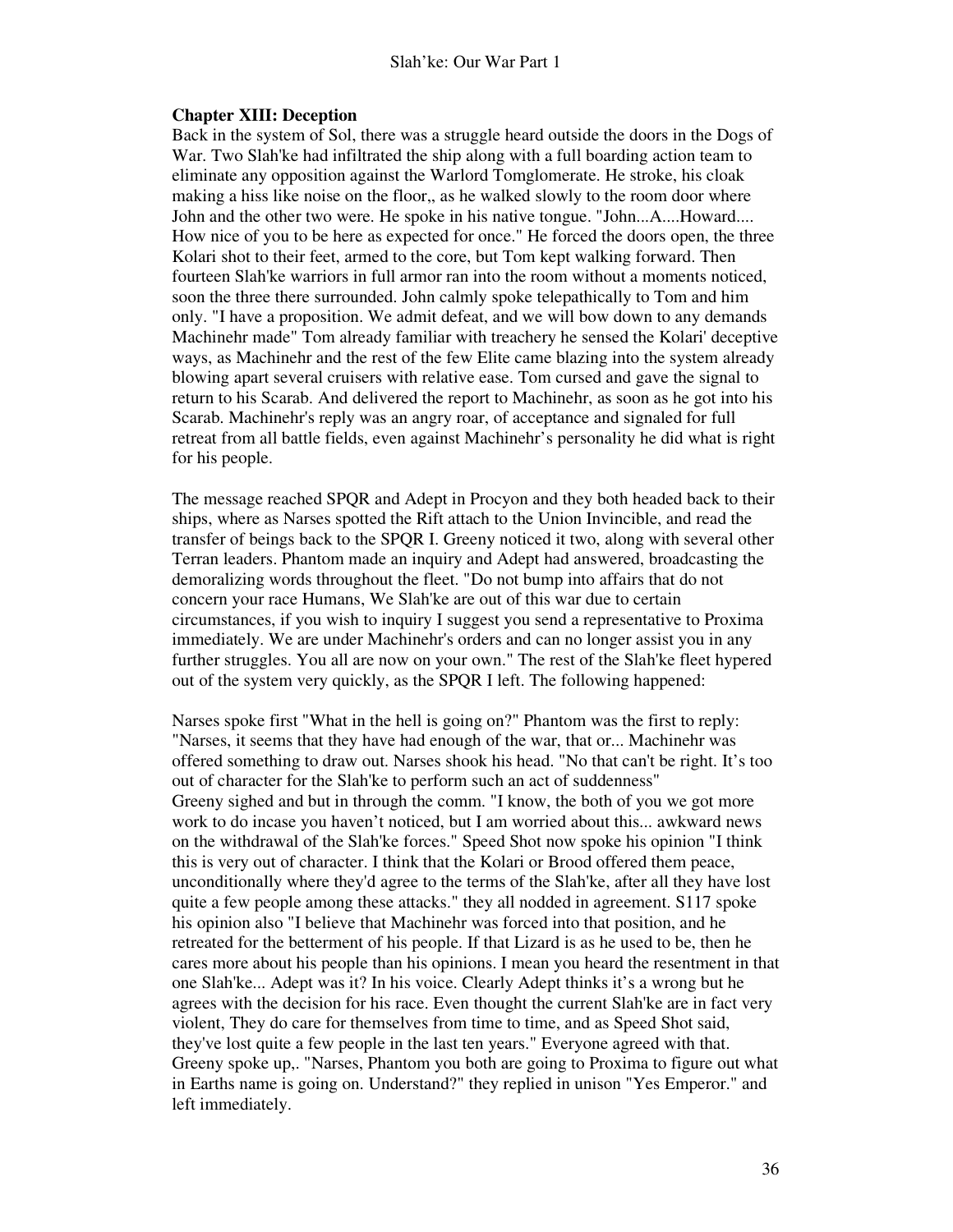#### Slah'ke: Our War Part 1

#### **Chapter XIII: Deception**

Back in the system of Sol, there was a struggle heard outside the doors in the Dogs of War. Two Slah'ke had infiltrated the ship along with a full boarding action team to eliminate any opposition against the Warlord Tomglomerate. He stroke, his cloak making a hiss like noise on the floor,, as he walked slowly to the room door where John and the other two were. He spoke in his native tongue. "John...A....Howard.... How nice of you to be here as expected for once." He forced the doors open, the three Kolari shot to their feet, armed to the core, but Tom kept walking forward. Then fourteen Slah'ke warriors in full armor ran into the room without a moments noticed, soon the three there surrounded. John calmly spoke telepathically to Tom and him only. "I have a proposition. We admit defeat, and we will bow down to any demands Machinehr made" Tom already familiar with treachery he sensed the Kolari' deceptive ways, as Machinehr and the rest of the few Elite came blazing into the system already blowing apart several cruisers with relative ease. Tom cursed and gave the signal to return to his Scarab. And delivered the report to Machinehr, as soon as he got into his Scarab. Machinehr's reply was an angry roar, of acceptance and signaled for full retreat from all battle fields, even against Machinehr's personality he did what is right for his people.

The message reached SPQR and Adept in Procyon and they both headed back to their ships, where as Narses spotted the Rift attach to the Union Invincible, and read the transfer of beings back to the SPQR I. Greeny noticed it two, along with several other Terran leaders. Phantom made an inquiry and Adept had answered, broadcasting the demoralizing words throughout the fleet. "Do not bump into affairs that do not concern your race Humans, We Slah'ke are out of this war due to certain circumstances, if you wish to inquiry I suggest you send a representative to Proxima immediately. We are under Machinehr's orders and can no longer assist you in any further struggles. You all are now on your own." The rest of the Slah'ke fleet hypered out of the system very quickly, as the SPQR I left. The following happened:

Narses spoke first "What in the hell is going on?" Phantom was the first to reply: "Narses, it seems that they have had enough of the war, that or... Machinehr was offered something to draw out. Narses shook his head. "No that can't be right. It's too out of character for the Slah'ke to perform such an act of suddenness" Greeny sighed and but in through the comm. "I know, the both of you we got more work to do incase you haven't noticed, but I am worried about this... awkward news on the withdrawal of the Slah'ke forces." Speed Shot now spoke his opinion "I think this is very out of character. I think that the Kolari or Brood offered them peace, unconditionally where they'd agree to the terms of the Slah'ke, after all they have lost quite a few people among these attacks." they all nodded in agreement. S117 spoke his opinion also "I believe that Machinehr was forced into that position, and he retreated for the betterment of his people. If that Lizard is as he used to be, then he cares more about his people than his opinions. I mean you heard the resentment in that one Slah'ke... Adept was it? In his voice. Clearly Adept thinks it's a wrong but he agrees with the decision for his race. Even thought the current Slah'ke are in fact very violent, They do care for themselves from time to time, and as Speed Shot said, they've lost quite a few people in the last ten years." Everyone agreed with that. Greeny spoke up,. "Narses, Phantom you both are going to Proxima to figure out what in Earths name is going on. Understand?" they replied in unison "Yes Emperor." and left immediately.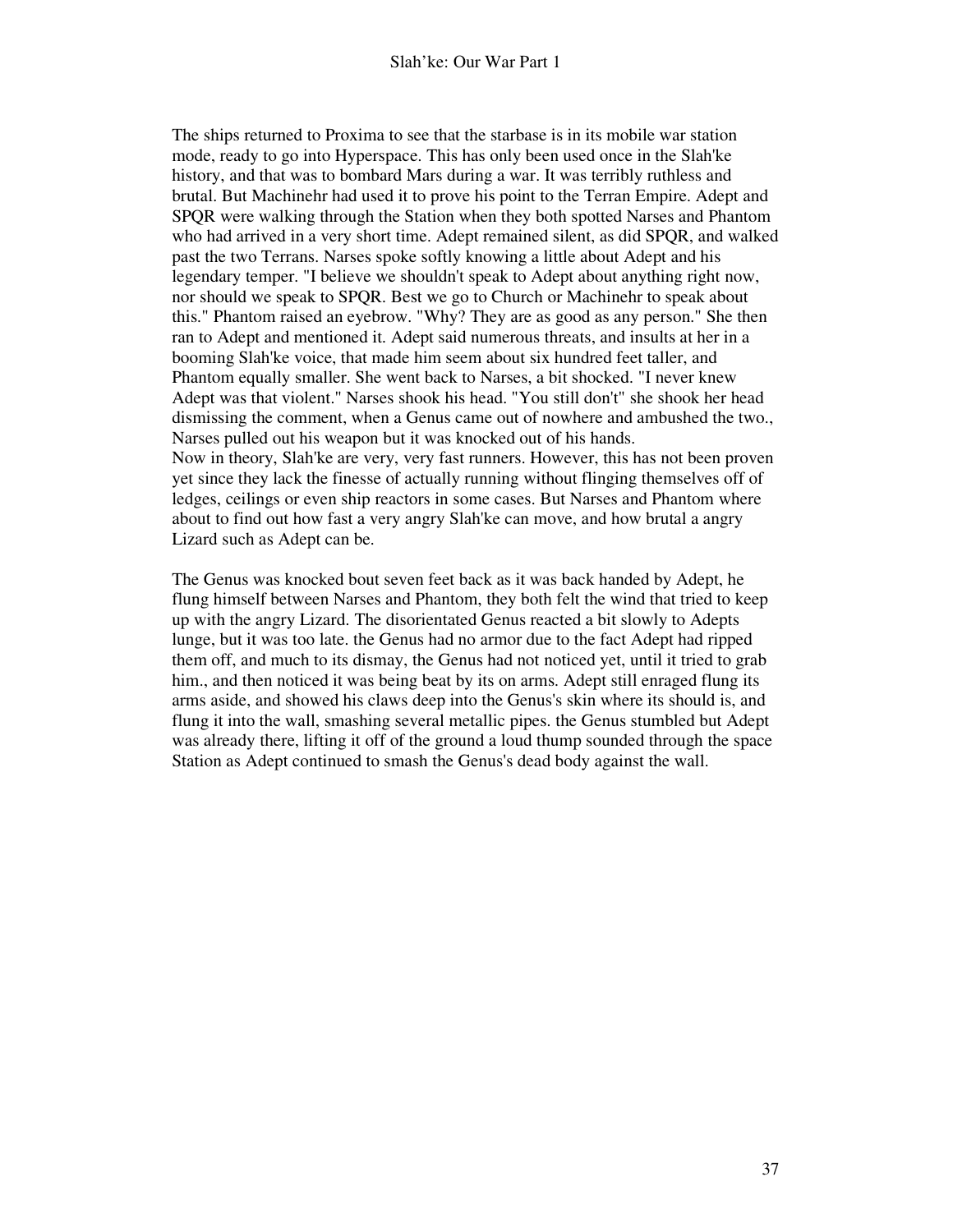The ships returned to Proxima to see that the starbase is in its mobile war station mode, ready to go into Hyperspace. This has only been used once in the Slah'ke history, and that was to bombard Mars during a war. It was terribly ruthless and brutal. But Machinehr had used it to prove his point to the Terran Empire. Adept and SPQR were walking through the Station when they both spotted Narses and Phantom who had arrived in a very short time. Adept remained silent, as did SPQR, and walked past the two Terrans. Narses spoke softly knowing a little about Adept and his legendary temper. "I believe we shouldn't speak to Adept about anything right now, nor should we speak to SPQR. Best we go to Church or Machinehr to speak about this." Phantom raised an eyebrow. "Why? They are as good as any person." She then ran to Adept and mentioned it. Adept said numerous threats, and insults at her in a booming Slah'ke voice, that made him seem about six hundred feet taller, and Phantom equally smaller. She went back to Narses, a bit shocked. "I never knew Adept was that violent." Narses shook his head. "You still don't" she shook her head dismissing the comment, when a Genus came out of nowhere and ambushed the two., Narses pulled out his weapon but it was knocked out of his hands. Now in theory, Slah'ke are very, very fast runners. However, this has not been proven yet since they lack the finesse of actually running without flinging themselves off of ledges, ceilings or even ship reactors in some cases. But Narses and Phantom where about to find out how fast a very angry Slah'ke can move, and how brutal a angry Lizard such as Adept can be.

The Genus was knocked bout seven feet back as it was back handed by Adept, he flung himself between Narses and Phantom, they both felt the wind that tried to keep up with the angry Lizard. The disorientated Genus reacted a bit slowly to Adepts lunge, but it was too late. the Genus had no armor due to the fact Adept had ripped them off, and much to its dismay, the Genus had not noticed yet, until it tried to grab him., and then noticed it was being beat by its on arms. Adept still enraged flung its arms aside, and showed his claws deep into the Genus's skin where its should is, and flung it into the wall, smashing several metallic pipes. the Genus stumbled but Adept was already there, lifting it off of the ground a loud thump sounded through the space Station as Adept continued to smash the Genus's dead body against the wall.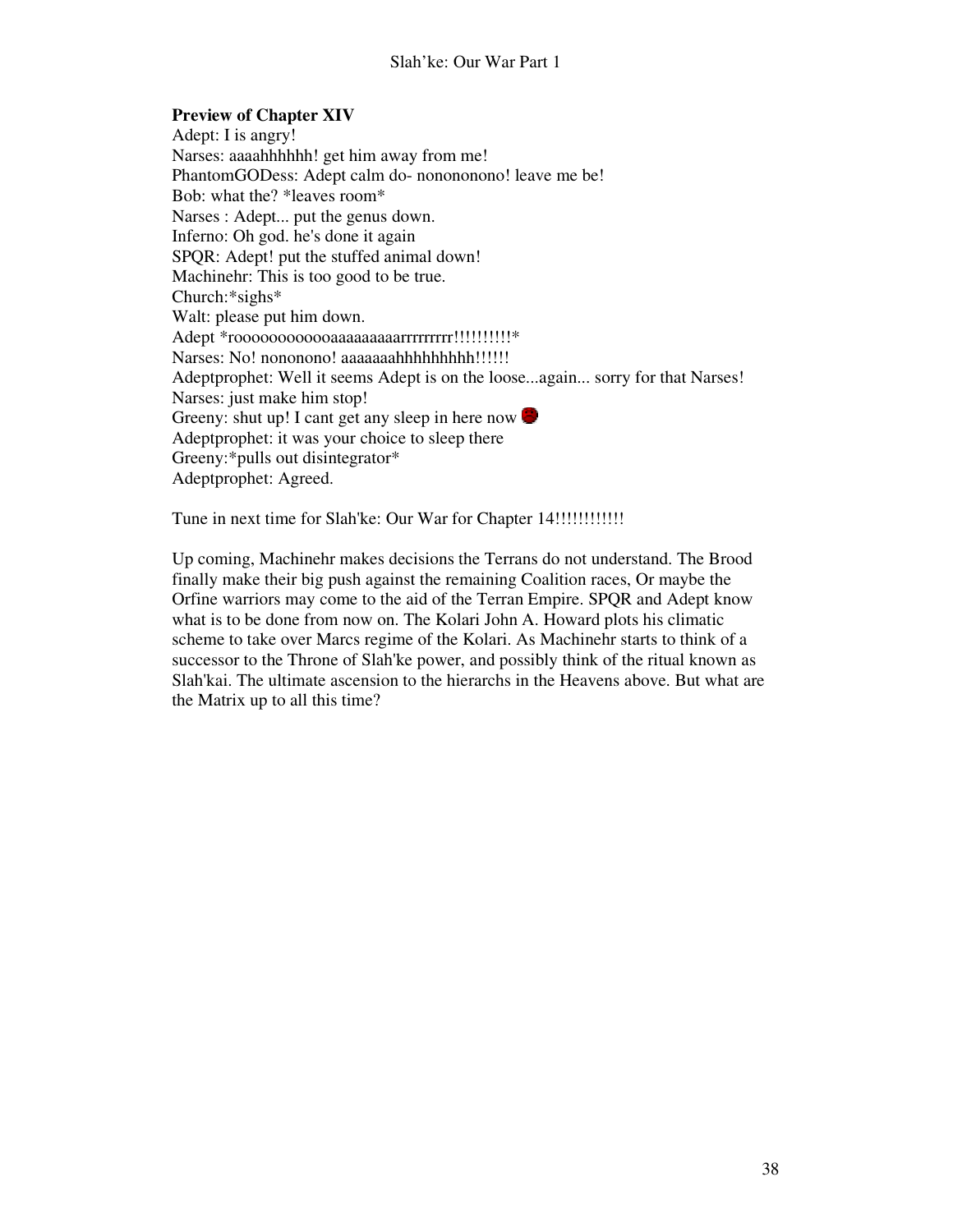# **Preview of Chapter XIV**

Adept: I is angry! Narses: aaaahhhhhh! get him away from me! PhantomGODess: Adept calm do- nonononono! leave me be! Bob: what the? \*leaves room\* Narses : Adept... put the genus down. Inferno: Oh god. he's done it again SPQR: Adept! put the stuffed animal down! Machinehr: This is too good to be true. Church:\*sighs\* Walt: please put him down. Adept \*roooooooooooaaaaaaaaarrrrrrrrr!!!!!!!!!!\* Narses: No! nononono! aaaaaaahhhhhhhhh!!!!!!! Adeptprophet: Well it seems Adept is on the loose...again... sorry for that Narses! Narses: just make him stop! Greeny: shut up! I cant get any sleep in here now Adeptprophet: it was your choice to sleep there Greeny:\*pulls out disintegrator\* Adeptprophet: Agreed.

Tune in next time for Slah'ke: Our War for Chapter 14!!!!!!!!!!!!

Up coming, Machinehr makes decisions the Terrans do not understand. The Brood finally make their big push against the remaining Coalition races, Or maybe the Orfine warriors may come to the aid of the Terran Empire. SPQR and Adept know what is to be done from now on. The Kolari John A. Howard plots his climatic scheme to take over Marcs regime of the Kolari. As Machinehr starts to think of a successor to the Throne of Slah'ke power, and possibly think of the ritual known as Slah'kai. The ultimate ascension to the hierarchs in the Heavens above. But what are the Matrix up to all this time?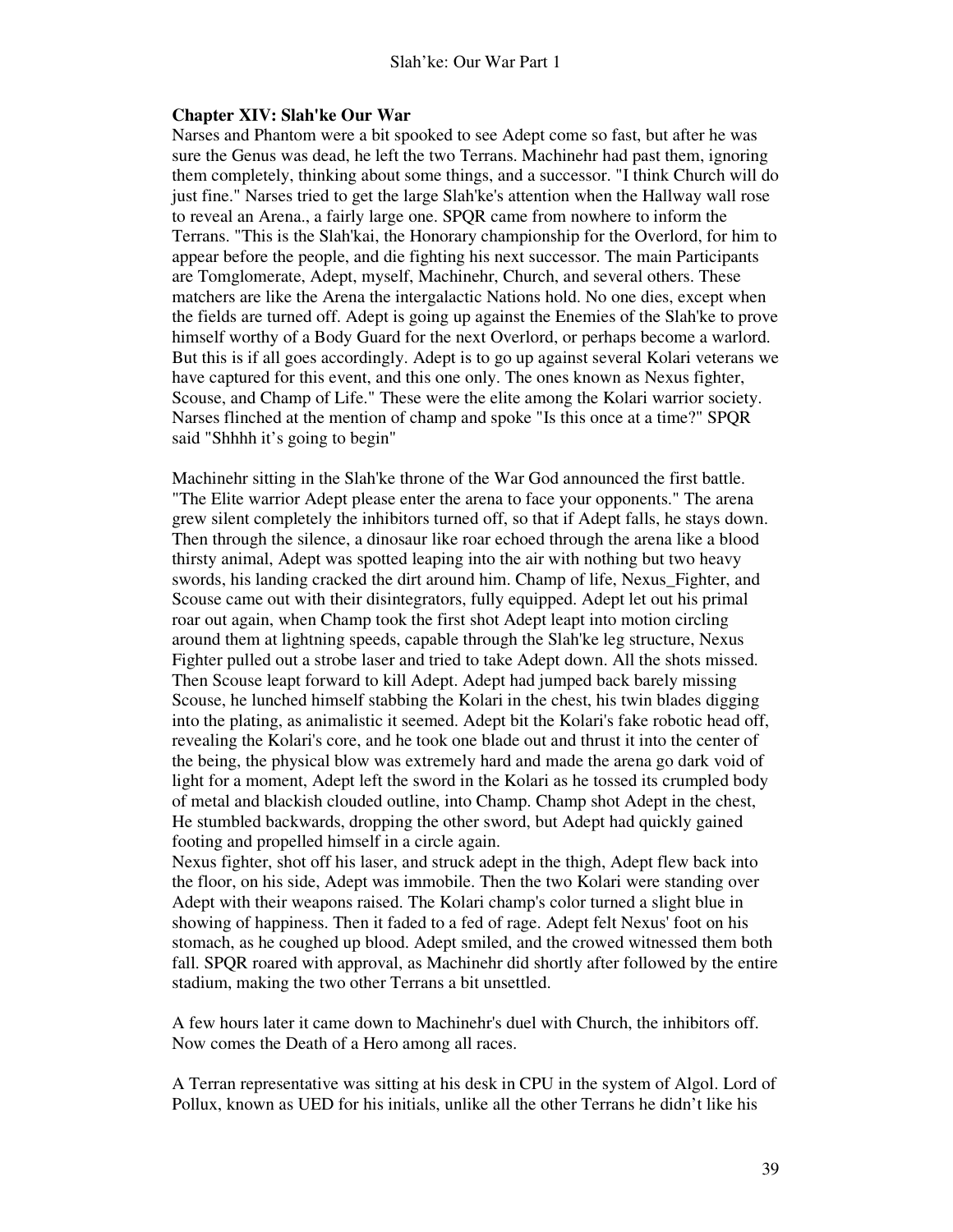#### **Chapter XIV: Slah'ke Our War**

Narses and Phantom were a bit spooked to see Adept come so fast, but after he was sure the Genus was dead, he left the two Terrans. Machinehr had past them, ignoring them completely, thinking about some things, and a successor. "I think Church will do just fine." Narses tried to get the large Slah'ke's attention when the Hallway wall rose to reveal an Arena., a fairly large one. SPQR came from nowhere to inform the Terrans. "This is the Slah'kai, the Honorary championship for the Overlord, for him to appear before the people, and die fighting his next successor. The main Participants are Tomglomerate, Adept, myself, Machinehr, Church, and several others. These matchers are like the Arena the intergalactic Nations hold. No one dies, except when the fields are turned off. Adept is going up against the Enemies of the Slah'ke to prove himself worthy of a Body Guard for the next Overlord, or perhaps become a warlord. But this is if all goes accordingly. Adept is to go up against several Kolari veterans we have captured for this event, and this one only. The ones known as Nexus fighter, Scouse, and Champ of Life." These were the elite among the Kolari warrior society. Narses flinched at the mention of champ and spoke "Is this once at a time?" SPQR said "Shhhh it's going to begin"

Machinehr sitting in the Slah'ke throne of the War God announced the first battle. "The Elite warrior Adept please enter the arena to face your opponents." The arena grew silent completely the inhibitors turned off, so that if Adept falls, he stays down. Then through the silence, a dinosaur like roar echoed through the arena like a blood thirsty animal, Adept was spotted leaping into the air with nothing but two heavy swords, his landing cracked the dirt around him. Champ of life, Nexus\_Fighter, and Scouse came out with their disintegrators, fully equipped. Adept let out his primal roar out again, when Champ took the first shot Adept leapt into motion circling around them at lightning speeds, capable through the Slah'ke leg structure, Nexus Fighter pulled out a strobe laser and tried to take Adept down. All the shots missed. Then Scouse leapt forward to kill Adept. Adept had jumped back barely missing Scouse, he lunched himself stabbing the Kolari in the chest, his twin blades digging into the plating, as animalistic it seemed. Adept bit the Kolari's fake robotic head off, revealing the Kolari's core, and he took one blade out and thrust it into the center of the being, the physical blow was extremely hard and made the arena go dark void of light for a moment, Adept left the sword in the Kolari as he tossed its crumpled body of metal and blackish clouded outline, into Champ. Champ shot Adept in the chest, He stumbled backwards, dropping the other sword, but Adept had quickly gained footing and propelled himself in a circle again.

Nexus fighter, shot off his laser, and struck adept in the thigh, Adept flew back into the floor, on his side, Adept was immobile. Then the two Kolari were standing over Adept with their weapons raised. The Kolari champ's color turned a slight blue in showing of happiness. Then it faded to a fed of rage. Adept felt Nexus' foot on his stomach, as he coughed up blood. Adept smiled, and the crowed witnessed them both fall. SPQR roared with approval, as Machinehr did shortly after followed by the entire stadium, making the two other Terrans a bit unsettled.

A few hours later it came down to Machinehr's duel with Church, the inhibitors off. Now comes the Death of a Hero among all races.

A Terran representative was sitting at his desk in CPU in the system of Algol. Lord of Pollux, known as UED for his initials, unlike all the other Terrans he didn't like his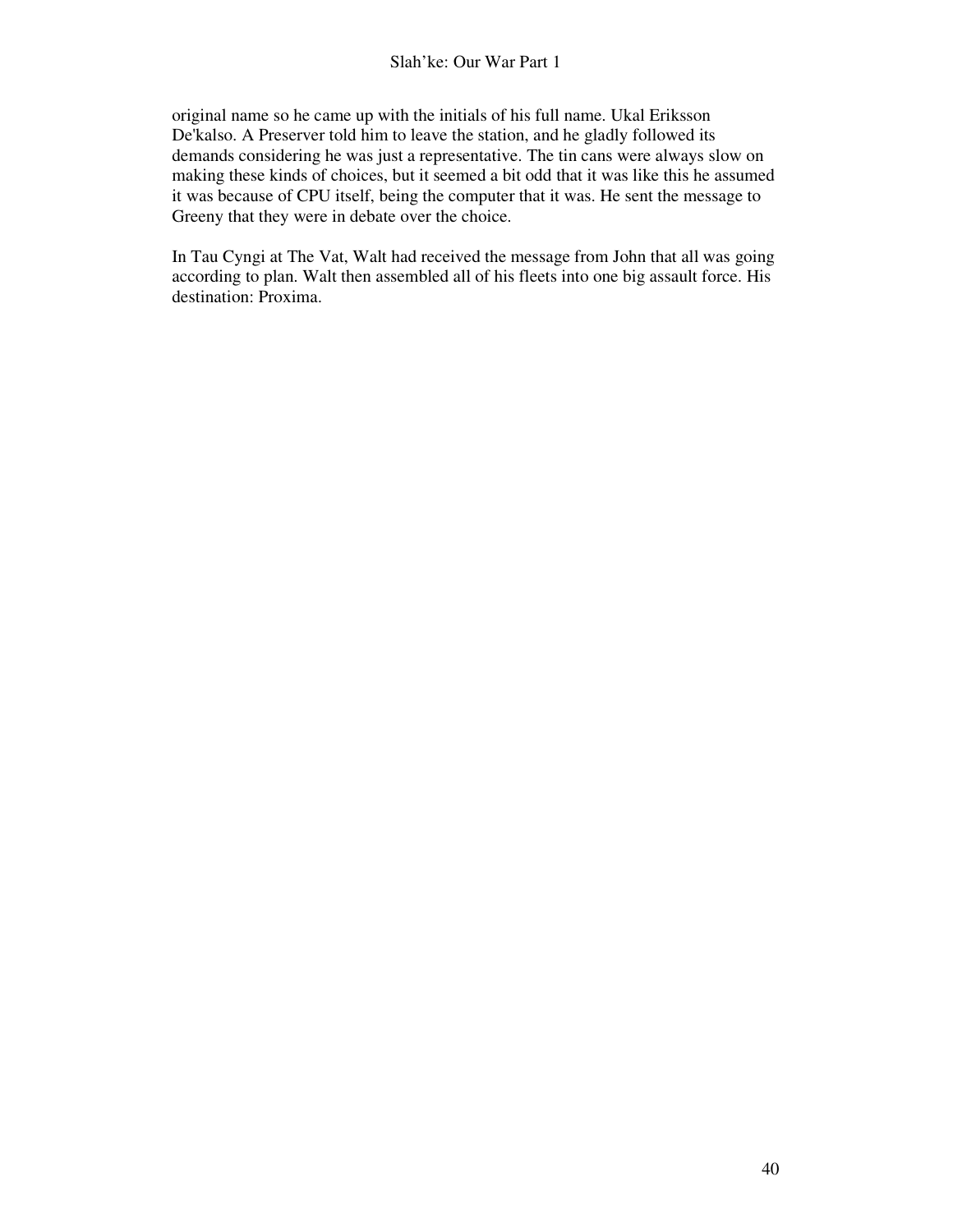original name so he came up with the initials of his full name. Ukal Eriksson De'kalso. A Preserver told him to leave the station, and he gladly followed its demands considering he was just a representative. The tin cans were always slow on making these kinds of choices, but it seemed a bit odd that it was like this he assumed it was because of CPU itself, being the computer that it was. He sent the message to Greeny that they were in debate over the choice.

In Tau Cyngi at The Vat, Walt had received the message from John that all was going according to plan. Walt then assembled all of his fleets into one big assault force. His destination: Proxima.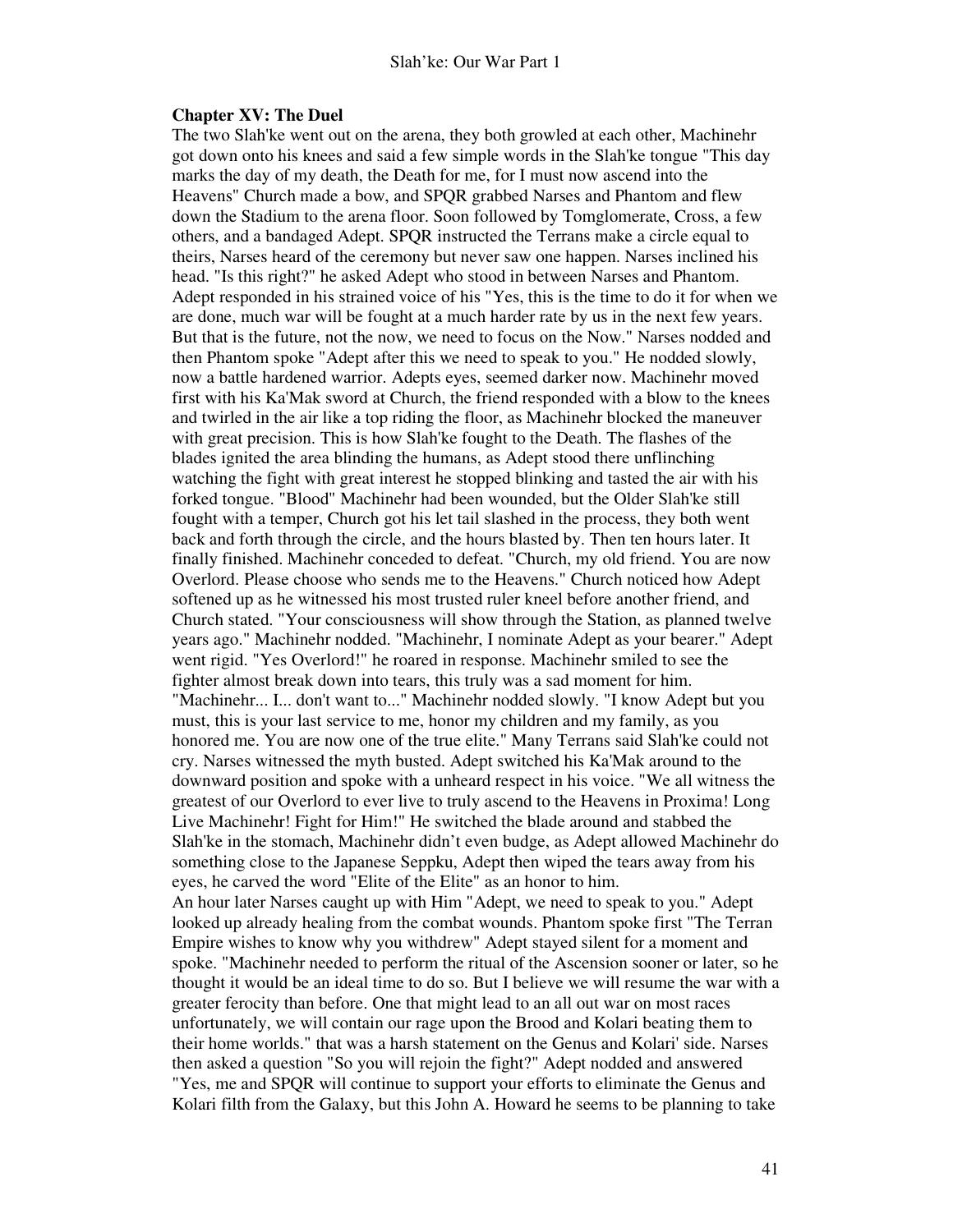#### **Chapter XV: The Duel**

The two Slah'ke went out on the arena, they both growled at each other, Machinehr got down onto his knees and said a few simple words in the Slah'ke tongue "This day marks the day of my death, the Death for me, for I must now ascend into the Heavens" Church made a bow, and SPQR grabbed Narses and Phantom and flew down the Stadium to the arena floor. Soon followed by Tomglomerate, Cross, a few others, and a bandaged Adept. SPQR instructed the Terrans make a circle equal to theirs, Narses heard of the ceremony but never saw one happen. Narses inclined his head. "Is this right?" he asked Adept who stood in between Narses and Phantom. Adept responded in his strained voice of his "Yes, this is the time to do it for when we are done, much war will be fought at a much harder rate by us in the next few years. But that is the future, not the now, we need to focus on the Now." Narses nodded and then Phantom spoke "Adept after this we need to speak to you." He nodded slowly, now a battle hardened warrior. Adepts eyes, seemed darker now. Machinehr moved first with his Ka'Mak sword at Church, the friend responded with a blow to the knees and twirled in the air like a top riding the floor, as Machinehr blocked the maneuver with great precision. This is how Slah'ke fought to the Death. The flashes of the blades ignited the area blinding the humans, as Adept stood there unflinching watching the fight with great interest he stopped blinking and tasted the air with his forked tongue. "Blood" Machinehr had been wounded, but the Older Slah'ke still fought with a temper, Church got his let tail slashed in the process, they both went back and forth through the circle, and the hours blasted by. Then ten hours later. It finally finished. Machinehr conceded to defeat. "Church, my old friend. You are now Overlord. Please choose who sends me to the Heavens." Church noticed how Adept softened up as he witnessed his most trusted ruler kneel before another friend, and Church stated. "Your consciousness will show through the Station, as planned twelve years ago." Machinehr nodded. "Machinehr, I nominate Adept as your bearer." Adept went rigid. "Yes Overlord!" he roared in response. Machinehr smiled to see the fighter almost break down into tears, this truly was a sad moment for him. "Machinehr... I... don't want to..." Machinehr nodded slowly. "I know Adept but you must, this is your last service to me, honor my children and my family, as you honored me. You are now one of the true elite." Many Terrans said Slah'ke could not cry. Narses witnessed the myth busted. Adept switched his Ka'Mak around to the downward position and spoke with a unheard respect in his voice. "We all witness the greatest of our Overlord to ever live to truly ascend to the Heavens in Proxima! Long Live Machinehr! Fight for Him!" He switched the blade around and stabbed the Slah'ke in the stomach, Machinehr didn't even budge, as Adept allowed Machinehr do something close to the Japanese Seppku, Adept then wiped the tears away from his eyes, he carved the word "Elite of the Elite" as an honor to him. An hour later Narses caught up with Him "Adept, we need to speak to you." Adept looked up already healing from the combat wounds. Phantom spoke first "The Terran Empire wishes to know why you withdrew" Adept stayed silent for a moment and spoke. "Machinehr needed to perform the ritual of the Ascension sooner or later, so he thought it would be an ideal time to do so. But I believe we will resume the war with a greater ferocity than before. One that might lead to an all out war on most races unfortunately, we will contain our rage upon the Brood and Kolari beating them to their home worlds." that was a harsh statement on the Genus and Kolari' side. Narses then asked a question "So you will rejoin the fight?" Adept nodded and answered "Yes, me and SPQR will continue to support your efforts to eliminate the Genus and Kolari filth from the Galaxy, but this John A. Howard he seems to be planning to take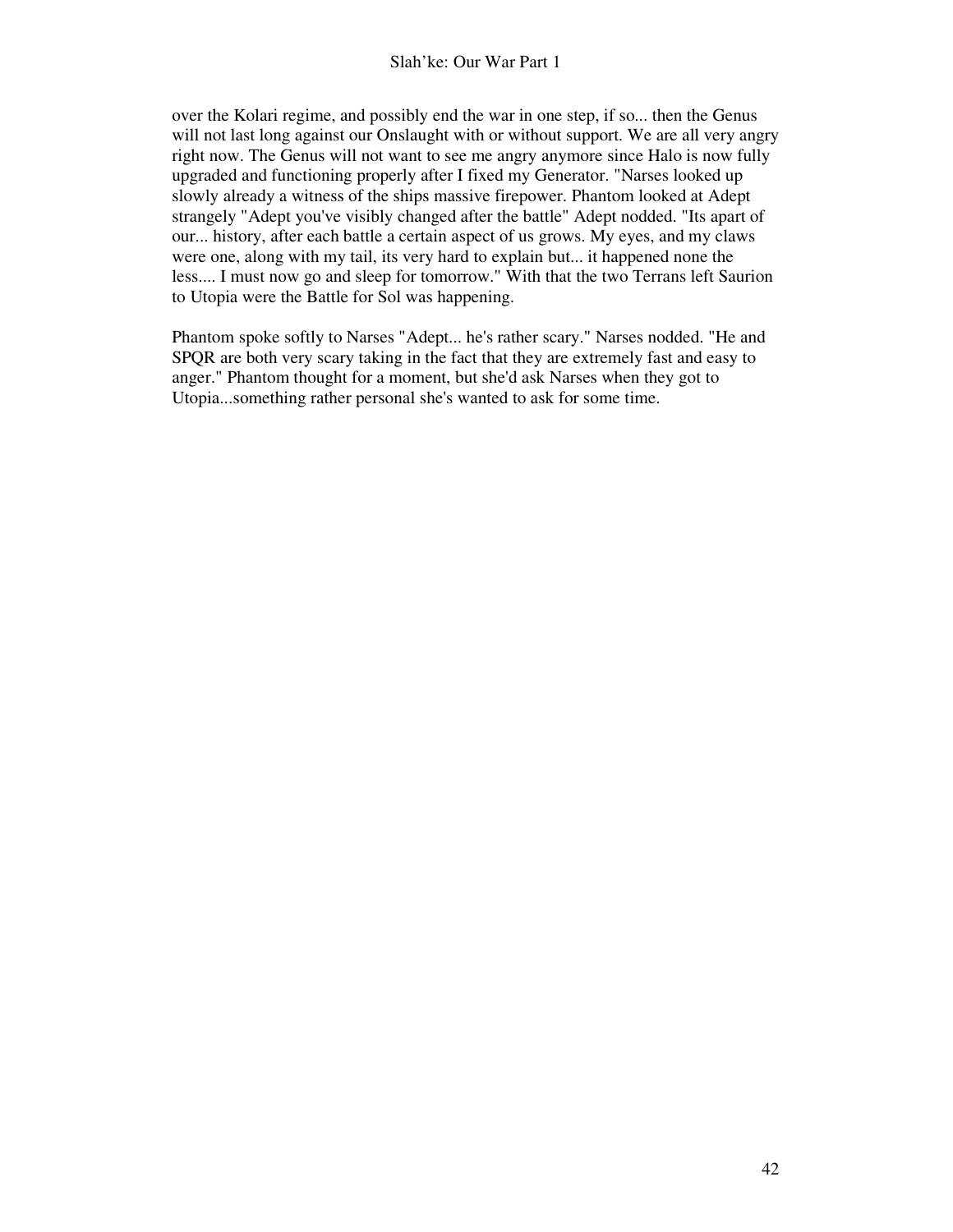over the Kolari regime, and possibly end the war in one step, if so... then the Genus will not last long against our Onslaught with or without support. We are all very angry right now. The Genus will not want to see me angry anymore since Halo is now fully upgraded and functioning properly after I fixed my Generator. "Narses looked up slowly already a witness of the ships massive firepower. Phantom looked at Adept strangely "Adept you've visibly changed after the battle" Adept nodded. "Its apart of our... history, after each battle a certain aspect of us grows. My eyes, and my claws were one, along with my tail, its very hard to explain but... it happened none the less.... I must now go and sleep for tomorrow." With that the two Terrans left Saurion to Utopia were the Battle for Sol was happening.

Phantom spoke softly to Narses "Adept... he's rather scary." Narses nodded. "He and SPQR are both very scary taking in the fact that they are extremely fast and easy to anger." Phantom thought for a moment, but she'd ask Narses when they got to Utopia...something rather personal she's wanted to ask for some time.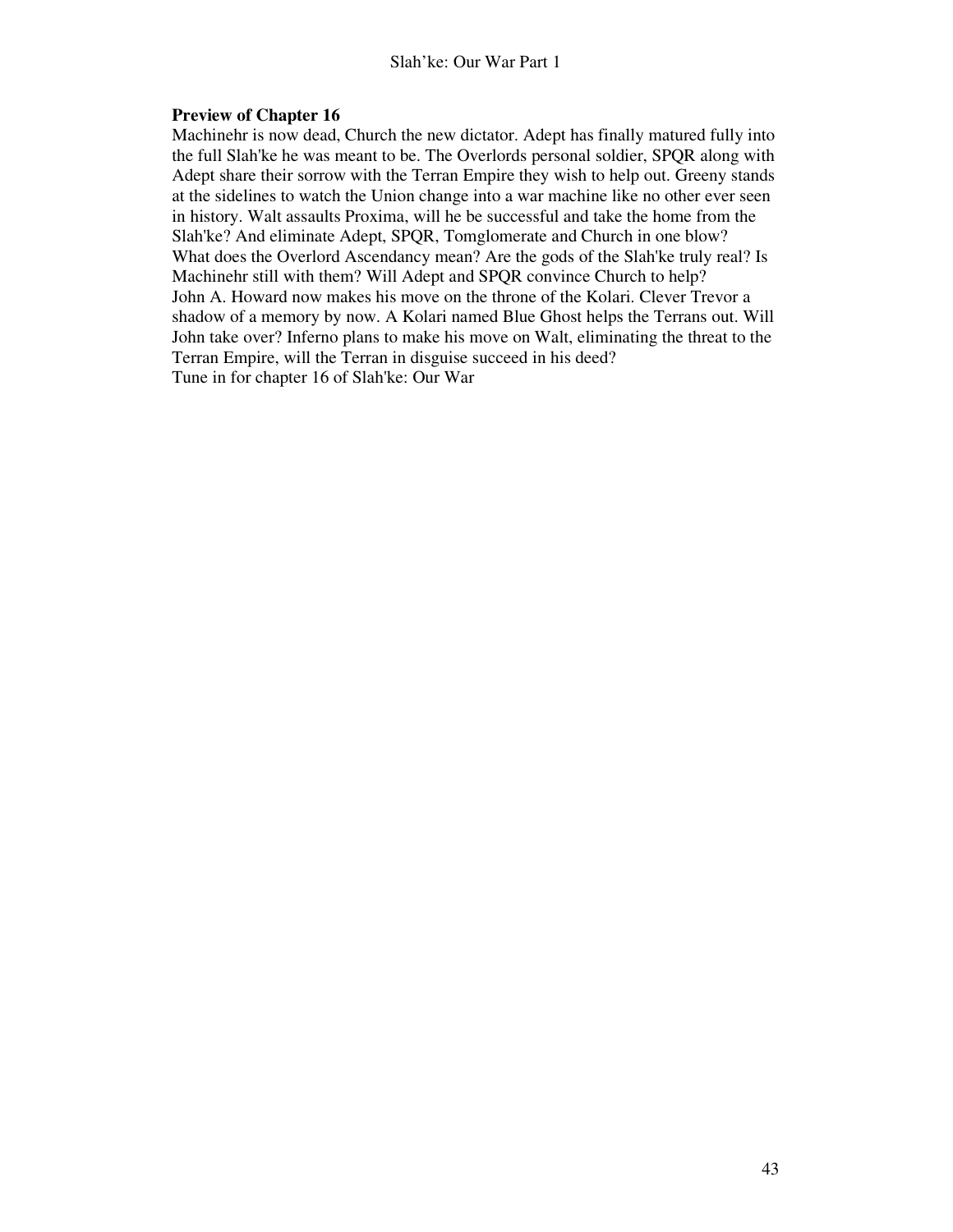# **Preview of Chapter 16**

Machinehr is now dead, Church the new dictator. Adept has finally matured fully into the full Slah'ke he was meant to be. The Overlords personal soldier, SPQR along with Adept share their sorrow with the Terran Empire they wish to help out. Greeny stands at the sidelines to watch the Union change into a war machine like no other ever seen in history. Walt assaults Proxima, will he be successful and take the home from the Slah'ke? And eliminate Adept, SPQR, Tomglomerate and Church in one blow? What does the Overlord Ascendancy mean? Are the gods of the Slah'ke truly real? Is Machinehr still with them? Will Adept and SPQR convince Church to help? John A. Howard now makes his move on the throne of the Kolari. Clever Trevor a shadow of a memory by now. A Kolari named Blue Ghost helps the Terrans out. Will John take over? Inferno plans to make his move on Walt, eliminating the threat to the Terran Empire, will the Terran in disguise succeed in his deed? Tune in for chapter 16 of Slah'ke: Our War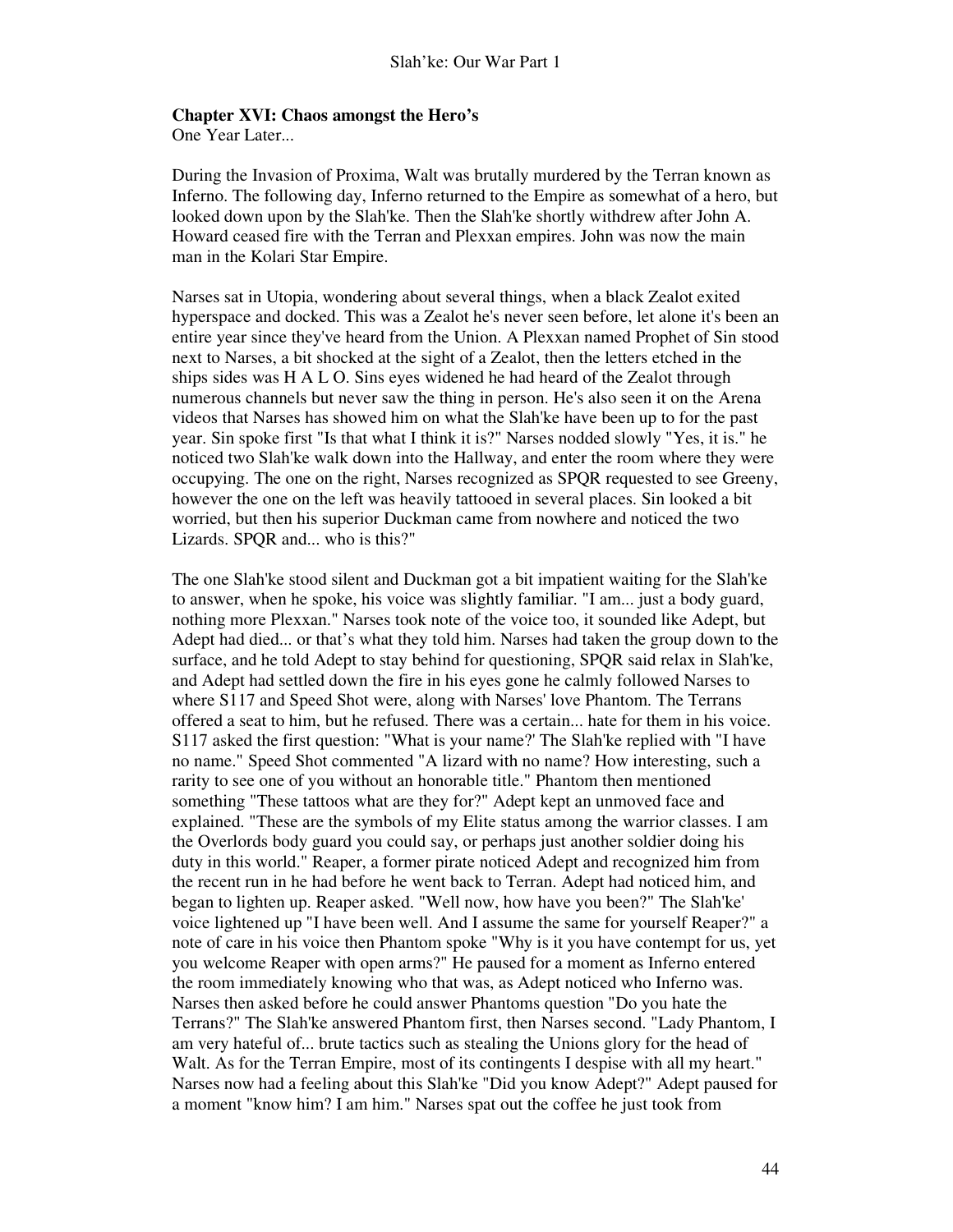#### **Chapter XVI: Chaos amongst the Hero's**

One Year Later...

During the Invasion of Proxima, Walt was brutally murdered by the Terran known as Inferno. The following day, Inferno returned to the Empire as somewhat of a hero, but looked down upon by the Slah'ke. Then the Slah'ke shortly withdrew after John A. Howard ceased fire with the Terran and Plexxan empires. John was now the main man in the Kolari Star Empire.

Narses sat in Utopia, wondering about several things, when a black Zealot exited hyperspace and docked. This was a Zealot he's never seen before, let alone it's been an entire year since they've heard from the Union. A Plexxan named Prophet of Sin stood next to Narses, a bit shocked at the sight of a Zealot, then the letters etched in the ships sides was H A L O. Sins eyes widened he had heard of the Zealot through numerous channels but never saw the thing in person. He's also seen it on the Arena videos that Narses has showed him on what the Slah'ke have been up to for the past year. Sin spoke first "Is that what I think it is?" Narses nodded slowly "Yes, it is." he noticed two Slah'ke walk down into the Hallway, and enter the room where they were occupying. The one on the right, Narses recognized as SPQR requested to see Greeny, however the one on the left was heavily tattooed in several places. Sin looked a bit worried, but then his superior Duckman came from nowhere and noticed the two Lizards. SPQR and... who is this?"

The one Slah'ke stood silent and Duckman got a bit impatient waiting for the Slah'ke to answer, when he spoke, his voice was slightly familiar. "I am... just a body guard, nothing more Plexxan." Narses took note of the voice too, it sounded like Adept, but Adept had died... or that's what they told him. Narses had taken the group down to the surface, and he told Adept to stay behind for questioning, SPQR said relax in Slah'ke, and Adept had settled down the fire in his eyes gone he calmly followed Narses to where S117 and Speed Shot were, along with Narses' love Phantom. The Terrans offered a seat to him, but he refused. There was a certain... hate for them in his voice. S117 asked the first question: "What is your name?' The Slah'ke replied with "I have no name." Speed Shot commented "A lizard with no name? How interesting, such a rarity to see one of you without an honorable title." Phantom then mentioned something "These tattoos what are they for?" Adept kept an unmoved face and explained. "These are the symbols of my Elite status among the warrior classes. I am the Overlords body guard you could say, or perhaps just another soldier doing his duty in this world." Reaper, a former pirate noticed Adept and recognized him from the recent run in he had before he went back to Terran. Adept had noticed him, and began to lighten up. Reaper asked. "Well now, how have you been?" The Slah'ke' voice lightened up "I have been well. And I assume the same for yourself Reaper?" a note of care in his voice then Phantom spoke "Why is it you have contempt for us, yet you welcome Reaper with open arms?" He paused for a moment as Inferno entered the room immediately knowing who that was, as Adept noticed who Inferno was. Narses then asked before he could answer Phantoms question "Do you hate the Terrans?" The Slah'ke answered Phantom first, then Narses second. "Lady Phantom, I am very hateful of... brute tactics such as stealing the Unions glory for the head of Walt. As for the Terran Empire, most of its contingents I despise with all my heart." Narses now had a feeling about this Slah'ke "Did you know Adept?" Adept paused for a moment "know him? I am him." Narses spat out the coffee he just took from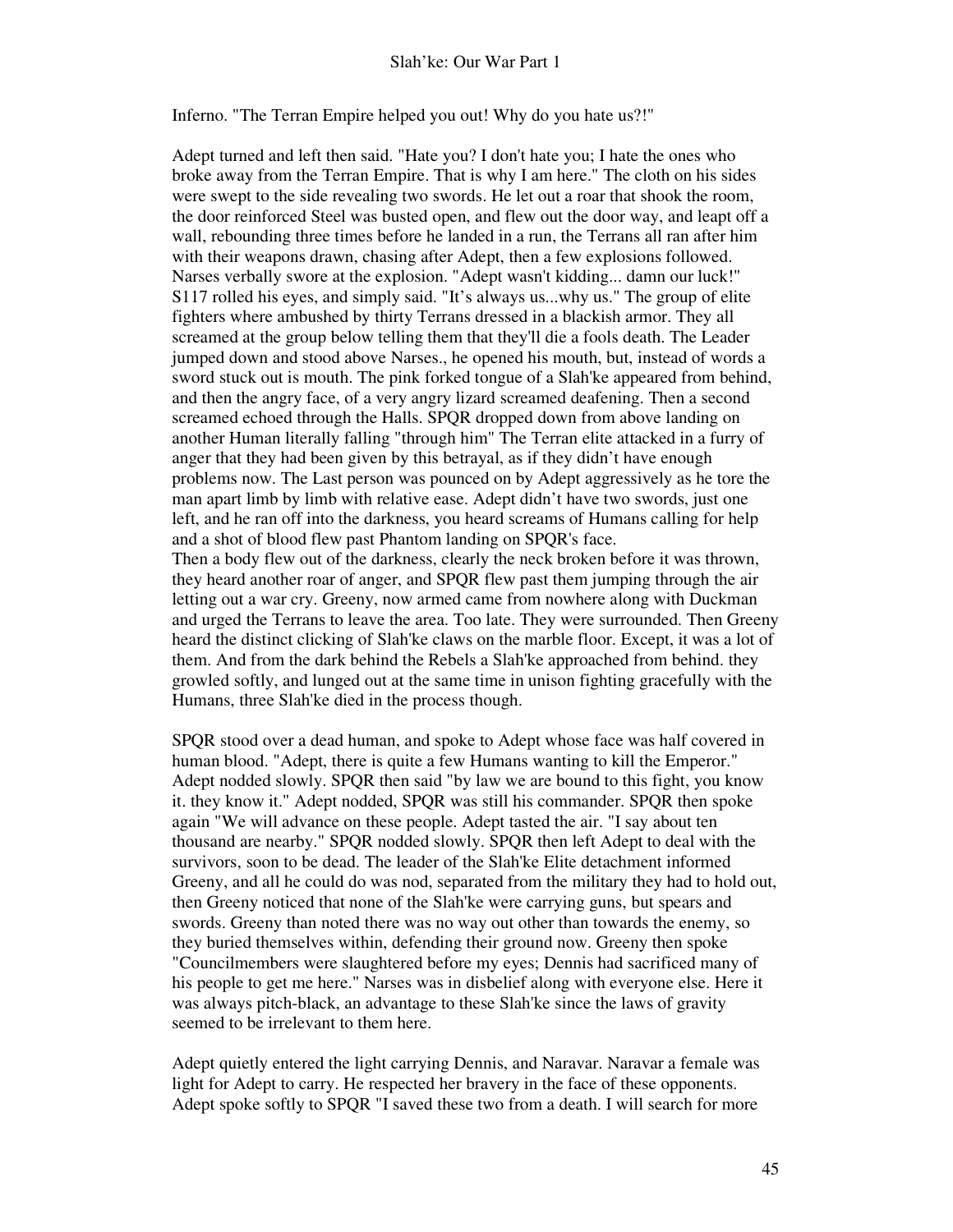Inferno. "The Terran Empire helped you out! Why do you hate us?!"

Adept turned and left then said. "Hate you? I don't hate you; I hate the ones who broke away from the Terran Empire. That is why I am here." The cloth on his sides were swept to the side revealing two swords. He let out a roar that shook the room, the door reinforced Steel was busted open, and flew out the door way, and leapt off a wall, rebounding three times before he landed in a run, the Terrans all ran after him with their weapons drawn, chasing after Adept, then a few explosions followed. Narses verbally swore at the explosion. "Adept wasn't kidding... damn our luck!" S117 rolled his eyes, and simply said. "It's always us...why us." The group of elite fighters where ambushed by thirty Terrans dressed in a blackish armor. They all screamed at the group below telling them that they'll die a fools death. The Leader jumped down and stood above Narses., he opened his mouth, but, instead of words a sword stuck out is mouth. The pink forked tongue of a Slah'ke appeared from behind, and then the angry face, of a very angry lizard screamed deafening. Then a second screamed echoed through the Halls. SPQR dropped down from above landing on another Human literally falling "through him" The Terran elite attacked in a furry of anger that they had been given by this betrayal, as if they didn't have enough problems now. The Last person was pounced on by Adept aggressively as he tore the man apart limb by limb with relative ease. Adept didn't have two swords, just one left, and he ran off into the darkness, you heard screams of Humans calling for help and a shot of blood flew past Phantom landing on SPQR's face.

Then a body flew out of the darkness, clearly the neck broken before it was thrown, they heard another roar of anger, and SPQR flew past them jumping through the air letting out a war cry. Greeny, now armed came from nowhere along with Duckman and urged the Terrans to leave the area. Too late. They were surrounded. Then Greeny heard the distinct clicking of Slah'ke claws on the marble floor. Except, it was a lot of them. And from the dark behind the Rebels a Slah'ke approached from behind. they growled softly, and lunged out at the same time in unison fighting gracefully with the Humans, three Slah'ke died in the process though.

SPQR stood over a dead human, and spoke to Adept whose face was half covered in human blood. "Adept, there is quite a few Humans wanting to kill the Emperor." Adept nodded slowly. SPQR then said "by law we are bound to this fight, you know it. they know it." Adept nodded, SPQR was still his commander. SPQR then spoke again "We will advance on these people. Adept tasted the air. "I say about ten thousand are nearby." SPQR nodded slowly. SPQR then left Adept to deal with the survivors, soon to be dead. The leader of the Slah'ke Elite detachment informed Greeny, and all he could do was nod, separated from the military they had to hold out, then Greeny noticed that none of the Slah'ke were carrying guns, but spears and swords. Greeny than noted there was no way out other than towards the enemy, so they buried themselves within, defending their ground now. Greeny then spoke "Councilmembers were slaughtered before my eyes; Dennis had sacrificed many of his people to get me here." Narses was in disbelief along with everyone else. Here it was always pitch-black, an advantage to these Slah'ke since the laws of gravity seemed to be irrelevant to them here.

Adept quietly entered the light carrying Dennis, and Naravar. Naravar a female was light for Adept to carry. He respected her bravery in the face of these opponents. Adept spoke softly to SPQR "I saved these two from a death. I will search for more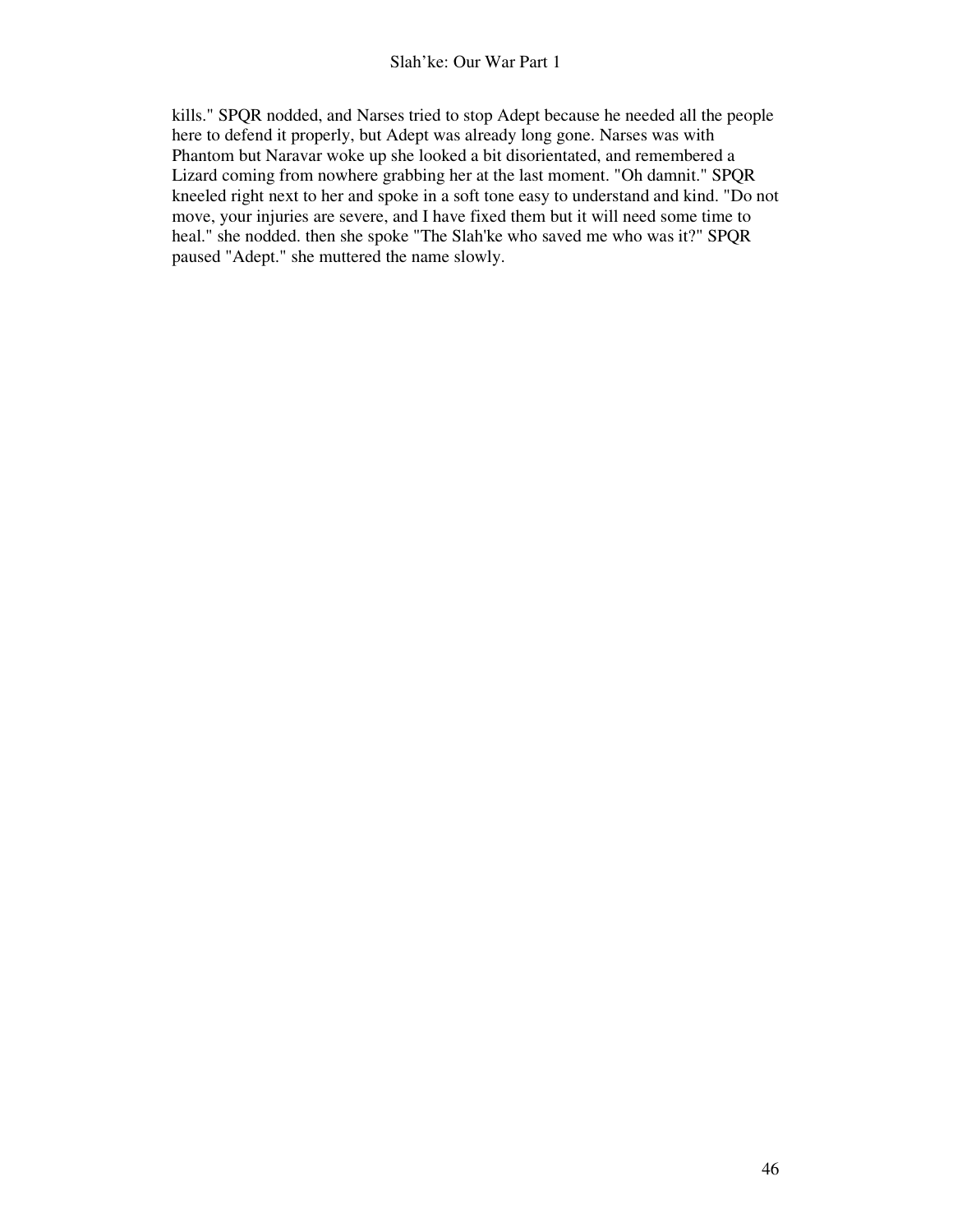kills." SPQR nodded, and Narses tried to stop Adept because he needed all the people here to defend it properly, but Adept was already long gone. Narses was with Phantom but Naravar woke up she looked a bit disorientated, and remembered a Lizard coming from nowhere grabbing her at the last moment. "Oh damnit." SPQR kneeled right next to her and spoke in a soft tone easy to understand and kind. "Do not move, your injuries are severe, and I have fixed them but it will need some time to heal." she nodded. then she spoke "The Slah'ke who saved me who was it?" SPQR paused "Adept." she muttered the name slowly.